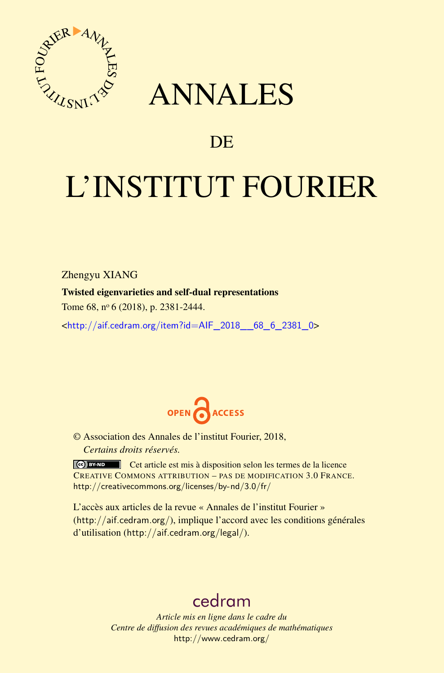

## ANNALES

### **DE**

# L'INSTITUT FOURIER

Zhengyu XIANG

#### Twisted eigenvarieties and self-dual representations

Tome 68, nº 6 (2018), p. 2381-2444.

<[http://aif.cedram.org/item?id=AIF\\_2018\\_\\_68\\_6\\_2381\\_0](http://aif.cedram.org/item?id=AIF_2018__68_6_2381_0)>



© Association des Annales de l'institut Fourier, 2018, *Certains droits réservés.*

Cet article est mis à disposition selon les termes de la licence CREATIVE COMMONS ATTRIBUTION – PAS DE MODIFICATION 3.0 FRANCE. <http://creativecommons.org/licenses/by-nd/3.0/fr/>

L'accès aux articles de la revue « Annales de l'institut Fourier » (<http://aif.cedram.org/>), implique l'accord avec les conditions générales d'utilisation (<http://aif.cedram.org/legal/>).

## [cedram](http://www.cedram.org/)

*Article mis en ligne dans le cadre du Centre de diffusion des revues académiques de mathématiques* <http://www.cedram.org/>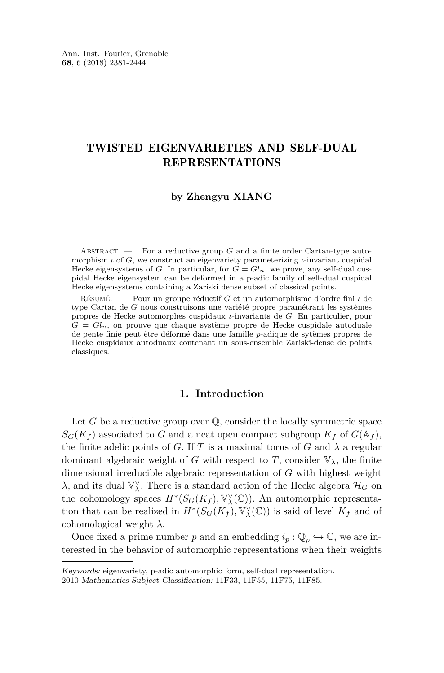#### TWISTED EIGENVARIETIES AND SELF-DUAL REPRESENTATIONS

#### **by Zhengyu XIANG**

ABSTRACT. — For a reductive group *G* and a finite order Cartan-type automorphism *ι* of *G*, we construct an eigenvariety parameterizing *ι*-invariant cuspidal Hecke eigensystems of *G*. In particular, for  $G = Gl_n$ , we prove, any self-dual cuspidal Hecke eigensystem can be deformed in a p-adic family of self-dual cuspidal Hecke eigensystems containing a Zariski dense subset of classical points.

Résumé. — Pour un groupe réductif *G* et un automorphisme d'ordre fini *ι* de type Cartan de *G* nous construisons une variété propre paramétrant les systèmes propres de Hecke automorphes cuspidaux *ι*-invariants de *G*. En particulier, pour  $G = Gl_n$ , on prouve que chaque système propre de Hecke cuspidale autoduale de pente finie peut être déformé dans une famille *p*-adique de sytèmes propres de Hecke cuspidaux autoduaux contenant un sous-ensemble Zariski-dense de points classiques.

#### **1. Introduction**

Let  $G$  be a reductive group over  $\mathbb Q$ , consider the locally symmetric space  $S_G(K_f)$  associated to *G* and a neat open compact subgroup  $K_f$  of  $G(\mathbb{A}_f)$ , the finite adelic points of *G*. If *T* is a maximal torus of *G* and  $\lambda$  a regular dominant algebraic weight of *G* with respect to *T*, consider  $\mathbb{V}_{\lambda}$ , the finite dimensional irreducible algebraic representation of *G* with highest weight *λ*, and its dual  $\mathbb{V}_λ$ . There is a standard action of the Hecke algebra  $\mathcal{H}_G$  on the cohomology spaces  $H^*(S_G(K_f), \mathbb{V}^\vee_\lambda(\mathbb{C}))$ . An automorphic representation that can be realized in  $H^*(S_G(K_f), \mathbb{V}^\vee_\lambda(\mathbb{C}))$  is said of level  $K_f$  and of cohomological weight *λ*.

Once fixed a prime number *p* and an embedding  $i_p : \overline{\mathbb{Q}}_p \hookrightarrow \mathbb{C}$ , we are interested in the behavior of automorphic representations when their weights

Keywords: eigenvariety, p-adic automorphic form, self-dual representation.

<sup>2010</sup> Mathematics Subject Classification: 11F33, 11F55, 11F75, 11F85.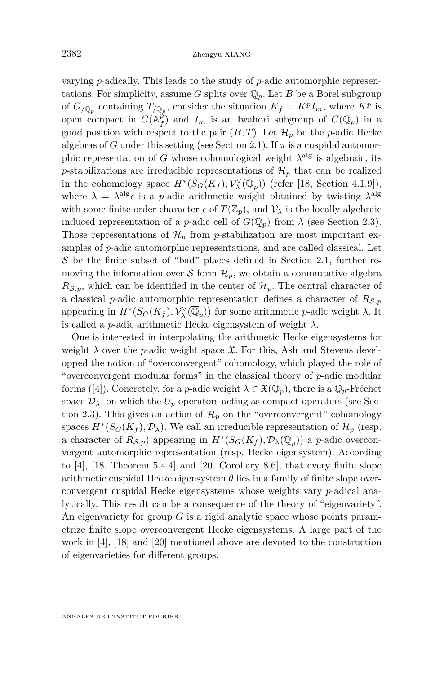varying *p*-adically. This leads to the study of *p*-adic automorphic representations. For simplicity, assume *G* splits over  $\mathbb{Q}_p$ . Let *B* be a Borel subgroup of  $G_{/\mathbb{Q}_p}$  containing  $T_{/\mathbb{Q}_p}$ , consider the situation  $K_f = K^p I_m$ , where  $K^p$  is open compact in  $G(A_f^{\hat{p}})$  and  $I_m$  is an Iwahori subgroup of  $G(\mathbb{Q}_p)$  in a good position with respect to the pair  $(B, T)$ . Let  $\mathcal{H}_p$  be the *p*-adic Hecke algebras of *G* under this setting (see Section [2.1\)](#page-5-0). If  $\pi$  is a cuspidal automorphic representation of *G* whose cohomological weight  $\lambda^{\text{alg}}$  is algebraic, its *p*-stabilizations are irreducible representations of  $\mathcal{H}_p$  that can be realized in the cohomology space  $H^*(S_G(K_f), \mathcal{V}^{\vee}_{\lambda}(\overline{\mathbb{Q}}_p))$  (refer [\[18,](#page-64-0) Section 4.1.9]), where  $\lambda = \lambda^{\text{alg}} \epsilon$  is a *p*-adic arithmetic weight obtained by twisting  $\lambda^{\text{alg}}$ with some finite order character  $\epsilon$  of  $T(\mathbb{Z}_p)$ , and  $\mathcal{V}_\lambda$  is the locally algebraic induced representation of a *p*-adic cell of  $G(\mathbb{Q}_p)$  from  $\lambda$  (see Section [2.3\)](#page-9-0). Those representations of  $\mathcal{H}_p$  from *p*-stabilization are most important examples of *p*-adic automorphic representations, and are called classical. Let  $S$  be the finite subset of "bad" places defined in Section [2.1,](#page-5-0) further removing the information over S form  $\mathcal{H}_p$ , we obtain a commutative algebra  $R_{\mathcal{S},p}$ , which can be identified in the center of  $\mathcal{H}_p$ . The central character of a classical *p*-adic automorphic representation defines a character of  $R_{\mathcal{S},p}$ appearing in  $H^*(S_G(K_f), \mathcal{V}^{\vee}_{\lambda}(\overline{\mathbb{Q}}_p))$  for some arithmetic *p*-adic weight  $\lambda$ . It is called a *p*-adic arithmetic Hecke eigensystem of weight  $\lambda$ .

One is interested in interpolating the arithmetic Hecke eigensystems for weight  $\lambda$  over the *p*-adic weight space  $\mathfrak{X}$ . For this, Ash and Stevens developped the notion of "overconvergent" cohomology, which played the role of "overconvergent modular forms" in the classical theory of *p*-adic modular forms ([\[4\]](#page-63-0)). Concretely, for a *p*-adic weight  $\lambda \in \mathfrak{X}(\overline{\mathbb{Q}}_p)$ , there is a  $\mathbb{Q}_p$ -Fréchet space  $\mathcal{D}_{\lambda}$ , on which the  $U_p$  operators acting as compact operaters (see Sec-tion [2.3\)](#page-9-0). This gives an action of  $\mathcal{H}_p$  on the "overconvergent" cohomology spaces  $H^*(S_G(K_f), \mathcal{D}_\lambda)$ . We call an irreducible representation of  $\mathcal{H}_p$  (resp. a character of  $R_{\mathcal{S},p}$ ) appearing in  $H^*(S_G(K_f), \mathcal{D}_\lambda(\overline{\mathbb{Q}}_p))$  a *p*-adic overconvergent automorphic representation (resp. Hecke eigensystem). According to [\[4\]](#page-63-0), [\[18,](#page-64-0) Theorem 5.4.4] and [\[20,](#page-64-1) Corollary 8.6], that every finite slope arithmetic cuspidal Hecke eigensystem  $\theta$  lies in a family of finite slope overconvergent cuspidal Hecke eigensystems whose weights vary *p*-adical analytically. This result can be a consequence of the theory of "eigenvariety". An eigenvariety for group *G* is a rigid analytic space whose points parametrize finite slope overconvergent Hecke eigensystems. A large part of the work in [\[4\]](#page-63-0), [\[18\]](#page-64-0) and [\[20\]](#page-64-1) mentioned above are devoted to the construction of eigenvarieties for different groups.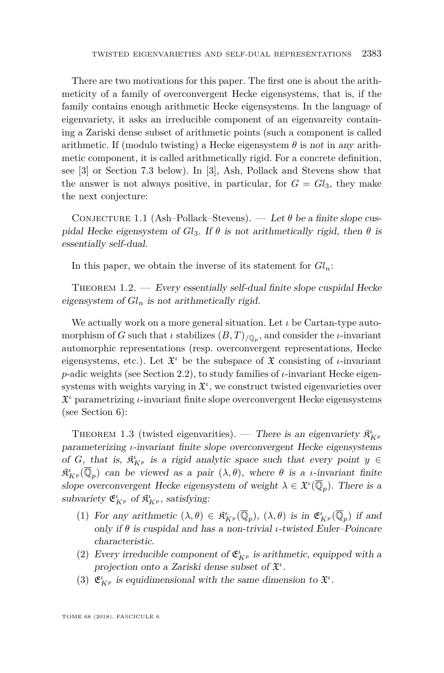There are two motivations for this paper. The first one is about the arithmeticity of a family of overconvergent Hecke eigensystems, that is, if the family contains enough arithmetic Hecke eigensystems. In the language of eigenvariety, it asks an irreducible component of an eigenvareity containing a Zariski dense subset of arithmetic points (such a component is called arithmetic. If (modulo twisting) a Hecke eigensystem  $\theta$  is not in any arithmetic component, it is called arithmetically rigid. For a concrete definition, see [\[3\]](#page-63-1) or Section [7.3](#page-62-0) below). In [\[3\]](#page-63-1), Ash, Pollack and Stevens show that the answer is not always positive, in particular, for  $G = Gl_3$ , they make the next conjecture:

<span id="page-3-0"></span>CONJECTURE 1.1 (Ash–Pollack–Stevens). — Let  $\theta$  be a finite slope cuspidal Hecke eigensystem of  $Gl_3$ . If  $\theta$  is not arithmetically rigid, then  $\theta$  is essentially self-dual.

In this paper, we obtain the inverse of its statement for  $Gl_n$ :

THEOREM  $1.2.$  — Every essentially self-dual finite slope cuspidal Hecke eigensystem of  $Gl_n$  is not arithmetically rigid.

We actually work on a more general situation. Let *ι* be Cartan-type automorphism of *G* such that *ι* stabilizes (*B, T*)*/*Q*<sup>p</sup>* , and consider the *ι*-invariant automorphic representations (resp. overconvergent representations, Hecke eigensystems, etc.). Let  $\mathfrak{X}^i$  be the subspace of  $\mathfrak{X}$  consisting of *ι*-invariant *p*-adic weights (see Section [2.2\)](#page-8-0), to study families of *ι*-invariant Hecke eigensystems with weights varying in  $\mathfrak{X}^i$ , we construct twisted eigenvarieties over X *<sup>ι</sup>* parametrizing *ι*-invariant finite slope overconvergent Hecke eigensystems (see Section [6\)](#page-50-0):

THEOREM 1.3 (twisted eigenvarities). — There is an eigenvariety  $\mathfrak{K}_{K^p}^l$ parameterizing *ι*-invariant finite slope overconvergent Hecke eigensystems of *G*, that is,  $\mathfrak{K}_{K^p}^{\iota}$  is a rigid analytic space such that every point  $y \in$  $\mathfrak{K}_{K^p}^{\iota}(\overline{\mathbb{Q}}_p)$  can be viewed as a pair  $(\lambda, \theta)$ , where  $\theta$  is a *ι*-invariant finite slope overconvergent Hecke eigensystem of weight  $\lambda \in \mathfrak{X}^{\iota}(\overline{\mathbb{Q}}_p)$ . There is a subvariety  $\mathfrak{E}_{K^p}^{\iota}$  of  $\mathfrak{K}_{K^p}^{\iota}$ , satisfying:

- (1) For any arithmetic  $(\lambda, \theta) \in \mathcal{R}_{K^p}^{\iota}(\overline{\mathbb{Q}}_p)$ ,  $(\lambda, \theta)$  is in  $\mathfrak{E}_{K^p}^{\iota}(\overline{\mathbb{Q}}_p)$  if and only if *θ* is cuspidal and has a non-trivial *ι*-twisted Euler–Poincare characteristic.
- (2) Every irreducible component of  $\mathfrak{E}_{K^p}^t$  is arithmetic, equipped with a projection onto a Zariski dense subset of  $\mathfrak{X}^i$ .
- (3)  $\mathfrak{E}_{K^p}^{\iota}$  is equidimensional with the same dimension to  $\mathfrak{X}^{\iota}$ .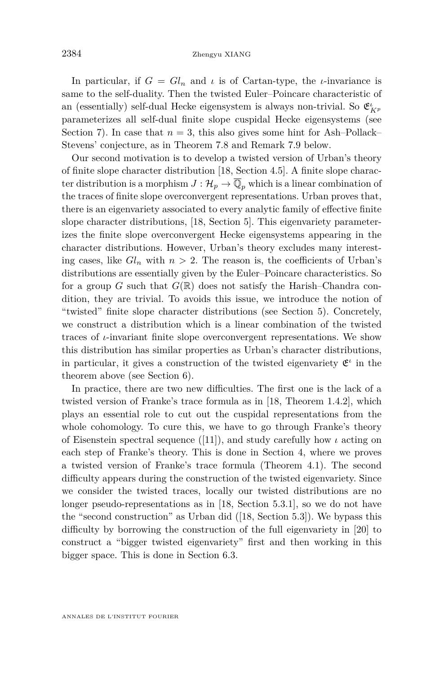In particular, if  $G = Gl_n$  and  $\iota$  is of Cartan-type, the  $\iota$ -invariance is same to the self-duality. Then the twisted Euler–Poincare characteristic of an (essentially) self-dual Hecke eigensystem is always non-trivial. So  $\mathfrak{E}^\iota_{K^p}$ parameterizes all self-dual finite slope cuspidal Hecke eigensystems (see Section [7\)](#page-57-0). In case that  $n = 3$ , this also gives some hint for Ash–Pollack– Stevens' conjecture, as in Theorem [7.8](#page-62-1) and Remark [7.9](#page-63-2) below.

Our second motivation is to develop a twisted version of Urban's theory of finite slope character distribution [\[18,](#page-64-0) Section 4.5]. A finite slope character distribution is a morphism  $J: \mathcal{H}_p \to \overline{\mathbb{Q}}_p$  which is a linear combination of the traces of finite slope overconvergent representations. Urban proves that, there is an eigenvariety associated to every analytic family of effective finite slope character distributions, [\[18,](#page-64-0) Section 5]. This eigenvariety parameterizes the finite slope overconvergent Hecke eigensystems appearing in the character distributions. However, Urban's theory excludes many interesting cases, like  $Gl_n$  with  $n > 2$ . The reason is, the coefficients of Urban's distributions are essentially given by the Euler–Poincare characteristics. So for a group *G* such that  $G(\mathbb{R})$  does not satisfy the Harish–Chandra condition, they are trivial. To avoids this issue, we introduce the notion of "twisted" finite slope character distributions (see Section [5\)](#page-36-0). Concretely, we construct a distribution which is a linear combination of the twisted traces of *ι*-invariant finite slope overconvergent representations. We show this distribution has similar properties as Urban's character distributions, in particular, it gives a construction of the twisted eigenvariety **ε**<sup>*ι*</sup> in the theorem above (see Section [6\)](#page-50-0).

In practice, there are two new difficulties. The first one is the lack of a twisted version of Franke's trace formula as in [\[18,](#page-64-0) Theorem 1.4.2], which plays an essential role to cut out the cuspidal representations from the whole cohomology. To cure this, we have to go through Franke's theory of Eisenstein spectral sequence ([\[11\]](#page-63-3)), and study carefully how *ι* acting on each step of Franke's theory. This is done in Section [4,](#page-22-0) where we proves a twisted version of Franke's trace formula (Theorem [4.1\)](#page-26-0). The second difficulty appears during the construction of the twisted eigenvariety. Since we consider the twisted traces, locally our twisted distributions are no longer pseudo-representations as in [\[18,](#page-64-0) Section 5.3.1], so we do not have the "second construction" as Urban did ([\[18,](#page-64-0) Section 5.3]). We bypass this difficulty by borrowing the construction of the full eigenvariety in [\[20\]](#page-64-1) to construct a "bigger twisted eigenvariety" first and then working in this bigger space. This is done in Section [6.3.](#page-51-0)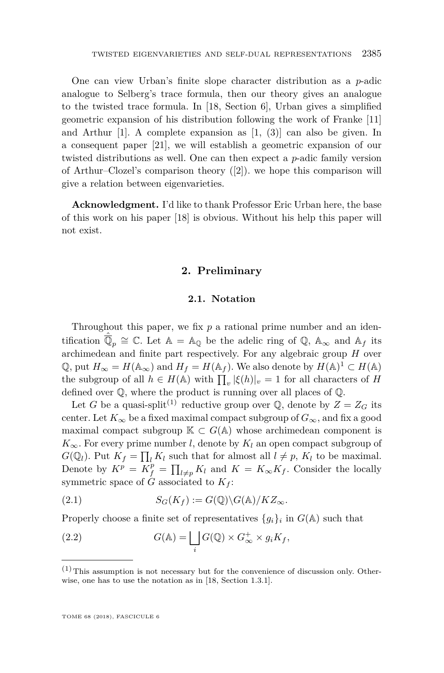One can view Urban's finite slope character distribution as a *p*-adic analogue to Selberg's trace formula, then our theory gives an analogue to the twisted trace formula. In [\[18,](#page-64-0) Section 6], Urban gives a simplified geometric expansion of his distribution following the work of Franke [\[11\]](#page-63-3) and Arthur  $[1]$ . A complete expansion as  $[1, (3)]$  $[1, (3)]$  can also be given. In a consequent paper [\[21\]](#page-64-2), we will establish a geometric expansion of our twisted distributions as well. One can then expect a *p*-adic family version of Arthur–Clozel's comparison theory ([\[2\]](#page-63-5)). we hope this comparison will give a relation between eigenvarieties.

<span id="page-5-1"></span>**Acknowledgment.** I'd like to thank Professor Eric Urban here, the base of this work on his paper [\[18\]](#page-64-0) is obvious. Without his help this paper will not exist.

#### **2. Preliminary**

#### **2.1. Notation**

<span id="page-5-0"></span>Throughout this paper, we fix *p* a rational prime number and an identification  $\hat{\overline{\mathbb{Q}}}_p \cong \mathbb{C}$ . Let  $\mathbb{A} = \mathbb{A}_{\mathbb{Q}}$  be the adelic ring of  $\mathbb{Q}$ ,  $\mathbb{A}_{\infty}$  and  $\mathbb{A}_f$  its archimedean and finite part respectively. For any algebraic group *H* over  $\mathbb{Q}$ , put  $H_{\infty} = H(\mathbb{A}_{\infty})$  and  $H_f = H(\mathbb{A}_f)$ . We also denote by  $H(\mathbb{A})^1 \subset H(\mathbb{A})$ the subgroup of all  $h \in H(\mathbb{A})$  with  $\prod_v |\xi(h)|_v = 1$  for all characters of *H* defined over Q, where the product is running over all places of Q.

Let *G* be a quasi-split<sup>(1)</sup> reductive group over  $\mathbb{Q}$ , denote by  $Z = Z_G$  its center. Let  $K_{\infty}$  be a fixed maximal compact subgroup of  $G_{\infty}$ , and fix a good maximal compact subgroup  $\mathbb{K} \subset G(\mathbb{A})$  whose archimedean component is  $K_{\infty}$ . For every prime number *l*, denote by  $K_l$  an open compact subgroup of  $G(\mathbb{Q}_l)$ . Put  $K_f = \prod_l K_l$  such that for almost all  $l \neq p$ ,  $K_l$  to be maximal. Denote by  $K^p = K_f^p = \prod_{l \neq p} K_l$  and  $K = K_\infty K_f$ . Consider the locally symmetric space of  $G$  associated to  $K_f$ :

(2.1) 
$$
S_G(K_f) := G(\mathbb{Q}) \backslash G(\mathbb{A}) / K Z_{\infty}.
$$

Properly choose a finite set of representatives  ${g_i}_i$  in  $G(\mathbb{A})$  such that

(2.2) 
$$
G(\mathbb{A}) = \bigsqcup_i G(\mathbb{Q}) \times G_{\infty}^+ \times g_i K_f,
$$

 $(1)$  This assumption is not necessary but for the convenience of discussion only. Otherwise, one has to use the notation as in [\[18,](#page-64-0) Section 1.3.1].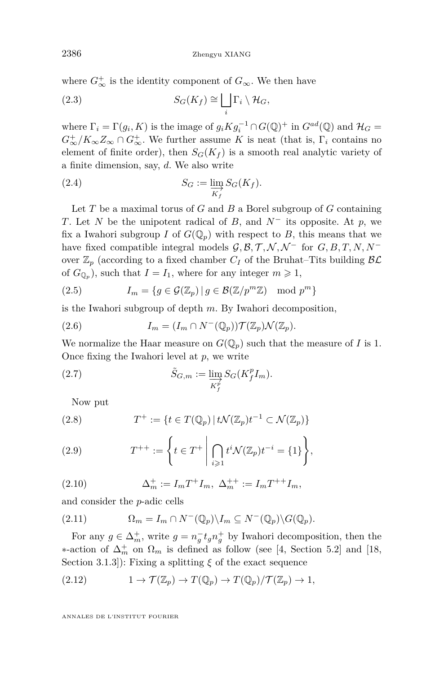where  $G^+_{\infty}$  is the identity component of  $G_{\infty}$ . We then have

(2.3) 
$$
S_G(K_f) \cong \bigsqcup_i \Gamma_i \setminus \mathcal{H}_G,
$$

where  $\Gamma_i = \Gamma(g_i, K)$  is the image of  $g_i K g_i^{-1} \cap G(\mathbb{Q})^+$  in  $G^{ad}(\mathbb{Q})$  and  $\mathcal{H}_G =$  $G_{\infty}^{+}/K_{\infty}Z_{\infty} \cap G_{\infty}^{+}$ . We further assume *K* is neat (that is,  $\Gamma_i$  contains no element of finite order), then  $S_G(K_f)$  is a smooth real analytic variety of a finite dimension, say, *d*. We also write

(2.4) 
$$
S_G := \varinjlim_{K_f} S_G(K_f).
$$

Let *T* be a maximal torus of *G* and *B* a Borel subgroup of *G* containing *T*. Let *N* be the unipotent radical of *B*, and  $N^-$  its opposite. At *p*, we fix a Iwahori subgroup *I* of  $G(\mathbb{Q}_p)$  with respect to *B*, this means that we have fixed compatible integral models  $\mathcal{G}, \mathcal{B}, \mathcal{T}, \mathcal{N}, \mathcal{N}^-$  for  $G, B, T, N, N^$ over  $\mathbb{Z}_p$  (according to a fixed chamber  $C_I$  of the Bruhat–Tits building  $\beta \mathcal{L}$ of  $G_{\mathbb{Q}_p}$ , such that  $I = I_1$ , where for any integer  $m \geq 1$ ,

(2.5) 
$$
I_m = \{ g \in \mathcal{G}(\mathbb{Z}_p) \mid g \in \mathcal{B}(\mathbb{Z}/p^m \mathbb{Z}) \mod p^m \}
$$

is the Iwahori subgroup of depth *m*. By Iwahori decomposition,

<span id="page-6-2"></span>(2.6) 
$$
I_m = (I_m \cap N^-(\mathbb{Q}_p))\mathcal{T}(\mathbb{Z}_p)\mathcal{N}(\mathbb{Z}_p).
$$

We normalize the Haar measure on  $G(\mathbb{Q}_p)$  such that the measure of *I* is 1. Once fixing the Iwahori level at *p*, we write

(2.7) 
$$
\tilde{S}_{G,m} := \varinjlim_{K_f^p} S_G(K_f^p I_m).
$$

<span id="page-6-0"></span>Now put

(2.8) 
$$
T^+ := \{ t \in T(\mathbb{Q}_p) \mid t \mathcal{N}(\mathbb{Z}_p) t^{-1} \subset \mathcal{N}(\mathbb{Z}_p) \}
$$

<span id="page-6-1"></span>(2.9) 
$$
T^{++} := \left\{ t \in T^+ \middle| \bigcap_{i \geq 1} t^i \mathcal{N}(\mathbb{Z}_p) t^{-i} = \{1\} \right\},
$$

(2.10) 
$$
\Delta_m^+ := I_m T^+ I_m, \ \Delta_m^{++} := I_m T^{++} I_m,
$$

and consider the *p*-adic cells

(2.11) 
$$
\Omega_m = I_m \cap N^-(\mathbb{Q}_p) \setminus I_m \subseteq N^-(\mathbb{Q}_p) \setminus G(\mathbb{Q}_p).
$$

For any  $g \in \Delta_m^+$ , write  $g = n_g^- t_g n_g^+$  by Iwahori decomposition, then the  $*$ -action of  $\Delta_m^+$  on  $\Omega_m$  is defined as follow (see [\[4,](#page-63-0) Section 5.2] and [\[18,](#page-64-0) Section 3.1.3]): Fixing a splitting *ξ* of the exact sequence

(2.12) 
$$
1 \to \mathcal{T}(\mathbb{Z}_p) \to T(\mathbb{Q}_p) \to T(\mathbb{Q}_p)/\mathcal{T}(\mathbb{Z}_p) \to 1,
$$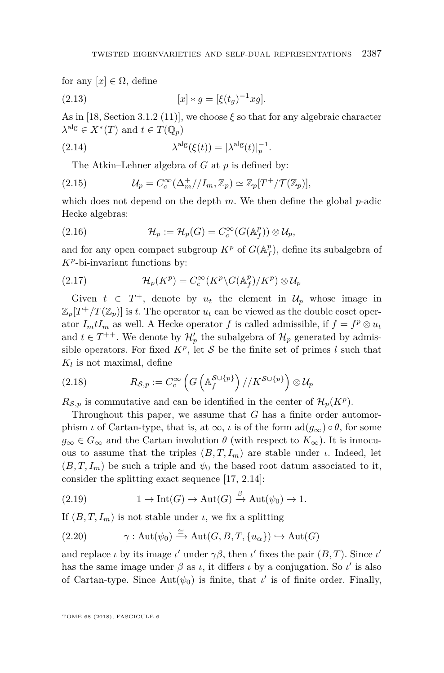for any  $[x] \in \Omega$ , define

<span id="page-7-0"></span>(2.13) 
$$
[x] * g = [\xi(t_g)^{-1} xg].
$$

As in [\[18,](#page-64-0) Section 3.1.2 (11)], we choose *ξ* so that for any algebraic character  $\lambda^{\text{alg}} \in X^*(T)$  and  $t \in T(\mathbb{Q}_p)$ 

(2.14) 
$$
\lambda^{\text{alg}}(\xi(t)) = |\lambda^{\text{alg}}(t)|_p^{-1}.
$$

<span id="page-7-1"></span>The Atkin–Lehner algebra of *G* at *p* is defined by:

(2.15) 
$$
\mathcal{U}_p = C_c^{\infty}(\Delta_m^+/I_m,\mathbb{Z}_p) \simeq \mathbb{Z}_p[T^+/T(\mathbb{Z}_p)],
$$

which does not depend on the depth *m*. We then define the global *p*-adic Hecke algebras:

(2.16) 
$$
\mathcal{H}_p := \mathcal{H}_p(G) = C_c^{\infty}(G(\mathbb{A}_f^p)) \otimes \mathcal{U}_p,
$$

and for any open compact subgroup  $K^p$  of  $G(\mathbb{A}_f^p)$ , define its subalgebra of *K<sup>p</sup>* -bi-invariant functions by:

(2.17) 
$$
\mathcal{H}_p(K^p) = C_c^{\infty}(K^p \backslash G(\mathbb{A}_f^p)/K^p) \otimes \mathcal{U}_p
$$

Given  $t \in T^+$ , denote by  $u_t$  the element in  $\mathcal{U}_p$  whose image in  $\mathbb{Z}_p[T^+/T(\mathbb{Z}_p)]$  is *t*. The operator  $u_t$  can be viewed as the double coset operator  $I_m tI_m$  as well. A Hecke operator *f* is called admissible, if  $f = f^p \otimes u_t$ and  $t \in T^{++}$ . We denote by  $\mathcal{H}'_p$  the subalgebra of  $\mathcal{H}_p$  generated by admissible operators. For fixed  $K^p$ , let S be the finite set of primes *l* such that  $K_l$  is not maximal, define

(2.18) 
$$
R_{\mathcal{S},p} := C_c^{\infty} \left( G \left( \mathbb{A}_f^{\mathcal{S} \cup \{p\}} \right) / / K^{\mathcal{S} \cup \{p\}} \right) \otimes \mathcal{U}_p
$$

 $R_{\mathcal{S},p}$  is commutative and can be identified in the center of  $\mathcal{H}_p(K^p)$ .

Throughout this paper, we assume that *G* has a finite order automorphism *ι* of Cartan-type, that is, at  $\infty$ , *ι* is of the form  $\text{ad}(g_{\infty}) \circ \theta$ , for some  $g_{\infty} \in G_{\infty}$  and the Cartan involution  $\theta$  (with respect to  $K_{\infty}$ ). It is innocuous to assume that the triples  $(B, T, I_m)$  are stable under *ι*. Indeed, let  $(B, T, I_m)$  be such a triple and  $\psi_0$  the based root datum associated to it, consider the splitting exact sequence [\[17,](#page-64-3) 2.14]:

(2.19) 
$$
1 \to \text{Int}(G) \to \text{Aut}(G) \xrightarrow{\beta} \text{Aut}(\psi_0) \to 1.
$$

If  $(B, T, I_m)$  is not stable under *ι*, we fix a splitting

(2.20) 
$$
\gamma: \text{Aut}(\psi_0) \xrightarrow{\cong} \text{Aut}(G, B, T, \{u_\alpha\}) \hookrightarrow \text{Aut}(G)
$$

and replace *ι* by its image *ι'* under  $\gamma\beta$ , then *ι'* fixes the pair  $(B, T)$ . Since *ι'* has the same image under  $\beta$  as  $\iota$ , it differs  $\iota$  by a conjugation. So  $\iota'$  is also of Cartan-type. Since  $Aut(\psi_0)$  is finite, that  $\iota'$  is of finite order. Finally,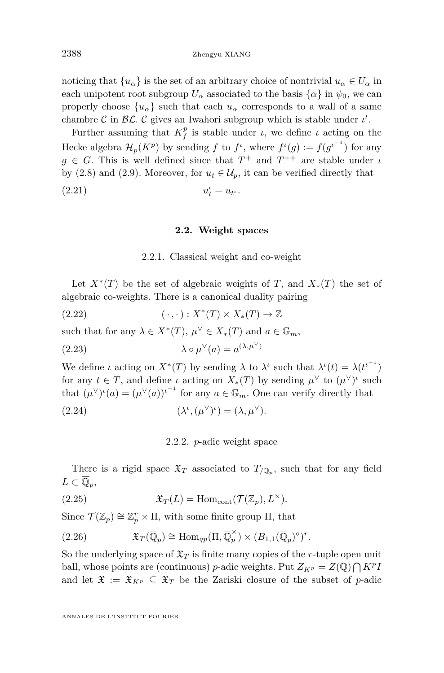noticing that  $\{u_{\alpha}\}\$ is the set of an arbitrary choice of nontrivial  $u_{\alpha} \in U_{\alpha}$  in each unipotent root subgroup  $U_{\alpha}$  associated to the basis  $\{\alpha\}$  in  $\psi_0$ , we can properly choose  $\{u_{\alpha}\}\$  such that each  $u_{\alpha}$  corresponds to a wall of a same chambre  $\mathcal C$  in  $\mathcal{BL}$ .  $\mathcal C$  gives an Iwahori subgroup which is stable under  $\iota'$ .

Further assuming that  $K_f^p$  is stable under *ι*, we define *ι* acting on the Hecke algebra  $\mathcal{H}_p(K^p)$  by sending  $f$  to  $f^{\iota}$ , where  $f^{\iota}(g) := f(g^{\iota^{-1}})$  for any  $g \in G$ . This is well defined since that  $T^+$  and  $T^{++}$  are stable under *ι* by [\(2.8\)](#page-6-0) and [\(2.9\)](#page-6-1). Moreover, for  $u_t \in \mathcal{U}_p$ , it can be verified directly that

<span id="page-8-0"></span>
$$
(2.21) \t\t u_t^{\iota} = u_{t^{\iota}}.
$$

#### **2.2. Weight spaces**

#### 2.2.1. Classical weight and co-weight

Let  $X^*(T)$  be the set of algebraic weights of *T*, and  $X_*(T)$  the set of algebraic co-weights. There is a canonical duality pairing

(2.22) 
$$
(\cdot,\cdot):X^*(T)\times X_*(T)\to\mathbb{Z}
$$

such that for any  $\lambda \in X^*(T)$ ,  $\mu^{\vee} \in X_*(T)$  and  $a \in \mathbb{G}_m$ ,

(2.23) 
$$
\lambda \circ \mu^{\vee}(a) = a^{(\lambda, \mu^{\vee})}
$$

We define *ι* acting on  $X^*(T)$  by sending  $\lambda$  to  $\lambda^i$  such that  $\lambda^i(t) = \lambda(t^{i-1})$ for any  $t \in T$ , and define *ι* acting on  $X_*(T)$  by sending  $\mu^{\vee}$  to  $(\mu^{\vee})^{\iota}$  such that  $(\mu^{\vee})^{\iota}(a) = (\mu^{\vee}(a))^{\iota^{-1}}$  for any  $a \in \mathbb{G}_m$ . One can verify directly that

(2.24) 
$$
(\lambda^{\iota}, (\mu^{\vee})^{\iota}) = (\lambda, \mu^{\vee}).
$$

2.2.2. *p*-adic weight space

There is a rigid space  $\mathfrak{X}_T$  associated to  $T_{/\mathbb{Q}_p}$ , such that for any field  $L \subset \overline{\mathbb{Q}}_p$ 

(2.25) 
$$
\mathfrak{X}_T(L) = \text{Hom}_{\text{cont}}(\mathcal{T}(\mathbb{Z}_p), L^\times).
$$

Since  $\mathcal{T}(\mathbb{Z}_p) \cong \mathbb{Z}_p^r \times \Pi$ , with some finite group  $\Pi$ , that

(2.26) 
$$
\mathfrak{X}_T(\overline{\mathbb{Q}}_p) \cong \text{Hom}_{qp}(\Pi, \overline{\mathbb{Q}}_p^{\times}) \times (B_{1,1}(\overline{\mathbb{Q}}_p)^{\circ})^r.
$$

So the underlying space of  $\mathfrak{X}_T$  is finite many copies of the *r*-tuple open unit ball, whose points are (continuous) *p*-adic weights. Put  $Z_{Kp} = Z(\mathbb{Q}) \bigcap K^p I$ and let  $\mathfrak{X} := \mathfrak{X}_{K^p} \subseteq \mathfrak{X}_T$  be the Zariski closure of the subset of *p*-adic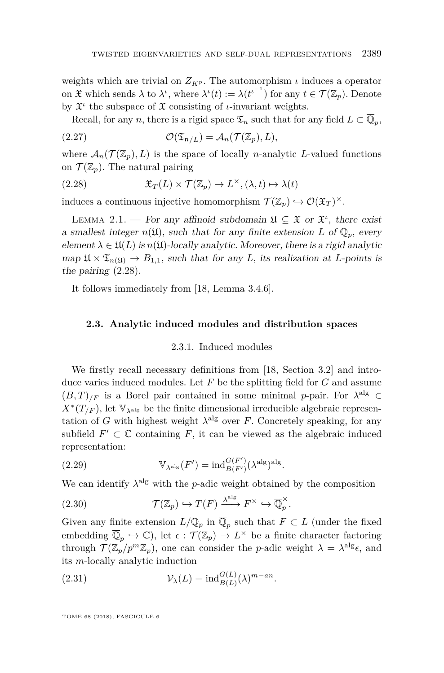weights which are trivial on  $Z_{K^p}$ . The automorphism  $\iota$  induces a operator on  $\mathfrak X$  which sends  $\lambda$  to  $\lambda^i$ , where  $\lambda^i(t) := \lambda({t^i}^{-1})$  for any  $t \in \mathcal T(\mathbb{Z}_p)$ . Denote by  $\mathfrak{X}^i$  the subspace of  $\mathfrak{X}$  consisting of *ι*-invariant weights.

Recall, for any *n*, there is a rigid space  $\mathfrak{T}_n$  such that for any field  $L \subset \overline{\mathbb{Q}}_p$ ,

(2.27) 
$$
\mathcal{O}(\mathfrak{T}_{\mathfrak{n}/L}) = \mathcal{A}_n(\mathcal{T}(\mathbb{Z}_p), L),
$$

where  $\mathcal{A}_n(\mathcal{T}(\mathbb{Z}_n), L)$  is the space of locally *n*-analytic *L*-valued functions on  $\mathcal{T}(\mathbb{Z}_p)$ . The natural pairing

<span id="page-9-1"></span>(2.28) 
$$
\mathfrak{X}_T(L) \times \mathcal{T}(\mathbb{Z}_p) \to L^{\times}, (\lambda, t) \mapsto \lambda(t)
$$

induces a continuous injective homomorphism  $\mathcal{T}(\mathbb{Z}_p) \hookrightarrow \mathcal{O}(\mathfrak{X}_T)^{\times}$ .

<span id="page-9-2"></span>LEMMA 2.1. — For any affinoid subdomain  $\mathfrak{U} \subseteq \mathfrak{X}$  or  $\mathfrak{X}^i$ , there exist a smallest integer  $n(\mathfrak{U})$ , such that for any finite extension *L* of  $\mathbb{Q}_p$ , every element  $\lambda \in \mathfrak{U}(L)$  is  $n(\mathfrak{U})$ -locally analytic. Moreover, there is a rigid analytic map  $\mathfrak{U} \times \mathfrak{T}_{n(\mathfrak{U})} \to B_{1,1}$ , such that for any *L*, its realization at *L*-points is the pairing [\(2.28\)](#page-9-1).

It follows immediately from [\[18,](#page-64-0) Lemma 3.4.6].

#### <span id="page-9-0"></span>**2.3. Analytic induced modules and distribution spaces**

#### 2.3.1. Induced modules

We firstly recall necessary definitions from [\[18,](#page-64-0) Section 3.2] and introduce varies induced modules. Let *F* be the splitting field for *G* and assume  $(B,T)_{/F}$  is a Borel pair contained in some minimal *p*-pair. For  $\lambda^{\text{alg}} \in$  $X^*(T_F)$ , let  $\mathbb{V}_{\lambda^{\text{alg}}}$  be the finite dimensional irreducible algebraic representation of *G* with highest weight  $\lambda^{\text{alg}}$  over *F*. Concretely speaking, for any subfield  $F' \subset \mathbb{C}$  containing  $F$ , it can be viewed as the algebraic induced representation:

(2.29) 
$$
\mathbb{V}_{\lambda^{alg}}(F') = ind_{B(F')}^{G(F')}(\lambda^{alg})^{alg}.
$$

We can identify  $\lambda^{\text{alg}}$  with the *p*-adic weight obtained by the composition

(2.30) 
$$
\mathcal{T}(\mathbb{Z}_p) \hookrightarrow T(F) \xrightarrow{\lambda^{\text{alg}}} F^{\times} \hookrightarrow \overline{\mathbb{Q}}_p^{\times}.
$$

Given any finite extension  $L/\mathbb{Q}_p$  in  $\overline{\mathbb{Q}}_p$  such that  $F \subset L$  (under the fixed embedding  $\overline{\mathbb{Q}}_p \hookrightarrow \mathbb{C}$ , let  $\epsilon : \mathcal{T}(\mathbb{Z}_p) \to L^\times$  be a finite character factoring through  $\mathcal{T}(\mathbb{Z}_p/p^m\mathbb{Z}_p)$ , one can consider the *p*-adic weight  $\lambda = \lambda^{\text{alg}}\epsilon$ , and its *m*-locally analytic induction

(2.31) 
$$
\mathcal{V}_{\lambda}(L) = \text{ind}_{B(L)}^{G(L)}(\lambda)^{m-an}.
$$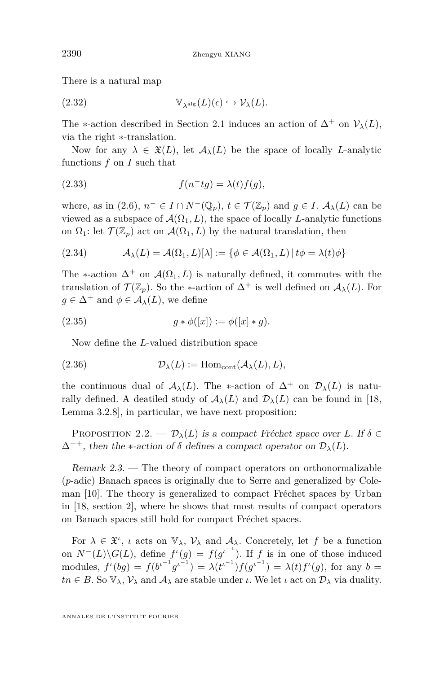There is a natural map

(2.32) 
$$
\mathbb{V}_{\lambda^{\text{alg}}}(L)(\epsilon) \hookrightarrow \mathcal{V}_{\lambda}(L).
$$

The \*-action described in Section [2.1](#page-5-0) induces an action of  $\Delta^+$  on  $\mathcal{V}_\lambda(L)$ , via the right ∗-translation.

Now for any  $\lambda \in \mathfrak{X}(L)$ , let  $\mathcal{A}_{\lambda}(L)$  be the space of locally *L*-analytic functions *f* on *I* such that

(2.33) 
$$
f(n^{-}tg) = \lambda(t)f(g),
$$

where, as in [\(2.6\)](#page-6-2),  $n^- \in I \cap N^-(\mathbb{Q}_p)$ ,  $t \in \mathcal{T}(\mathbb{Z}_p)$  and  $g \in I$ .  $\mathcal{A}_\lambda(L)$  can be viewed as a subspace of  $\mathcal{A}(\Omega_1, L)$ , the space of locally *L*-analytic functions on  $\Omega_1$ : let  $\mathcal{T}(\mathbb{Z}_p)$  act on  $\mathcal{A}(\Omega_1, L)$  by the natural translation, then

<span id="page-10-0"></span>(2.34) 
$$
\mathcal{A}_{\lambda}(L) = \mathcal{A}(\Omega_1, L)[\lambda] := \{ \phi \in \mathcal{A}(\Omega_1, L) | t\phi = \lambda(t)\phi \}
$$

The \*-action  $\Delta^+$  on  $\mathcal{A}(\Omega_1, L)$  is naturally defined, it commutes with the translation of  $\mathcal{T}(\mathbb{Z}_p)$ . So the  $\ast$ -action of  $\Delta^+$  is well defined on  $\mathcal{A}_{\lambda}(L)$ . For  $q \in \Delta^+$  and  $\phi \in \mathcal{A}_{\lambda}(L)$ , we define

(2.35) 
$$
g * \phi([x]) := \phi([x] * g).
$$

Now define the *L*-valued distribution space

(2.36) 
$$
\mathcal{D}_{\lambda}(L) := \text{Hom}_{\text{cont}}(\mathcal{A}_{\lambda}(L), L),
$$

the continuous dual of  $A_\lambda(L)$ . The \*-action of  $\Delta^+$  on  $\mathcal{D}_\lambda(L)$  is naturally defined. A deatiled study of  $\mathcal{A}_{\lambda}(L)$  and  $\mathcal{D}_{\lambda}(L)$  can be found in [\[18,](#page-64-0) Lemma 3.2.8], in particular, we have next proposition:

<span id="page-10-1"></span>PROPOSITION 2.2. —  $\mathcal{D}_{\lambda}(L)$  is a compact Fréchet space over *L*. If  $\delta \in$  $\Delta^{++}$ , then the \*-action of  $\delta$  defines a compact operator on  $\mathcal{D}_{\lambda}(L)$ .

Remark 2.3. — The theory of compact operators on orthonormalizable (*p*-adic) Banach spaces is originally due to Serre and generalized by Coleman [\[10\]](#page-63-6). The theory is generalized to compact Fréchet spaces by Urban in [\[18,](#page-64-0) section 2], where he shows that most results of compact operators on Banach spaces still hold for compact Fréchet spaces.

For  $\lambda \in \mathfrak{X}^i$ , *ι* acts on  $\mathbb{V}_{\lambda}$ ,  $\mathcal{V}_{\lambda}$  and  $\mathcal{A}_{\lambda}$ . Concretely, let f be a function on  $N^{-}(L)\backslash G(L)$ , define  $f'(g) = f(g^{i^{-1}})$ . If *f* is in one of those induced modules,  $f^{\iota}(bg) = f(b^{\iota^{-1}}g^{\iota^{-1}}) = \lambda(t^{\iota^{-1}})f(g^{\iota^{-1}}) = \lambda(t)f^{\iota}(g)$ , for any  $b =$  $tn \in B$ . So  $\mathbb{V}_{\lambda}$ ,  $\mathcal{V}_{\lambda}$  and  $\mathcal{A}_{\lambda}$  are stable under *ι*. We let *ι* act on  $\mathcal{D}_{\lambda}$  via duality.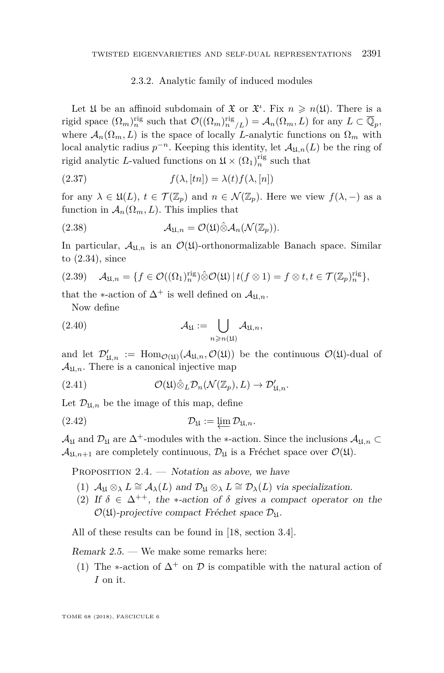#### 2.3.2. Analytic family of induced modules

Let  $\mathfrak U$  be an affinoid subdomain of  $\mathfrak X$  or  $\mathfrak X^i$ . Fix  $n \geqslant n(\mathfrak U)$ . There is a rigid space  $(\Omega_m)_{n}^{\text{rig}}$  such that  $\mathcal{O}((\Omega_m)_{n}^{\text{rig}}/L) = \mathcal{A}_n(\Omega_m, L)$  for any  $L \subset \overline{\mathbb{Q}}_p$ , where  $\mathcal{A}_n(\Omega_m, L)$  is the space of locally *L*-analytic functions on  $\Omega_m$  with local analytic radius  $p^{-n}$ . Keeping this identity, let  $\mathcal{A}_{\mathfrak{U},n}(L)$  be the ring of rigid analytic L-valued functions on  $\mathfrak{U} \times (\Omega_1)_n^{\text{rig}}$  such that

(2.37) 
$$
f(\lambda, [tn]) = \lambda(t) f(\lambda, [n])
$$

for any  $\lambda \in \mathfrak{U}(L), t \in \mathcal{T}(\mathbb{Z}_p)$  and  $n \in \mathcal{N}(\mathbb{Z}_p)$ . Here we view  $f(\lambda, -)$  as a function in  $\mathcal{A}_n(\Omega_m, L)$ . This implies that

(2.38) 
$$
\mathcal{A}_{\mathfrak{U},n} = \mathcal{O}(\mathfrak{U}) \hat{\otimes} \mathcal{A}_n(\mathcal{N}(\mathbb{Z}_p)).
$$

In particular,  $A_{\mathfrak{U},n}$  is an  $\mathcal{O}(\mathfrak{U})$ -orthonormalizable Banach space. Similar to [\(2.34\)](#page-10-0), since

(2.39) 
$$
\mathcal{A}_{\mathfrak{U},n} = \{ f \in \mathcal{O}((\Omega_1)_n^{\text{rig}}) \hat{\otimes} \mathcal{O}(\mathfrak{U}) \mid t(f \otimes 1) = f \otimes t, t \in \mathcal{T}(\mathbb{Z}_p)_n^{\text{rig}} \},
$$

that the  $\ast$ -action of  $\Delta^+$  is well defined on  $\mathcal{A}_{\mathfrak{U},n}$ .

Now define

(2.40) 
$$
\mathcal{A}_{\mathfrak{U}} := \bigcup_{n \geq n(\mathfrak{U})} \mathcal{A}_{\mathfrak{U},n},
$$

and let  $\mathcal{D}'_{\mathfrak{U},n} := \text{Hom}_{\mathcal{O}(\mathfrak{U})}(\mathcal{A}_{\mathfrak{U},n},\mathcal{O}(\mathfrak{U}))$  be the continuous  $\mathcal{O}(\mathfrak{U})$ -dual of  $\mathcal{A}_{\text{M},n}$ . There is a canonical injective map

(2.41) 
$$
\mathcal{O}(\mathfrak{U}) \hat{\otimes}_L \mathcal{D}_n(\mathcal{N}(\mathbb{Z}_p), L) \to \mathcal{D}'_{\mathfrak{U},n}.
$$

Let  $\mathcal{D}_{\mathfrak{U},n}$  be the image of this map, define

$$
(2.42) \t\t\t\t\t\mathcal{D}_{\mathfrak{U}} := \varprojlim \mathcal{D}_{\mathfrak{U},n}.
$$

 $\mathcal{A}_{\mathfrak{U}}$  and  $\mathcal{D}_{\mathfrak{U}}$  are  $\Delta^+$ -modules with the ∗-action. Since the inclusions  $\mathcal{A}_{\mathfrak{U},n}$  $\mathcal{A}_{\mathfrak{U},n+1}$  are completely continuous,  $\mathcal{D}_{\mathfrak{U}}$  is a Fréchet space over  $\mathcal{O}(\mathfrak{U})$ .

<span id="page-11-1"></span><span id="page-11-0"></span>PROPOSITION  $2.4.$  — Notation as above, we have

- (1)  $A_{\mathfrak{U}} \otimes_{\lambda} L \cong A_{\lambda}(L)$  and  $\mathcal{D}_{\mathfrak{U}} \otimes_{\lambda} L \cong \mathcal{D}_{\lambda}(L)$  via specialization.
- (2) If  $\delta \in \Delta^{++}$ , the \*-action of  $\delta$  gives a compact operator on the  $\mathcal{O}(\mathfrak{U})$ -projective compact Fréchet space  $\mathcal{D}_{\mathfrak{U}}$ .

All of these results can be found in [\[18,](#page-64-0) section 3.4].

Remark 2.5. — We make some remarks here:

(1) The  $\ast$ -action of  $\Delta^+$  on  $\mathcal D$  is compatible with the natural action of *I* on it.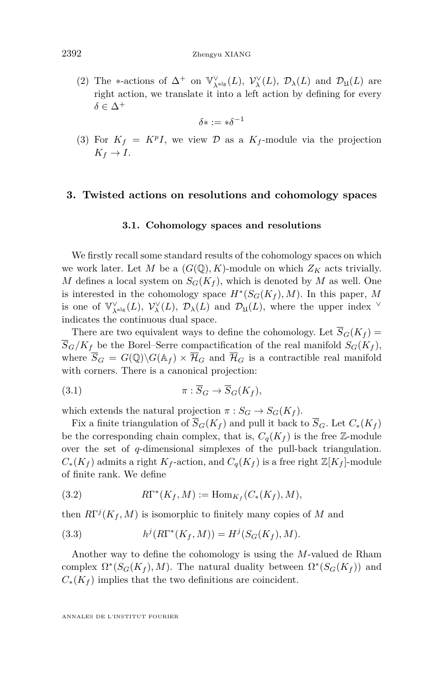(2) The \*-actions of  $\Delta^+$  on  $\mathbb{V}_{\lambda^{\text{alg}}}^{\vee}(L)$ ,  $\mathcal{V}_{\lambda}^{\vee}(L)$ ,  $\mathcal{D}_{\lambda}(L)$  and  $\mathcal{D}_{\mathfrak{U}}(L)$  are right action, we translate it into a left action by defining for every  $\delta \in \Delta^+$ 

$$
\delta*:=*\delta^{-1}
$$

(3) For  $K_f = K^pI$ , we view  $\mathcal D$  as a  $K_f$ -module via the projection  $K_f \rightarrow I$ .

#### <span id="page-12-0"></span>**3. Twisted actions on resolutions and cohomology spaces**

#### **3.1. Cohomology spaces and resolutions**

We firstly recall some standard results of the cohomology spaces on which we work later. Let *M* be a  $(G(\mathbb{Q}), K)$ -module on which  $Z_K$  acts trivially. *M* defines a local system on  $S_G(K_f)$ , which is denoted by *M* as well. One is interested in the cohomology space  $H^*(S_G(K_f), M)$ . In this paper, M is one of  $\mathbb{V}_{\lambda^{alg}}^{\vee}(L)$ ,  $\mathcal{V}_{\lambda}^{\vee}(L)$ ,  $\mathcal{D}_{\lambda}(L)$  and  $\mathcal{D}_{\mathfrak{U}}(L)$ , where the upper index  $\vee$ indicates the continuous dual space.

There are two equivalent ways to define the cohomology. Let  $\overline{S}_G(K_f)$  =  $\overline{S}_G/K_f$  be the Borel–Serre compactification of the real manifold  $S_G(K_f)$ , where  $\overline{S}_G = G(\mathbb{Q}) \backslash G(\mathbb{A}_f) \times \overline{\mathcal{H}}_G$  and  $\overline{\mathcal{H}}_G$  is a contractible real manifold with corners. There is a canonical projection:

(3.1) 
$$
\pi : \overline{S}_G \to \overline{S}_G(K_f),
$$

which extends the natural projection  $\pi : S_G \to S_G(K_f)$ .

Fix a finite triangulation of  $\overline{S}_G(K_f)$  and pull it back to  $\overline{S}_G$ . Let  $C_*(K_f)$ be the corresponding chain complex, that is,  $C_q(K_f)$  is the free Z-module over the set of *q*-dimensional simplexes of the pull-back triangulation.  $C_*(K_f)$  admits a right  $K_f$ -action, and  $C_q(K_f)$  is a free right  $\mathbb{Z}[K_f]$ -module of finite rank. We define

(3.2) 
$$
R\Gamma^*(K_f, M) := \text{Hom}_{K_f}(C_*(K_f), M),
$$

then  $R\Gamma^{j}(K_f, M)$  is isomorphic to finitely many copies of M and

(3.3) 
$$
h^{j}(R\Gamma^{*}(K_{f},M)) = H^{j}(S_{G}(K_{f}),M).
$$

Another way to define the cohomology is using the *M*-valued de Rham complex  $\Omega^*(S_G(K_f), M)$ . The natural duality between  $\Omega^*(S_G(K_f))$  and  $C_*(K_f)$  implies that the two definitions are coincident.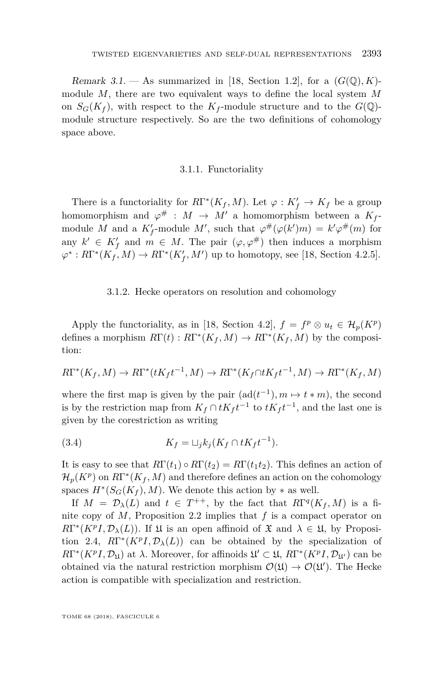Remark 3.1. — As summarized in [\[18,](#page-64-0) Section 1.2], for a  $(G(\mathbb{Q}), K)$ module *M*, there are two equivalent ways to define the local system *M* on  $S_G(K_f)$ , with respect to the  $K_f$ -module structure and to the  $G(\mathbb{Q})$ module structure respectively. So are the two definitions of cohomology space above.

#### 3.1.1. Functoriality

There is a functoriality for  $R\Gamma^*(K_f, M)$ . Let  $\varphi: K_f' \to K_f$  be a group homomorphism and  $\varphi^{\#}: M \to M'$  a homomorphism between a  $K_f$ module *M* and a  $K_f'$ -module *M'*, such that  $\varphi^{\#}(\varphi(k')m) = k'\varphi^{\#}(m)$  for any  $k' \in K'_{f}$  and  $m \in M$ . The pair  $(\varphi, \varphi^{\#})$  then induces a morphism  $\varphi^*$ :  $R\Gamma^*(K_f, M) \to R\Gamma^*(K_f', M')$  up to homotopy, see [\[18,](#page-64-0) Section 4.2.5].

#### 3.1.2. Hecke operators on resolution and cohomology

Apply the functoriality, as in [\[18,](#page-64-0) Section 4.2],  $f = f^p \otimes u_t \in \mathcal{H}_p(K^p)$ defines a morphism  $R\Gamma(t) : R\Gamma^*(K_f, M) \to R\Gamma^*(K_f, M)$  by the composition:

$$
R\Gamma^*(K_f, M) \to R\Gamma^*(tK_f t^{-1}, M) \to R\Gamma^*(K_f \cap tK_f t^{-1}, M) \to R\Gamma^*(K_f, M)
$$

where the first map is given by the pair  $(\text{ad}(t^{-1}), m \mapsto t * m)$ , the second is by the restriction map from  $K_f \cap tK_f t^{-1}$  to  $tK_f t^{-1}$ , and the last one is given by the corestriction as writing

$$
(3.4) \t K_f = \sqcup_j k_j (K_f \cap tK_f t^{-1}).
$$

It is easy to see that  $R\Gamma(t_1) \circ R\Gamma(t_2) = R\Gamma(t_1 t_2)$ . This defines an action of  $\mathcal{H}_p(K^p)$  on  $R\Gamma^*(K_f, M)$  and therefore defines an action on the cohomology spaces  $H^*(S_G(K_f), M)$ . We denote this action by  $*$  as well.

If  $M = \mathcal{D}_{\lambda}(L)$  and  $t \in T^{++}$ , by the fact that  $R\Gamma^{q}(K_f, M)$  is a finite copy of *M*, Proposition [2.2](#page-10-1) implies that *f* is a compact operator on  $R\Gamma^{*}(K^{p}I, \mathcal{D}_{\lambda}(L))$ . If  $\mathfrak{U}$  is an open affinoid of  $\mathfrak{X}$  and  $\lambda \in \mathfrak{U}$ , by Proposi-tion [2.4,](#page-11-0)  $R\Gamma^{*}(K^{p}I, \mathcal{D}_{\lambda}(L))$  can be obtained by the specialization of *R*Γ<sup>\*</sup>(*K<sup>p</sup>I*, *D*<sub>Ω</sub>) at *λ*. Moreover, for affinoids  $\mathfrak{U}' \subset \mathfrak{U}$ , *R*Γ<sup>\*</sup>(*K<sup>p</sup>I*, *D*<sub>Ω</sub><sup>*i*</sup>) can be obtained via the natural restriction morphism  $\mathcal{O}(\mathfrak{U}) \to \mathcal{O}(\mathfrak{U}')$ . The Hecke action is compatible with specialization and restriction.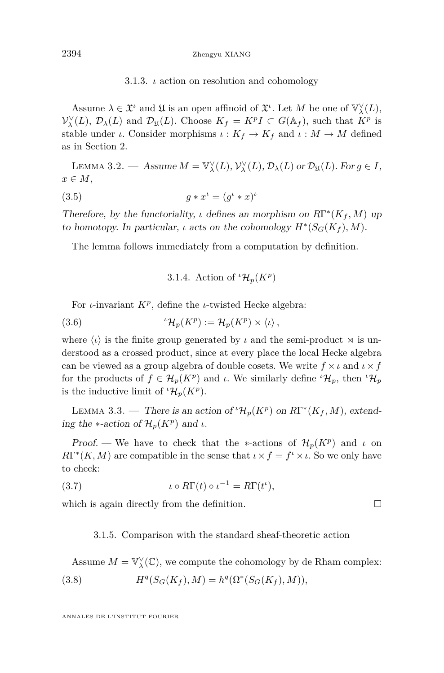3.1.3. *ι* action on resolution and cohomology

<span id="page-14-0"></span>Assume  $\lambda \in \mathfrak{X}^{\iota}$  and  $\mathfrak{U}$  is an open affinoid of  $\mathfrak{X}^{\iota}$ . Let M be one of  $\mathbb{V}_{\lambda}^{\vee}(L)$ ,  $\mathcal{V}_{\lambda}^{\vee}(L)$ ,  $\mathcal{D}_{\lambda}(L)$  and  $\mathcal{D}_{\mu}(L)$ . Choose  $K_f = K^p I \subset G(\mathbb{A}_f)$ , such that  $K^p$  is stable under *ι*. Consider morphisms  $\iota: K_f \to K_f$  and  $\iota: M \to M$  defined as in Section [2.](#page-5-1)

LEMMA 3.2. — Assume  $M = \mathbb{V}_{\lambda}^{\vee}(L), \mathcal{V}_{\lambda}^{\vee}(L), \mathcal{D}_{\lambda}(L)$  or  $\mathcal{D}_{\mathfrak{U}}(L)$ . For  $g \in I$ ,  $x \in M$ ,

$$
(3.5) \t\t g * x^{\iota} = (g^{\iota} * x)^{\iota}
$$

Therefore, by the functoriality, *ι* defines an morphism on  $R\Gamma^*(K_f, M)$  up to homotopy. In particular, *ι* acts on the cohomology  $H^*(S_G(K_f), M)$ .

The lemma follows immediately from a computation by definition.

3.1.4. Action of  ${}^{\iota} \mathcal{H}_p(K^p)$ 

For *ι*-invariant *K<sup>p</sup>* , define the *ι*-twisted Hecke algebra:

(3.6) 
$$
{}^{\iota}\mathcal{H}_p(K^p) := \mathcal{H}_p(K^p) \rtimes \langle \iota \rangle,
$$

where  $\langle \iota \rangle$  is the finite group generated by  $\iota$  and the semi-product  $\rtimes$  is understood as a crossed product, since at every place the local Hecke algebra can be viewed as a group algebra of double cosets. We write  $f \times \iota$  and  $\iota \times f$ for the products of  $f \in H_p(K^p)$  and *ι*. We similarly define  ${}^{\iota}H_p$ , then  ${}^{\iota}H_p$ is the inductive limit of  ${}^{\iota} \mathcal{H}_p(K^p)$ .

LEMMA 3.3. — There is an action of  ${}^t\mathcal{H}_p(K^p)$  on  $R\Gamma^*(K_f, M)$ , extending the  $*$ -action of  $\mathcal{H}_p(K^p)$  and *ι*.

Proof. — We have to check that the \*-actions of  $\mathcal{H}_p(K^p)$  and *ι* on  $R\Gamma^{*}(K, M)$  are compatible in the sense that  $\iota \times f = f^{\iota} \times \iota$ . So we only have to check:

(3.7)  $\iota \circ R\Gamma(t) \circ \iota^{-1} = R\Gamma(t^{\iota}),$ 

which is again directly from the definition.  $\Box$ 

#### 3.1.5. Comparison with the standard sheaf-theoretic action

Assume 
$$
M = \mathbb{V}_{\lambda}^{\vee}(\mathbb{C})
$$
, we compute the cohomology by de Rham complex:  
(3.8) 
$$
H^{q}(S_G(K_f), M) = h^{q}(\Omega^*(S_G(K_f), M)),
$$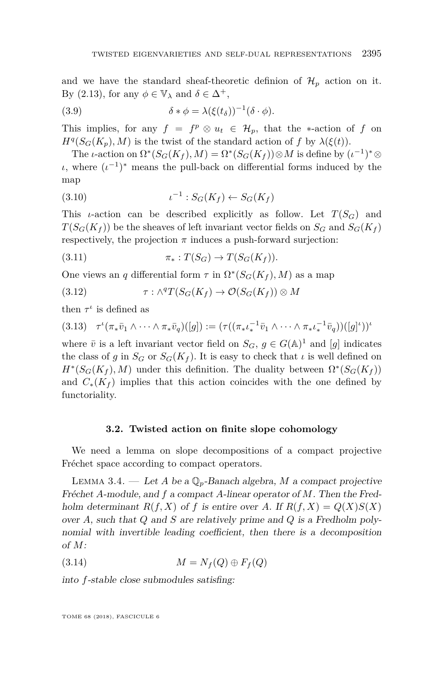and we have the standard sheaf-theoretic definion of  $\mathcal{H}_p$  action on it. By [\(2.13\)](#page-7-0), for any  $\phi \in \mathbb{V}_{\lambda}$  and  $\delta \in \Delta^{+}$ ,

<span id="page-15-0"></span>(3.9) 
$$
\delta * \phi = \lambda (\xi(t_\delta))^{-1} (\delta \cdot \phi).
$$

This implies, for any  $f = f^p \otimes u_t \in \mathcal{H}_p$ , that the ∗-action of *f* on  $H^q(S_G(K_p), M)$  is the twist of the standard action of *f* by  $\lambda(\xi(t))$ .

The *ι*-action on  $\Omega^*(S_G(K_f), M) = \Omega^*(S_G(K_f)) \otimes M$  is define by  $(\iota^{-1})^* \otimes$ *ι*, where  $(\iota^{-1})^*$  means the pull-back on differential forms induced by the map

(3.10) 
$$
t^{-1}: S_G(K_f) \leftarrow S_G(K_f)
$$

This *ι*-action can be described explicitly as follow. Let  $T(S_G)$  and  $T(S_G(K_f))$  be the sheaves of left invariant vector fields on  $S_G$  and  $S_G(K_f)$ respectively, the projection  $\pi$  induces a push-forward surjection:

$$
(3.11) \t\t \pi_*: T(S_G) \to T(S_G(K_f)).
$$

One views an *q* differential form  $\tau$  in  $\Omega^*(S_G(K_f), M)$  as a map

(3.12) 
$$
\tau : \wedge^q T(S_G(K_f) \to \mathcal{O}(S_G(K_f)) \otimes M
$$

then  $\tau^{\iota}$  is defined as

$$
(3.13) \quad \tau^{\nu}(\pi_* \bar{v}_1 \wedge \cdots \wedge \pi_* \bar{v}_q)([g]) := (\tau((\pi_* \iota_*^{-1} \bar{v}_1 \wedge \cdots \wedge \pi_* \iota_*^{-1} \bar{v}_q))([g]^{\nu}))^{\nu}
$$

where  $\bar{v}$  is a left invariant vector field on  $S_G$ ,  $g \in G(\mathbb{A})^1$  and  $[g]$  indicates the class of *g* in  $S_G$  or  $S_G(K_f)$ . It is easy to check that *ι* is well defined on  $H^*(S_G(K_f), M)$  under this definition. The duality between  $\Omega^*(S_G(K_f))$ and  $C_*(K_f)$  implies that this action coincides with the one defined by functoriality.

#### **3.2. Twisted action on finite slope cohomology**

We need a lemma on slope decompositions of a compact projective Fréchet space according to compact operators.

<span id="page-15-1"></span>LEMMA 3.4. — Let *A* be a  $\mathbb{Q}_p$ -Banach algebra, *M* a compact projective Fréchet *A*-module, and *f* a compact *A*-linear operator of *M*. Then the Fredholm determinant  $R(f, X)$  of f is entire over A. If  $R(f, X) = Q(X)S(X)$ over *A*, such that *Q* and *S* are relatively prime and *Q* is a Fredholm polynomial with invertible leading coefficient, then there is a decomposition of *M*:

$$
(3.14) \t\t M = N_f(Q) \oplus F_f(Q)
$$

into *f*-stable close submodules satisfing: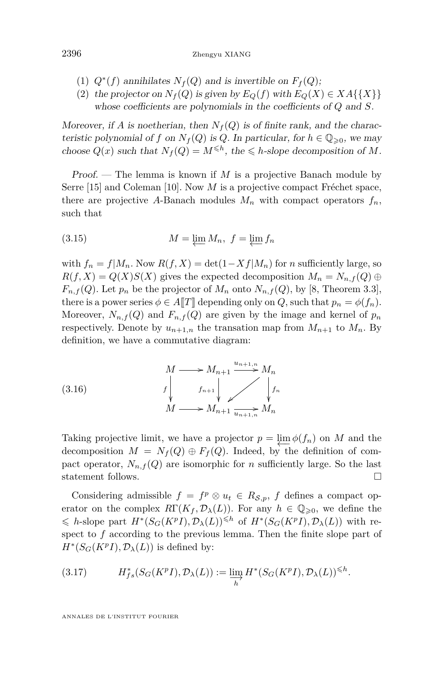- (1)  $Q^*(f)$  annihilates  $N_f(Q)$  and is invertible on  $F_f(Q)$ ;
- (2) the projector on  $N_f(Q)$  is given by  $E_Q(f)$  with  $E_Q(X) \in XA\{\{X\}\}\$ whose coefficients are polynomials in the coefficients of *Q* and *S*.

Moreover, if *A* is noetherian, then  $N_f(Q)$  is of finite rank, and the characteristic polynomial of *f* on  $N_f(Q)$  is *Q*. In particular, for  $h \in \mathbb{Q}_{\geqslant 0}$ , we may choose  $Q(x)$  such that  $N_f(Q) = M^{\leq h}$ , the  $\leq h$ -slope decomposition of M.

Proof. — The lemma is known if *M* is a projective Banach module by Serre [\[15\]](#page-64-4) and Coleman [\[10\]](#page-63-6). Now *M* is a projective compact Fréchet space, there are projective A-Banach modules  $M_n$  with compact operators  $f_n$ , such that

(3.15) 
$$
M = \varprojlim M_n, \ f = \varprojlim f_n
$$

with  $f_n = f|M_n$ . Now  $R(f, X) = \det(1 - Xf|M_n)$  for *n* sufficiently large, so  $R(f, X) = Q(X)S(X)$  gives the expected decomposition  $M_n = N_{n,f}(Q) \oplus$  $F_{n,f}(Q)$ . Let  $p_n$  be the projector of  $M_n$  onto  $N_{n,f}(Q)$ , by [\[8,](#page-63-7) Theorem 3.3], there is a power series  $\phi \in A[T]$  depending only on *Q*, such that  $p_n = \phi(f_n)$ . Moreover,  $N_{n,f}(Q)$  and  $F_{n,f}(Q)$  are given by the image and kernel of  $p_n$ respectively. Denote by  $u_{n+1,n}$  the transation map from  $M_{n+1}$  to  $M_n$ . By definition, we have a commutative diagram:

(3.16) 
$$
M \longrightarrow M_{n+1} \xrightarrow{u_{n+1,n}} M_n
$$

$$
f \downarrow f_{n+1} \downarrow f_n
$$

$$
M \longrightarrow M_{n+1} \xrightarrow{u_{n+1,n}} M_n
$$

Taking projective limit, we have a projector  $p = \lim_{n \to \infty} \phi(f_n)$  on *M* and the decomposition  $M = N_f(Q) \oplus F_f(Q)$ . Indeed, by the definition of compact operator,  $N_{n,f}(Q)$  are isomorphic for *n* sufficiently large. So the last statement follows.

Considering admissible  $f = f^p \otimes u_t \in R_{\mathcal{S},p}$ , *f* defines a compact operator on the complex  $R\Gamma(K_f, \mathcal{D}_\lambda(L))$ . For any  $h \in \mathbb{Q}_{\geqslant 0}$ , we define the  $\leq h$ -slope part  $H^*(S_G(K^pI), \mathcal{D}_\lambda(L)) \leq h$  of  $H^*(S_G(K^pI), \mathcal{D}_\lambda(L))$  with respect to *f* according to the previous lemma. Then the finite slope part of  $H^*(S_G(K^pI), \mathcal{D}_\lambda(L))$  is defined by:

(3.17) 
$$
H_{fs}^*(S_G(K^pI), \mathcal{D}_\lambda(L)) := \varinjlim_h H^*(S_G(K^pI), \mathcal{D}_\lambda(L))^{\leq h}.
$$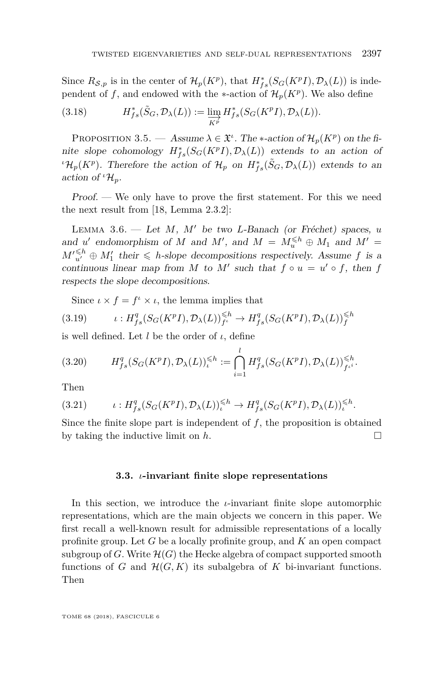Since  $R_{\mathcal{S},p}$  is in the center of  $\mathcal{H}_p(K^p)$ , that  $H^*_{fs}(S_G(K^pI), \mathcal{D}_\lambda(L))$  is independent of  $f$ , and endowed with the ∗-action of  $\mathcal{H}_p(K^p)$ . We also define

(3.18) 
$$
H_{fs}^*(\tilde{S}_G, \mathcal{D}_\lambda(L)) := \varinjlim_{K^p} H_{fs}^*(S_G(K^pI), \mathcal{D}_\lambda(L)).
$$

<span id="page-17-0"></span>PROPOSITION 3.5. — Assume  $\lambda \in \mathfrak{X}^i$ . The \*-action of  $\mathcal{H}_p(K^p)$  on the finite slope cohomology  $H_{fs}^*(S_G(K^pI), \mathcal{D}_\lambda(L))$  extends to an action of *ι* $\mathcal{H}_p(K^p)$ . Therefore the action of  $\mathcal{H}_p$  on  $H^*_{fs}(\tilde{S}_G, \mathcal{D}_\lambda(L))$  extends to an action of  ${}^{t}\mathcal{H}_{p}$ .

Proof. — We only have to prove the first statement. For this we need the next result from [\[18,](#page-64-0) Lemma 2.3.2]:

LEMMA 3.6. — Let  $M$ ,  $M'$  be two *L*-Banach (or Fréchet) spaces, *u* and *u*' endomorphism of *M* and *M*<sup>'</sup>, and  $M = M_{u}^{\leq h} \oplus M_1$  and  $M' =$  $M_{u'}^{\leq h} \oplus M_1'$  their  $\leq h$ -slope decompositions respectively. Assume *f* is a continuous linear map from *M* to *M'* such that  $f \circ u = u' \circ f$ , then  $f$ respects the slope decompositions.

Since  $\iota \times f = f^{\iota} \times \iota$ , the lemma implies that

(3.19) 
$$
\iota: H^q_{fs}(S_G(K^pI), \mathcal{D}_\lambda(L))_{f^{\iota}}^{\leq h} \to H^q_{fs}(S_G(K^pI), \mathcal{D}_\lambda(L))_{f}^{\leq h}
$$

is well defined. Let *l* be the order of *ι*, define

$$
(3.20) \tH_{fs}^q(S_G(K^pI), \mathcal{D}_\lambda(L))_{{\iota}}^{\leq h} := \bigcap_{i=1}^l H_{fs}^q(S_G(K^pI), \mathcal{D}_\lambda(L))_{f^{{\iota}^i}}^{\leq h}.
$$

Then

$$
(3.21) \qquad \iota: H^q_{fs}(S_G(K^pI), \mathcal{D}_\lambda(L))^\leqslant^h \to H^q_{fs}(S_G(K^pI), \mathcal{D}_\lambda(L))^\leqslant^h.
$$

Since the finite slope part is independent of *f*, the proposition is obtained by taking the inductive limit on *h*.

#### **3.3.** *ι***-invariant finite slope representations**

<span id="page-17-1"></span>In this section, we introduce the *ι*-invariant finite slope automorphic representations, which are the main objects we concern in this paper. We first recall a well-known result for admissible representations of a locally profinite group. Let *G* be a locally profinite group, and *K* an open compact subgroup of *G*. Write  $\mathcal{H}(G)$  the Hecke algebra of compact supported smooth functions of *G* and  $\mathcal{H}(G,K)$  its subalgebra of *K* bi-invariant functions. Then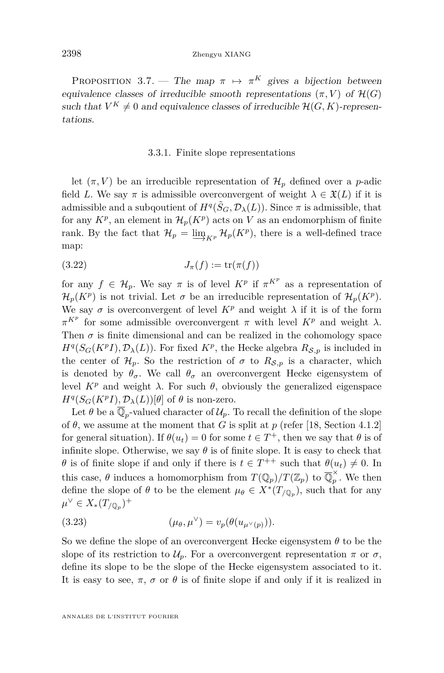<span id="page-18-0"></span>PROPOSITION 3.7. — The map  $\pi \mapsto \pi^K$  gives a bijection between equivalence classes of irreducible smooth representations  $(\pi, V)$  of  $\mathcal{H}(G)$ such that  $V^K \neq 0$  and equivalence classes of irreducible  $\mathcal{H}(G, K)$ -representations.

#### 3.3.1. Finite slope representations

let  $(\pi, V)$  be an irreducible representation of  $\mathcal{H}_p$  defined over a *p*-adic field *L*. We say  $\pi$  is admissible overconvergent of weight  $\lambda \in \mathfrak{X}(L)$  if it is admissible and a subqoutient of  $H^q(\tilde{S}_G, \mathcal{D}_\lambda(L))$ . Since  $\pi$  is admissible, that for any  $K^p$ , an element in  $\mathcal{H}_p(K^p)$  acts on V as an endomorphism of finite rank. By the fact that  $\mathcal{H}_p = \varinjlim_{K^p} \mathcal{H}_p(K^p)$ , there is a well-defined trace map:

$$
(3.22)\qquad \qquad J_{\pi}(f) := \operatorname{tr}(\pi(f))
$$

for any  $f \in \mathcal{H}_p$ . We say  $\pi$  is of level  $K^p$  if  $\pi^{K^p}$  as a representation of  $\mathcal{H}_p(K^p)$  is not trivial. Let  $\sigma$  be an irreducible representation of  $\mathcal{H}_p(K^p)$ . We say  $\sigma$  is overconvergent of level  $K^p$  and weight  $\lambda$  if it is of the form *π*<sup>*Kp*</sup> for some admissible overconvergent *π* with level *K*<sup>*p*</sup> and weight  $λ$ . Then  $\sigma$  is finite dimensional and can be realized in the cohomology space  $H^q(S_G(K^pI), \mathcal{D}_\lambda(L))$ . For fixed  $K^p$ , the Hecke algebra  $R_{\mathcal{S},p}$  is included in the center of  $\mathcal{H}_p$ . So the restriction of  $\sigma$  to  $R_{\mathcal{S},p}$  is a character, which is denoted by  $\theta_{\sigma}$ . We call  $\theta_{\sigma}$  an overconvergent Hecke eigensystem of level *K<sup>p</sup>* and weight *λ*. For such *θ*, obviously the generalized eigenspace  $H^q(S_G(K^pI), \mathcal{D}_\lambda(L))[\theta]$  of  $\theta$  is non-zero.

Let  $\theta$  be a  $\overline{\mathbb{Q}}_p$ -valued character of  $\mathcal{U}_p$ . To recall the definition of the slope of  $\theta$ , we assume at the moment that *G* is split at *p* (refer [\[18,](#page-64-0) Section 4.1.2] for general situation). If  $\theta(u_t) = 0$  for some  $t \in T^+$ , then we say that  $\theta$  is of infinite slope. Otherwise, we say  $\theta$  is of finite slope. It is easy to check that *θ* is of finite slope if and only if there is  $t \in T^{++}$  such that  $\theta(u_t) \neq 0$ . In this case,  $\theta$  induces a homomorphism from  $T(\mathbb{Q}_p)/T(\mathbb{Z}_p)$  to  $\overline{\mathbb{Q}}_p^{\times}$  $\hat{p}$ . We then define the slope of  $\theta$  to be the element  $\mu_{\theta} \in X^*(T_{/\mathbb{Q}_p})$ , such that for any  $\mu^{\vee}$  ∈  $X_*(T_{/\mathbb{Q}_p})^+$ 

(3.23) 
$$
(\mu_{\theta}, \mu^{\vee}) = v_p(\theta(u_{\mu^{\vee}(p)})).
$$

So we define the slope of an overconvergent Hecke eigensystem *θ* to be the slope of its restriction to  $\mathcal{U}_p$ . For a overconvergent representation  $\pi$  or  $\sigma$ , define its slope to be the slope of the Hecke eigensystem associated to it. It is easy to see,  $\pi$ ,  $\sigma$  or  $\theta$  is of finite slope if and only if it is realized in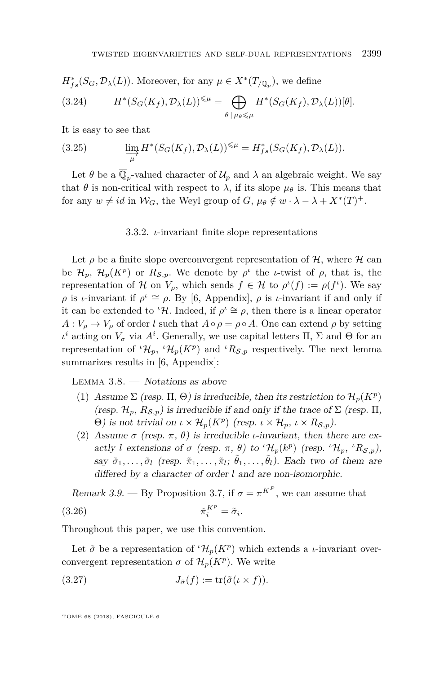$$
H_{fs}^{*}(S_G, \mathcal{D}_{\lambda}(L)).
$$
 Moreover, for any  $\mu \in X^{*}(T_{/\mathbb{Q}_p}),$  we define

(3.24) 
$$
H^*(S_G(K_f), \mathcal{D}_\lambda(L))^{\leq \mu} = \bigoplus_{\theta \mid \mu_\theta \leq \mu} H^*(S_G(K_f), \mathcal{D}_\lambda(L))[\theta].
$$

It is easy to see that

(3.25) 
$$
\lim_{\mu} H^*(S_G(K_f), \mathcal{D}_{\lambda}(L))^{\leq \mu} = H^*_{fs}(S_G(K_f), \mathcal{D}_{\lambda}(L)).
$$

Let  $\theta$  be a  $\overline{\mathbb{Q}}_p$ -valued character of  $\mathcal{U}_p$  and  $\lambda$  an algebraic weight. We say that  $\theta$  is non-critical with respect to  $\lambda$ , if its slope  $\mu_{\theta}$  is. This means that for any  $w \neq id$  in  $\mathcal{W}_G$ , the Weyl group of  $G$ ,  $\mu_\theta \notin w \cdot \lambda - \lambda + X^*(T)^+$ .

#### 3.3.2. *ι*-invariant finite slope representations

<span id="page-19-1"></span>Let  $\rho$  be a finite slope overconvergent representation of  $H$ , where  $H$  can be  $\mathcal{H}_p$ ,  $\mathcal{H}_p(K^p)$  or  $R_{\mathcal{S},p}$ . We denote by  $\rho^{\iota}$  the *ι*-twist of  $\rho$ , that is, the representation of H on  $V_\rho$ , which sends  $f \in H$  to  $\rho^l(f) := \rho(f^l)$ . We say *ρ* is *ι*-invariant if  $\rho^i \cong \rho$ . By [\[6,](#page-63-8) Appendix],  $\rho$  is *ι*-invariant if and only if it can be extended to <sup>*ι*</sup>H. Indeed, if  $\rho^i \cong \rho$ , then there is a linear operator  $A: V_{\rho} \to V_{\rho}$  of order *l* such that  $A \circ \rho = \rho \circ A$ . One can extend  $\rho$  by setting *ι*<sup>*i*</sup> acting on  $V<sub>σ</sub>$  via  $A<sup>i</sup>$ . Generally, we use capital letters Π, Σ and Θ for an representation of  ${}^{i}H_{p}$ ,  ${}^{i}H_{p}(K^{p})$  and  ${}^{i}R_{S,p}$  respectively. The next lemma summarizes results in [\[6,](#page-63-8) Appendix]:

<span id="page-19-0"></span>LEMMA  $3.8.$  — Notations as above

- (1) Assume  $\Sigma$  (resp.  $\Pi$ ,  $\Theta$ ) is irreducible, then its restriction to  $\mathcal{H}_p(K^p)$ (resp.  $\mathcal{H}_p$ ,  $R_{\mathcal{S},p}$ ) is irreducible if and only if the trace of  $\Sigma$  (resp.  $\Pi$ , Θ) is not trivial on  $ι \times Η_p(K^p)$  (resp.  $ι \times Η_p$ ,  $ι \times R_{\mathcal{S},p}$ ).
- (2) Assume  $\sigma$  (resp.  $\pi$ ,  $\theta$ ) is irreducible *ι*-invariant, then there are exactly *l* extensions of  $\sigma$  (resp.  $\pi$ ,  $\theta$ ) to <sup>*ι*</sup>H<sub>p</sub>(k<sup>p</sup>) (resp. <sup>*ι*</sup>H<sub>p</sub>, <sup>*ι*</sup>R<sub>S,p</sub>), say  $\tilde{\sigma}_1, \ldots, \tilde{\sigma}_l$  (resp.  $\tilde{\pi}_1, \ldots, \tilde{\pi}_l$ ;  $\tilde{\theta}_1, \ldots, \tilde{\theta}_l$ ). Each two of them are differed by a character of order *l* and are non-isomorphic.

Remark 3.9. — By Proposition [3.7,](#page-18-0) if  $\sigma = \pi^{K^P}$ , we can assume that  $(3.26)$  $i^{K^p} = \tilde{\sigma}_i.$ 

Throughout this paper, we use this convention.

Let  $\tilde{\sigma}$  be a representation of  ${}^{i} \mathcal{H}_{p}(K^{p})$  which extends a *ι*-invariant overconvergent representation  $\sigma$  of  $\mathcal{H}_p(K^p)$ . We write

$$
(3.27) \t\t\t J_{\tilde{\sigma}}(f) := \operatorname{tr}(\tilde{\sigma}(\iota \times f)).
$$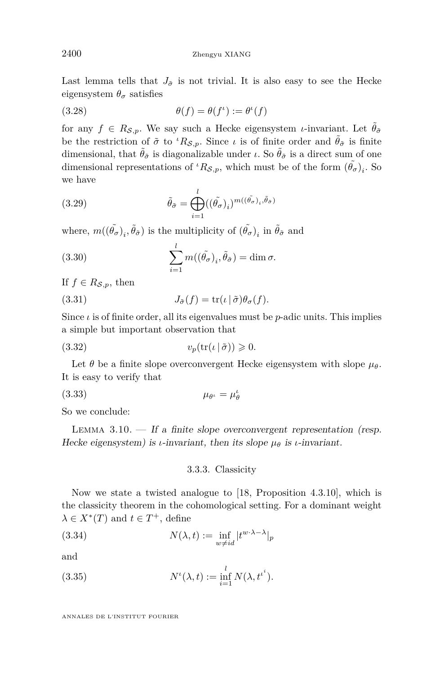Last lemma tells that  $J_{\tilde{\sigma}}$  is not trivial. It is also easy to see the Hecke eigensystem  $\theta_{\sigma}$  satisfies

(3.28) 
$$
\theta(f) = \theta(f^{\iota}) := \theta^{\iota}(f)
$$

for any  $f \in R_{\mathcal{S},p}$ . We say such a Hecke eigensystem *ι*-invariant. Let  $\tilde{\theta}_{\tilde{\sigma}}$ be the restriction of  $\tilde{\sigma}$  to <sup>*ι*</sup> $R_{\mathcal{S},p}$ . Since *ι* is of finite order and  $\tilde{\theta}_{\tilde{\sigma}}$  is finite dimensional, that  $\hat{\theta}_{\tilde{\sigma}}$  is diagonalizable under *ι*. So  $\hat{\theta}_{\tilde{\sigma}}$  is a direct sum of one dimensional representations of  ${}^{t}R_{\mathcal{S},p}$ , which must be of the form  $(\tilde{\theta}_{\sigma})_{i}$ . So we have

(3.29) 
$$
\tilde{\theta}_{\tilde{\sigma}} = \bigoplus_{i=1}^{l} ((\tilde{\theta}_{\sigma})_i)^{m((\tilde{\theta}_{\sigma})_i, \tilde{\theta}_{\tilde{\sigma}})}
$$

where,  $m((\tilde{\theta}_{\sigma})_i, \tilde{\theta}_{\tilde{\sigma}})$  is the multiplicity of  $(\tilde{\theta}_{\sigma})_i$  in  $\tilde{\theta}_{\tilde{\sigma}}$  and

(3.30) 
$$
\sum_{i=1}^{l} m((\tilde{\theta}_{\sigma})_i, \tilde{\theta}_{\tilde{\sigma}}) = \dim \sigma.
$$

If  $f \in R_{\mathcal{S},p}$ , then

<span id="page-20-1"></span>(3.31) 
$$
J_{\tilde{\sigma}}(f) = \text{tr}(\iota \,|\, \tilde{\sigma}) \theta_{\sigma}(f).
$$

Since  $\iota$  is of finite order, all its eigenvalues must be  $p$ -adic units. This implies a simple but important observation that

<span id="page-20-2"></span>(3.32) 
$$
v_p(\text{tr}(\iota \,|\, \tilde{\sigma})) \geqslant 0.
$$

Let  $\theta$  be a finite slope overconvergent Hecke eigensystem with slope  $\mu_{\theta}$ . It is easy to verify that

$$
\mu_{\theta^{\iota}} = \mu_{\theta}^{\iota}
$$

So we conclude:

LEMMA  $3.10.$  — If a finite slope overconvergent representation (resp. Hecke eigensystem) is *ι*-invariant, then its slope  $\mu_{\theta}$  is *ι*-invariant.

#### <span id="page-20-0"></span>3.3.3. Classicity

Now we state a twisted analogue to [\[18,](#page-64-0) Proposition 4.3.10], which is the classicity theorem in the cohomological setting. For a dominant weight  $\lambda \in X^*(T)$  and  $t \in T^+$ , define

(3.34) 
$$
N(\lambda, t) := \inf_{w \neq id} |t^{w \cdot \lambda - \lambda}|_p
$$

and

(3.35) 
$$
N^{\iota}(\lambda, t) := \inf_{i=1}^{l} N(\lambda, t^{i}).
$$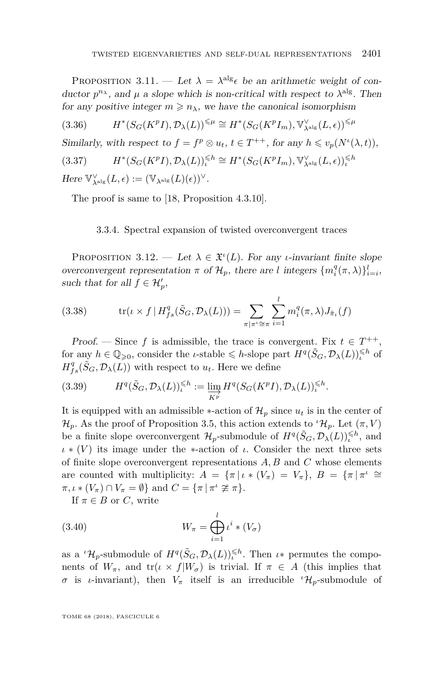<span id="page-21-1"></span>PROPOSITION 3.11. — Let  $\lambda = \lambda^{alg} \epsilon$  be an arithmetic weight of conductor  $p^{n_{\lambda}}$ , and  $\mu$  a slope which is non-critical with respect to  $\lambda^{\text{alg}}$ . Then for any positive integer  $m \geq n_{\lambda}$ , we have the canonical isomorphism

 $(3.36)$  $(S_G(K^p I), \mathcal{D}_\lambda(L))^{\leq \mu} \cong H^*(S_G(K^p I_m), \mathbb{V}_{\lambda^{\text{alg}}}^{\vee}(L, \epsilon))^{\leq \mu}$ 

Similarly, with respect to  $f = f^p \otimes u_t$ ,  $t \in T^{++}$ , for any  $h \leq v_p(N^{\iota}(\lambda, t))$ ,

$$
(3.37) \qquad \qquad H^*(S_G(K^pI),\mathcal{D}_\lambda(L))_\iota^{\leqslant h}\cong H^*(S_G(K^pI_m),\mathbb{V}_{\lambda^{\mathrm{alg}}}^\vee(L,\epsilon))_\iota^{\leqslant h}
$$

 $Here \ \mathbb{V}_{\lambda^{\mathrm{alg}}}^{\vee}(L, \epsilon) := (\mathbb{V}_{\lambda^{\mathrm{alg}}}(L)(\epsilon))^{\vee}.$ 

The proof is same to [\[18,](#page-64-0) Proposition 4.3.10].

#### 3.3.4. Spectral expansion of twisted overconvergent traces

<span id="page-21-0"></span>PROPOSITION 3.12. — Let  $\lambda \in \mathfrak{X}^{\iota}(L)$ . For any *ι*-invariant finite slope overconvergent representation  $\pi$  of  $\mathcal{H}_p$ , there are *l* integers  $\{m_i^q(\pi, \lambda)\}_{i=i}^l$ , such that for all  $f \in \mathcal{H}'_p$ ,

(3.38) 
$$
\operatorname{tr}(\iota \times f | H_{fs}^q(\tilde{S}_G, \mathcal{D}_\lambda(L))) = \sum_{\pi | \pi^i \cong \pi} \sum_{i=1}^l m_i^q(\pi, \lambda) J_{\tilde{\pi}_i}(f)
$$

Proof. — Since f is admissible, the trace is convergent. Fix  $t \in T^{++}$ , for any  $h \in \mathbb{Q}_{\geqslant 0}$ , consider the *ι*-stable  $\leqslant h$ -slope part  $H^q(\tilde{S}_G, \mathcal{D}_\lambda(L))_h^{\leqslant h}$  of  $H_{fs}^{q}(\tilde{S}_{G}, \mathcal{D}_{\lambda}(L))$  with respect to  $u_{t}$ . Here we define

(3.39) 
$$
H^q(\tilde{S}_G, \mathcal{D}_\lambda(L))_L^{\leq h} := \varinjlim_{K^p} H^q(S_G(K^p I), \mathcal{D}_\lambda(L))_L^{\leq h}.
$$

It is equipped with an admissible  $*$ -action of  $\mathcal{H}_p$  since  $u_t$  is in the center of  $\mathcal{H}_p$ . As the proof of Proposition [3.5,](#page-17-0) this action extends to  $\iota^*\mathcal{H}_p$ . Let  $(\pi, V)$ be a finite slope overconvergent  $\mathcal{H}_p$ -submodule of  $H^q(\tilde{S}_G, \mathcal{D}_\lambda(L))_k^{\leq h}$ , and  $\iota * (V)$  its image under the ∗-action of  $\iota$ . Consider the next three sets of finite slope overconvergent representations *A, B* and *C* whose elements are counted with multiplicity:  $A = {\pi | \iota * (V_{\pi}) = V_{\pi}}, B = {\pi | \pi^{\iota} \cong}$  $\pi, \iota * (V_{\pi}) \cap V_{\pi} = \emptyset$  and  $C = {\pi | \pi^{i} \ncong \pi}.$ 

If  $\pi \in B$  or *C*, write

(3.40) 
$$
W_{\pi} = \bigoplus_{i=1}^{l} \iota^{i} * (V_{\sigma})
$$

as a  ${}^{t}\mathcal{H}_p$ -submodule of  $H^q(\tilde{S}_G, \mathcal{D}_\lambda(L))_\iota^{\leq h}$ . Then  $\iota*$  permutes the components of  $W_{\pi}$ , and  $tr(\iota \times f|W_{\sigma})$  is trivial. If  $\pi \in A$  (this implies that *σ* is *ι*-invariant), then  $V_\pi$  itself is an irreducible  ${}^{\iota}H_p$ -submodule of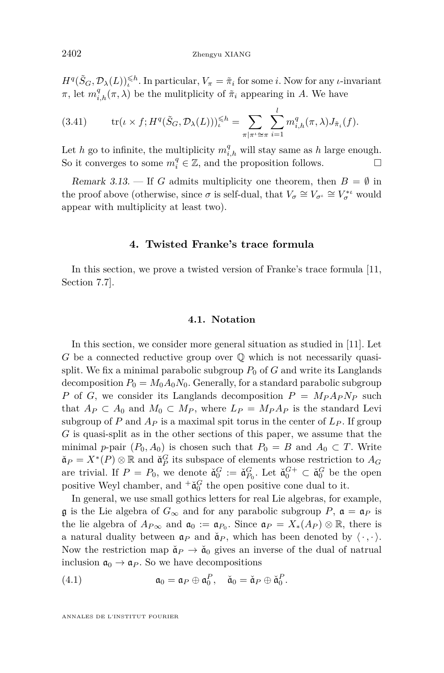$H^q(\tilde{S}_G, \mathcal{D}_\lambda(L))$ <sup> $\leq h$ </sup>. In particular,  $V_\pi = \tilde{\pi}_i$  for some *i*. Now for any *ι*-invariant *π*, let  $m_{i,h}^q(\pi, \lambda)$  be the mulitplicity of  $\tilde{\pi}_i$  appearing in *A*. We have

(3.41) 
$$
\operatorname{tr}(\iota \times f; H^q(\tilde{S}_G, \mathcal{D}_\lambda(L)))^{\leq h}_{\iota} = \sum_{\pi \mid \pi^{\iota} \cong \pi} \sum_{i=1}^l m^q_{i,h}(\pi, \lambda) J_{\tilde{\pi}_i}(f).
$$

Let *h* go to infinite, the multiplicity  $m_{i,h}^q$  will stay same as *h* large enough. So it converges to some  $m_i^q \in \mathbb{Z}$ , and the proposition follows.

Remark 3.13. — If *G* admits multiplicity one theorem, then  $B = \emptyset$  in the proof above (otherwise, since  $\sigma$  is self-dual, that  $V_{\sigma} \cong V_{\sigma}$ <sup>*ι*</sup>  $\cong V_{\sigma}^{*}$ <sup>*ι*</sup> would appear with multiplicity at least two).

#### **4. Twisted Franke's trace formula**

<span id="page-22-0"></span>In this section, we prove a twisted version of Franke's trace formula [\[11,](#page-63-3) Section 7.7].

#### **4.1. Notation**

In this section, we consider more general situation as studied in [\[11\]](#page-63-3). Let *G* be a connected reductive group over  $\mathbb Q$  which is not necessarily quasisplit. We fix a minimal parabolic subgroup  $P_0$  of  $G$  and write its Langlands decomposition  $P_0 = M_0 A_0 N_0$ . Generally, for a standard parabolic subgroup *P* of *G*, we consider its Langlands decomposition  $P = M_P A_P N_P$  such that  $A_P \subset A_0$  and  $M_0 \subset M_P$ , where  $L_P = M_P A_P$  is the standard Levi subgroup of *P* and  $A_P$  is a maximal spit torus in the center of  $L_P$ . If group *G* is quasi-split as in the other sections of this paper, we assume that the minimal *p*-pair  $(P_0, A_0)$  is chosen such that  $P_0 = B$  and  $A_0 \subset T$ . Write  $\check{\mathfrak{a}}_P = X^*(P) \otimes \mathbb{R}$  and  $\check{\mathfrak{a}}_P^G$  its subspace of elements whose restriction to  $A_G$ are trivial. If  $P = P_0$ , we denote  $\check{\mathfrak{a}}_0^G := \check{\mathfrak{a}}_{P_0}^G$ . Let  $\check{\mathfrak{a}}_0^{G+} \subset \check{\mathfrak{a}}_0^G$  be the open positive Weyl chamber, and  ${}^+\check{a}_0^G$  the open positive cone dual to it.

In general, we use small gothics letters for real Lie algebras, for example, g is the Lie algebra of  $G_{\infty}$  and for any parabolic subgroup P,  $\mathfrak{a} = \mathfrak{a}_P$  is the lie algebra of  $A_{P\infty}$  and  $\mathfrak{a}_0 := \mathfrak{a}_{P_0}$ . Since  $\mathfrak{a}_P = X_*(A_P) \otimes \mathbb{R}$ , there is a natural duality between  $a_P$  and  $\check{a}_P$ , which has been denoted by  $\langle \cdot, \cdot \rangle$ . Now the restriction map  $\check{a}_P \to \check{a}_0$  gives an inverse of the dual of natrual inclusion  $\mathfrak{a}_0 \to \mathfrak{a}_P$ . So we have decompositions

(4.1) 
$$
\mathfrak{a}_0 = \mathfrak{a}_P \oplus \mathfrak{a}_0^P, \quad \check{\mathfrak{a}}_0 = \check{\mathfrak{a}}_P \oplus \check{\mathfrak{a}}_0^P.
$$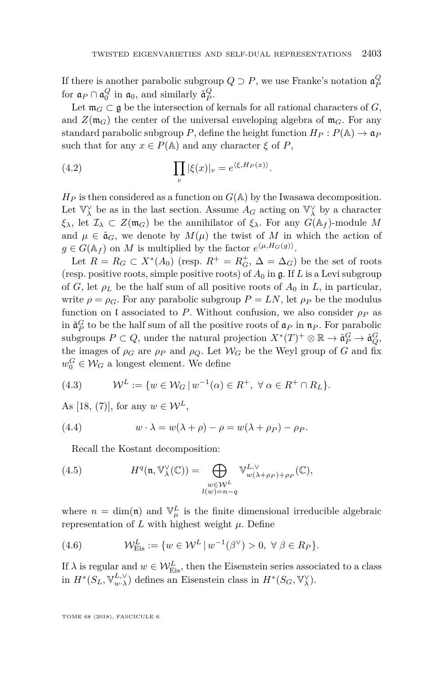If there is another parabolic subgroup  $Q \supset P$ , we use Franke's notation  $\mathfrak{a}_P^Q$ for  $a_P \cap a_0^Q$  in  $a_0$ , and similarly  $\check{a}_P^Q$ .

Let  $\mathfrak{m}_G \subset \mathfrak{g}$  be the intersection of kernals for all rational characters of *G*, and  $Z(\mathfrak{m}_G)$  the center of the universal enveloping algebra of  $\mathfrak{m}_G$ . For any standard parabolic subgroup *P*, define the height function  $H_P: P(\mathbb{A}) \to \mathfrak{a}_P$ such that for any  $x \in P(\mathbb{A})$  and any character  $\xi$  of  $P$ ,

(4.2) 
$$
\prod_{v} |\xi(x)|_{v} = e^{\langle \xi, H_P(x) \rangle}.
$$

 $H_P$  is then considered as a function on  $G(A)$  by the Iwasawa decomposition. Let  $\mathbb{V}_{\lambda}^{\vee}$  be as in the last section. Assume  $A_G$  acting on  $\mathbb{V}_{\lambda}^{\vee}$  by a character *ξ*<sub>*λ*</sub>, let  $I$ <sub>*λ*</sub> ⊂ *Z*(m<sub>*G*</sub>) be the annihilator of *ξ*<sub>*λ*</sub>. For any *G*( $A$ *f*)-module *M* and  $\mu \in \mathfrak{a}_G$ , we denote by  $M(\mu)$  the twist of M in which the action of  $g \in G(\mathbb{A}_f)$  on *M* is multiplied by the factor  $e^{\langle \mu, H_G(g) \rangle}$ .

Let  $R = R_G \subset X^*(A_0)$  (resp.  $R^+ = R_G^+$ ,  $\Delta = \Delta_G$ ) be the set of roots (resp. positive roots, simple positive roots) of  $A_0$  in  $\mathfrak{g}$ . If *L* is a Levi subgroup of *G*, let  $\rho_L$  be the half sum of all positive roots of  $A_0$  in *L*, in particular, write  $\rho = \rho_G$ . For any parabolic subgroup  $P = LN$ , let  $\rho_P$  be the modulus function on l associated to *P*. Without confusion, we also consider  $\rho_P$  as in  $\check{\mathfrak{a}}_P^G$  to be the half sum of all the positive roots of  $\mathfrak{a}_P$  in  $\mathfrak{n}_P$ . For parabolic subgroups  $P \subset Q$ , under the natural projection  $X^*(T)^+ \otimes \mathbb{R} \to \check{\mathfrak{a}}_P^G \to \check{\mathfrak{a}}_Q^G$ , the images of  $\rho_G$  are  $\rho_P$  and  $\rho_Q$ . Let  $\mathcal{W}_G$  be the Weyl group of  $G$  and fix  $w_0^G \in \mathcal{W}_G$  a longest element. We define

(4.3) 
$$
\mathcal{W}^L := \{ w \in \mathcal{W}_G \mid w^{-1}(\alpha) \in R^+, \ \forall \alpha \in R^+ \cap R_L \}.
$$

As [\[18,](#page-64-0) (7)], for any  $w \in \mathcal{W}^L$ ,

(4.4) 
$$
w \cdot \lambda = w(\lambda + \rho) - \rho = w(\lambda + \rho_P) - \rho_P.
$$

<span id="page-23-0"></span>Recall the Kostant decomposition:

(4.5) 
$$
H^{q}(\mathfrak{n}, \mathbb{V}_{\lambda}^{\vee}(\mathbb{C})) = \bigoplus_{\substack{w \in \mathcal{W}^{L} \\ l(w) = n - q}} \mathbb{V}_{w(\lambda + \rho_{P}) + \rho_{P}}^{L, \vee}(\mathbb{C}),
$$

where  $n = \dim(\mathfrak{n})$  and  $\mathbb{V}_{\mu}^{L}$  is the finite dimensional irreducible algebraic representation of  $L$  with highest weight  $\mu$ . Define

(4.6) 
$$
\mathcal{W}_{Eis}^L := \{ w \in \mathcal{W}^L \, | \, w^{-1}(\beta^{\vee}) > 0, \, \forall \, \beta \in R_P \}.
$$

If  $\lambda$  is regular and  $w \in \mathcal{W}_{\text{Eis}}^L$ , then the Eisenstein series associated to a class in  $H^*(S_L, \mathbb{V}_{w \cdot \lambda}^{L, \vee})$  defines an Eisenstein class in  $H^*(S_G, \mathbb{V}_{\lambda}^{\vee})$ .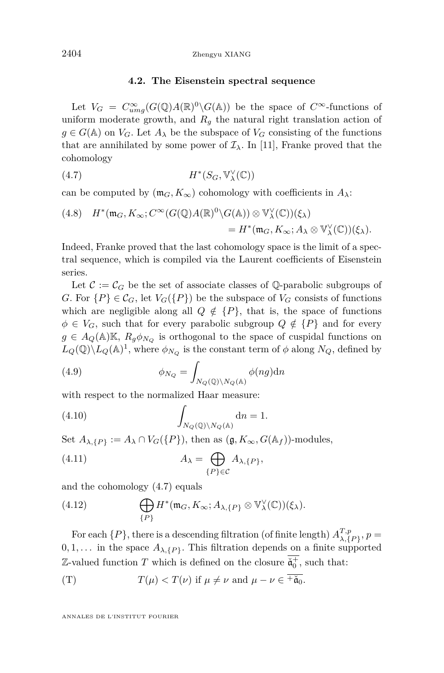#### <span id="page-24-0"></span>**4.2. The Eisenstein spectral sequence**

Let  $V_G = C_{umg}^{\infty}(G(\mathbb{Q})A(\mathbb{R})^0\backslash G(\mathbb{A}))$  be the space of  $C^{\infty}$ -functions of uniform moderate growth, and  $R<sub>q</sub>$  the natural right translation action of  $g \in G(\mathbb{A})$  on  $V_G$ . Let  $A_\lambda$  be the subspace of  $V_G$  consisting of the functions that are annihilated by some power of  $\mathcal{I}_{\lambda}$ . In [\[11\]](#page-63-3), Franke proved that the cohomology

$$
(4.7) \t\t\t H^*(S_G, \mathbb{V}_{\lambda}^{\vee}(\mathbb{C}))
$$

can be computed by  $(\mathfrak{m}_G, K_\infty)$  cohomology with coefficients in  $A_\lambda$ :

(4.8) 
$$
H^*(\mathfrak{m}_G, K_\infty; C^\infty(G(\mathbb{Q})A(\mathbb{R})^0 \setminus G(\mathbb{A})) \otimes \mathbb{V}_\lambda^\vee(\mathbb{C}))(\xi_\lambda)
$$
  
=  $H^*(\mathfrak{m}_G, K_\infty; A_\lambda \otimes \mathbb{V}_\lambda^\vee(\mathbb{C}))(\xi_\lambda).$ 

Indeed, Franke proved that the last cohomology space is the limit of a spectral sequence, which is compiled via the Laurent coefficients of Eisenstein series.

Let  $\mathcal{C} := \mathcal{C}_G$  be the set of associate classes of Q-parabolic subgroups of *G*. For  $\{P\} \in \mathcal{C}_G$ , let  $V_G(\{P\})$  be the subspace of  $V_G$  consists of functions which are negligible along all  $Q \notin \{P\}$ , that is, the space of functions  $\phi \in V_G$ , such that for every parabolic subgroup  $Q \notin \{P\}$  and for every  $g \in A_Q(\mathbb{A})\mathbb{K}, R_g\phi_{N_Q}$  is orthogonal to the space of cuspidal functions on  $L_Q(\mathbb{Q}) \backslash L_Q(\mathbb{A})^1$ , where  $\phi_{N_Q}$  is the constant term of  $\phi$  along  $N_Q$ , defined by

(4.9) 
$$
\phi_{N_Q} = \int_{N_Q(\mathbb{Q}) \backslash N_Q(\mathbb{A})} \phi(ng) \mathrm{d}n
$$

with respect to the normalized Haar measure:

(4.10) 
$$
\int_{N_Q(\mathbb{Q})\backslash N_Q(\mathbb{A})} \mathrm{d}n = 1.
$$

Set  $A_{\lambda, \{P\}} := A_{\lambda} \cap V_G(\{P\})$ , then as  $(\mathfrak{g}, K_{\infty}, G(\mathbb{A}_f))$ -modules,

<span id="page-24-1"></span>(4.11) 
$$
A_{\lambda} = \bigoplus_{\{P\} \in \mathcal{C}} A_{\lambda, \{P\}},
$$

and the cohomology [\(4.7\)](#page-24-0) equals

(4.12) 
$$
\bigoplus_{\{P\}} H^*(\mathfrak{m}_G, K_\infty; A_{\lambda, \{P\}} \otimes \mathbb{V}_{\lambda}^{\vee}(\mathbb{C}))(\xi_{\lambda}).
$$

For each  $\{P\}$ , there is a descending filtration (of finite length)  $A^{T,p}_{\lambda}$  $_{\lambda,\{P\}}^{I,p},p=$  $0, 1, \ldots$  in the space  $A_{\lambda, \{P\}}$ . This filtration depends on a finite supported Z-valued function *T* which is defined on the closure  $\ddot{a}_0^+$ , such that:

(T) 
$$
T(\mu) < T(\nu)
$$
 if  $\mu \neq \nu$  and  $\mu - \nu \in \overline{+ \check{\mathfrak{a}}_0}$ .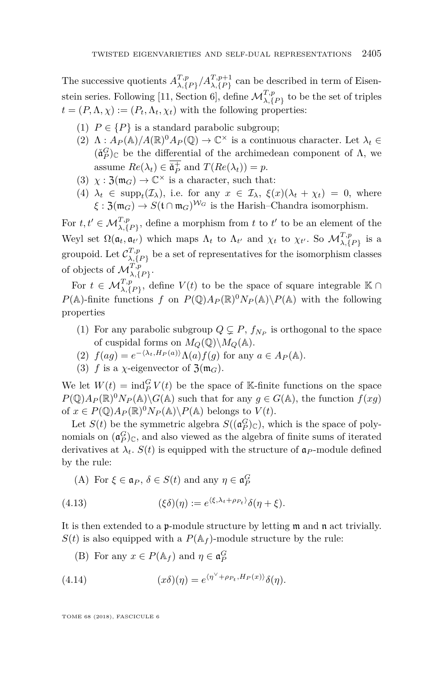The successive quotients  $A^{T,p}_{\lambda}$  $T, p$   $\lambda, \{P\}$  / $A$ <sup>T</sup>, $p+1$ </sub> can be described in term of Eisen-stein series. Following [\[11,](#page-63-3) Section 6], define  $\mathcal{M}_{\lambda,\{P\}}^{T,p}$  to be the set of triples  $t = (P, \Lambda, \chi) := (P_t, \Lambda_t, \chi_t)$  with the following properties:

- (1)  $P \in \{P\}$  is a standard parabolic subgroup;
- $(2)$   $\Lambda: A_P(\mathbb{A})/A(\mathbb{R})^0A_P(\mathbb{Q}) \to \mathbb{C}^\times$  is a continuous character. Let  $\lambda_t \in$  $(\check{\mathfrak{a}}_P^G)_{\mathbb{C}}$  be the differential of the archimedean component of  $\Lambda$ , we assume  $Re(\lambda_t) \in \mathfrak{a}_P^+$  and  $T(Re(\lambda_t)) = p$ .
- (3)  $\chi : \mathfrak{Z}(\mathfrak{m}_G) \to \mathbb{C}^\times$  is a character, such that:
- (4)  $\lambda_t \in \text{supp}_t(\mathcal{I}_\lambda)$ , i.e. for any  $x \in \mathcal{I}_\lambda$ ,  $\xi(x)(\lambda_t + \chi_t) = 0$ , where  $\xi$  :  $\mathfrak{Z}(\mathfrak{m}_G) \to S(\mathfrak{t} \cap \mathfrak{m}_G)^{\mathcal{W}_G}$  is the Harish–Chandra isomorphism.

For  $t, t' \in \mathcal{M}_{\lambda, \{P\}}^{T, p}$ , define a morphism from  $t$  to  $t'$  to be an element of the Weyl set  $\Omega(\mathfrak{a}_t, \mathfrak{a}_{t'})$  which maps  $\Lambda_t$  to  $\Lambda_{t'}$  and  $\chi_t$  to  $\chi_{t'}$ . So  $\mathcal{M}_{\lambda, \{P\}}^{T,p}$  is a groupoid. Let  $\mathcal{C}^{T,p}_{\lambda}$  $\lambda$ ,  $\{P\}$  be a set of representatives for the isomorphism classes of objects of  $\mathcal{M}_{\lambda,\{P\}}^{T,p}$ .

For  $t \in \mathcal{M}_{\lambda, \{P\}}^{T,p}$ , define  $V(t)$  to be the space of square integrable K ∩  $P(\mathbb{A})$ -finite functions *f* on  $P(\mathbb{Q})A_P(\mathbb{R})^0N_P(\mathbb{A})\setminus P(\mathbb{A})$  with the following properties

- (1) For any parabolic subgroup  $Q \subsetneq P$ ,  $f_{N_P}$  is orthogonal to the space of cuspidal forms on  $M_Q(\mathbb{Q})\backslash M_Q(\mathbb{A})$ .
- (2)  $f(ag) = e^{-\langle \lambda_t, H_P(a) \rangle} \Lambda(a) f(g)$  for any  $a \in A_P(\mathbb{A})$ .
- (3) *f* is a *χ*-eigenvector of  $\mathfrak{Z}(\mathfrak{m}_G)$ .

We let  $W(t) = \text{ind}_{P}^{G} V(t)$  be the space of K-finite functions on the space  $P(\mathbb{Q})A_P(\mathbb{R})^0N_P(\mathbb{A})\backslash G(\mathbb{A})$  such that for any  $g \in G(\mathbb{A})$ , the function  $f(xg)$ of  $x \in P(\mathbb{Q})A_P(\mathbb{R})^0N_P(\mathbb{A})\backslash P(\mathbb{A})$  belongs to  $V(t)$ .

Let  $S(t)$  be the symmetric algebra  $S((\mathfrak{a}_P^G)_{\mathbb{C}})$ , which is the space of polynomials on  $(\mathfrak{a}_P^G)_{\mathbb{C}}$ , and also viewed as the algebra of finite sums of iterated derivatives at  $\lambda_t$ .  $S(t)$  is equipped with the structure of  $\mathfrak{a}_P$ -module defined by the rule:

(A) For  $\xi \in \mathfrak{a}_P$ ,  $\delta \in S(t)$  and any  $\eta \in \mathfrak{a}_P^G$ 

(4.13) 
$$
(\xi \delta)(\eta) := e^{\langle \xi, \lambda_t + \rho_{P_t} \rangle} \delta(\eta + \xi).
$$

It is then extended to a p-module structure by letting m and n act trivially.  $S(t)$  is also equipped with a  $P(\mathbb{A}_f)$ -module structure by the rule:

(B) For any  $x \in P(\mathbb{A}_f)$  and  $\eta \in \mathfrak{a}_P^G$ 

(4.14) 
$$
(x\delta)(\eta) = e^{\langle \eta^{\vee} + \rho_{P_t}, H_P(x) \rangle} \delta(\eta).
$$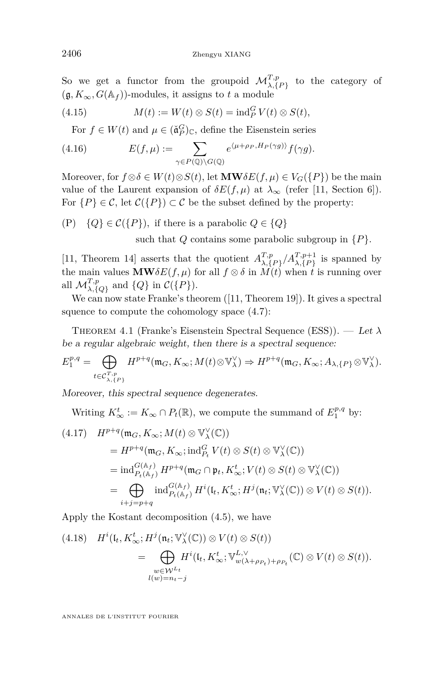So we get a functor from the groupoid  $\mathcal{M}_{\lambda,\{P\}}^{T,p}$  to the category of  $(g, K_{\infty}, G(\mathbb{A}_f))$ -modules, it assigns to *t* a module

(4.15) 
$$
M(t) := W(t) \otimes S(t) = \text{ind}_P^G V(t) \otimes S(t),
$$

<span id="page-26-1"></span>For  $f \in W(t)$  and  $\mu \in (\check{\mathfrak{a}}_P^G)_{\mathbb{C}}$ , define the Eisenstein series

(4.16) 
$$
E(f,\mu) := \sum_{\gamma \in P(\mathbb{Q}) \backslash G(\mathbb{Q})} e^{\langle \mu + \rho_P, H_P(\gamma g) \rangle} f(\gamma g).
$$

Moreover, for  $f \otimes \delta \in W(t) \otimes S(t)$ , let  $\mathbf{MW} \delta E(f, \mu) \in V_G(\{P\})$  be the main value of the Laurent expansion of  $\delta E(f,\mu)$  at  $\lambda_{\infty}$  (refer [\[11,](#page-63-3) Section 6]). For  $\{P\} \in \mathcal{C}$ , let  $\mathcal{C}(\{P\}) \subset \mathcal{C}$  be the subset defined by the property:

(P)  $\{Q\} \in \mathcal{C}(\{P\})$ , if there is a parabolic  $Q \in \{Q\}$ 

such that *Q* contains some parabolic subgroup in {*P*}*.*

[\[11,](#page-63-3) Theorem 14] asserts that the quotient  $A^{T,p}_{\lambda}$  $\binom{T,p}{\lambda,\{P\}}$  *A*<sub>*T*</sub>,*p*+1 is spanned by the main values  $\mathbf{MW\delta}E(f,\mu)$  for all  $f \otimes \delta$  in  $M(t)$  when *t* is running over all  $\mathcal{M}_{\lambda,\{Q\}}^{T,p}$  and  $\{Q\}$  in  $\mathcal{C}(\{P\})$ .

We can now state Franke's theorem  $([11, Theorem 19])$  $([11, Theorem 19])$  $([11, Theorem 19])$ . It gives a spectral squence to compute the cohomology space [\(4.7\)](#page-24-0):

<span id="page-26-0"></span>Theorem 4.1 (Franke's Eisenstein Spectral Sequence (ESS)). — Let *λ* be a regular algebraic weight, then there is a spectral sequence:

$$
E_1^{p,q} = \bigoplus_{t \in \mathcal{C}_{\lambda, \{P\}}^{\mathcal{X}, p}} H^{p+q}(\mathfrak{m}_G, K_\infty; M(t) \otimes \mathbb{V}_{\lambda}^{\vee}) \Rightarrow H^{p+q}(\mathfrak{m}_G, K_\infty; A_{\lambda, \{P\}} \otimes \mathbb{V}_{\lambda}^{\vee}).
$$

Moreover, this spectral sequence degenerates.

Writing  $K^t_{\infty} := K_{\infty} \cap P_t(\mathbb{R})$ , we compute the summand of  $E_1^{p,q}$  by:

$$
(4.17) \quad H^{p+q}(\mathfrak{m}_{G}, K_{\infty}; M(t) \otimes \mathbb{V}_{\lambda}^{\vee}(\mathbb{C}))
$$
\n
$$
= H^{p+q}(\mathfrak{m}_{G}, K_{\infty}; \text{ind}_{P_t}^G V(t) \otimes S(t) \otimes \mathbb{V}_{\lambda}^{\vee}(\mathbb{C}))
$$
\n
$$
= \text{ind}_{P_t(\mathbb{A}_f)}^{G(\mathbb{A}_f)} H^{p+q}(\mathfrak{m}_{G} \cap \mathfrak{p}_{t}, K_{\infty}^t; V(t) \otimes S(t) \otimes \mathbb{V}_{\lambda}^{\vee}(\mathbb{C}))
$$
\n
$$
= \bigoplus_{i+j=p+q} \text{ind}_{P_t(\mathbb{A}_f)}^{G(\mathbb{A}_f)} H^{i}(\mathfrak{l}_{t}, K_{\infty}^t; H^{j}(\mathfrak{n}_{t}; \mathbb{V}_{\lambda}^{\vee}(\mathbb{C})) \otimes V(t) \otimes S(t)).
$$

Apply the Kostant decomposition [\(4.5\)](#page-23-0), we have

(4.18) 
$$
H^{i}(\mathfrak{l}_{t}, K^{t}_{\infty}; H^{j}(\mathfrak{n}_{t}; \mathbb{V}_{\lambda}^{\vee}(\mathbb{C})) \otimes V(t) \otimes S(t))
$$
  

$$
= \bigoplus_{\substack{w \in \mathcal{W}^{L_{t}} \\ l(w) = n_{t} - j}} H^{i}(\mathfrak{l}_{t}, K^{t}_{\infty}; \mathbb{V}_{w(\lambda + \rho_{P_{t}}) + \rho_{P_{t}}}^{L, \vee}(\mathbb{C}) \otimes V(t) \otimes S(t)).
$$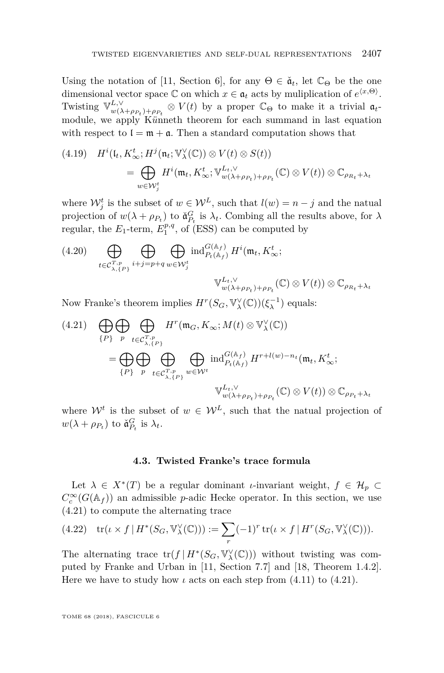Using the notation of [\[11,](#page-63-3) Section 6], for any  $\Theta \in \check{a}_t$ , let  $\mathbb{C}_{\Theta}$  be the one dimensional vector space  $\mathbb C$  on which  $x \in \mathfrak a_t$  acts by muliplication of  $e^{x,\Theta}$ . Twisting  $\mathbb{V}_{w(\lambda)}^{L,\vee}$  $w(\lambda+\rho_{P_t})+\rho_{P_t} \otimes V(t)$  by a proper  $\mathbb{C}_{\Theta}$  to make it a trivial  $\mathfrak{a}_t$ module, we apply Künneth theorem for each summand in last equation with respect to  $\mathfrak{l} = \mathfrak{m} + \mathfrak{a}$ . Then a standard computation shows that

(4.19) 
$$
H^{i}(\mathfrak{l}_{t}, K_{\infty}^{t}; H^{j}(\mathfrak{n}_{t}; \mathbb{V}_{\lambda}^{\vee}(\mathbb{C})) \otimes V(t) \otimes S(t))
$$
  

$$
= \bigoplus_{w \in \mathcal{W}_{j}^{t}} H^{i}(\mathfrak{m}_{t}, K_{\infty}^{t}; \mathbb{V}_{w(\lambda+\rho_{P_{t}})+\rho_{P_{t}}}^{L_{t}, \vee}(\mathbb{C}) \otimes V(t)) \otimes \mathbb{C}_{\rho_{R_{t}}+\lambda_{t}}
$$

where  $\mathcal{W}_j^t$  is the subset of  $w \in \mathcal{W}^L$ , such that  $l(w) = n - j$  and the natual projection of  $w(\lambda + \rho_{P_t})$  to  $\check{\mathfrak{a}}_{P_t}^G$  is  $\lambda_t$ . Combing all the results above, for  $\lambda$ regular, the  $E_1$ -term,  $E_1^{p,q}$ , of (ESS) can be computed by

(4.20) 
$$
\bigoplus_{t \in \mathcal{C}_{\lambda, \{P\}}^{\mathcal{T}, p}} \bigoplus_{i+j=p+q} \bigoplus_{w \in \mathcal{W}_j^t} \text{ind}_{P_t(\mathbb{A}_f)}^{G(\mathbb{A}_f)} H^i(\mathfrak{m}_t, K_\infty^t; \mathbb{V}_{w(\lambda+\rho_{P_t})+\rho_{P_t}}^{L_t, \vee}(\mathbb{C}) \otimes V(t)) \otimes \mathbb{C}_{\rho_{R_t}+\lambda_t}
$$

Now Franke's theorem implies  $H^r(S_G, \mathbb{V}^{\vee}_{\lambda}(\mathbb{C}))(\xi_{\lambda}^{-1})$  equals:

<span id="page-27-0"></span>(4.21) 
$$
\bigoplus_{\{P\}} \bigoplus_{p} \bigoplus_{t \in \mathcal{C}_{\lambda, \{P\}}^{T, p}} H^r(\mathfrak{m}_G, K_\infty; M(t) \otimes \mathbb{V}_{\lambda}^{\vee}(\mathbb{C}))
$$

$$
= \bigoplus_{\{P\}} \bigoplus_{p} \bigoplus_{t \in \mathcal{C}_{\lambda, \{P\}}^{T, p}} \bigoplus_{w \in \mathcal{W}^t} \text{ind}_{P_t(\mathbb{A}_f)}^{G(\mathbb{A}_f)} H^{r+l(w)-n_t}(\mathfrak{m}_t, K^t_\infty;
$$

$$
\mathbb{V}_{w(\lambda + \rho_{P_t}) + \rho_{P_t}}^{L_t, \vee}(\mathbb{C}) \otimes V(t)) \otimes \mathbb{C}_{\rho_{P_t} + \lambda_t}
$$

where  $W^t$  is the subset of  $w \in W^L$ , such that the natual projection of  $w(\lambda + \rho_{P_t})$  to  $\check{\mathfrak{a}}_{P_t}^G$  is  $\lambda_t$ .

#### **4.3. Twisted Franke's trace formula**

Let  $\lambda \in X^*(T)$  be a regular dominant *ι*-invariant weight,  $f \in \mathcal{H}_p$  $C_c^{\infty}(G(\mathbb{A}_f))$  an admissible *p*-adic Hecke operator. In this section, we use [\(4.21\)](#page-27-0) to compute the alternating trace

<span id="page-27-1"></span>(4.22) 
$$
\operatorname{tr}(\iota \times f | H^*(S_G, \mathbb{V}_{\lambda}^{\vee}(\mathbb{C}))) := \sum_r (-1)^r \operatorname{tr}(\iota \times f | H^r(S_G, \mathbb{V}_{\lambda}^{\vee}(\mathbb{C}))).
$$

The alternating trace  $tr(f | H^*(S_G, \mathbb{V}_\lambda^{\vee}(\mathbb{C})))$  without twisting was computed by Franke and Urban in [\[11,](#page-63-3) Section 7.7] and [\[18,](#page-64-0) Theorem 1.4.2]. Here we have to study how  $\iota$  acts on each step from  $(4.11)$  to  $(4.21)$ .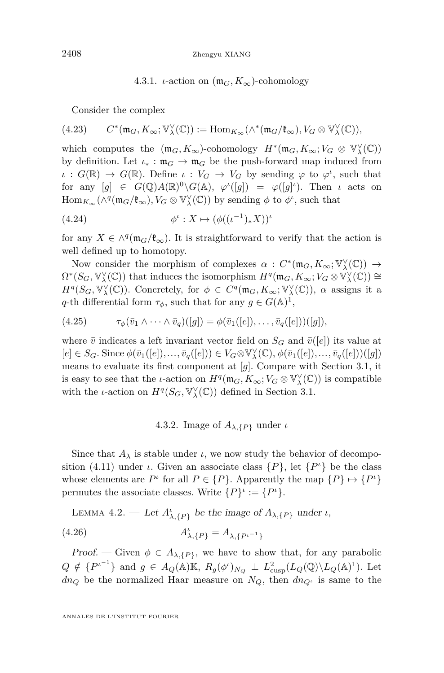#### 4.3.1. *ι*-action on  $(\mathfrak{m}_G, K_\infty)$ -cohomology

Consider the complex

$$
(4.23) \qquad C^*(\mathfrak{m}_G,K_\infty;\mathbb{V}^\vee_\lambda(\mathbb{C})):=\mathrm{Hom}_{K_\infty}(\wedge^*(\mathfrak{m}_G/\mathfrak{k}_\infty),V_G\otimes\mathbb{V}^\vee_\lambda(\mathbb{C})),
$$

which computes the  $(\mathfrak{m}_G, K_\infty)$ -cohomology  $H^*(\mathfrak{m}_G, K_\infty; V_G \otimes \mathbb{V}^\vee_\lambda(\mathbb{C}))$ by definition. Let  $\iota_* : \mathfrak{m}_G \to \mathfrak{m}_G$  be the push-forward map induced from  $\iota$  :  $G(\mathbb{R}) \to G(\mathbb{R})$ . Define  $\iota : V_G \to V_G$  by sending  $\varphi$  to  $\varphi^i$ , such that for any  $[g] \in G(\mathbb{Q})A(\mathbb{R})^0 \backslash G(\mathbb{A}), \varphi^{\iota}([g]) = \varphi([g]^{\iota}).$  Then *ι* acts on  $\text{Hom}_{K_{\infty}}(\wedge^q (\mathfrak{m}_G/\mathfrak{k}_{\infty}), V_G \otimes V_{\lambda}^{\vee}(\mathbb{C}))$  by sending  $\phi$  to  $\phi^{\iota}$ , such that

<span id="page-28-0"></span>
$$
(4.24) \qquad \qquad \phi^{\iota}: X \mapsto (\phi((\iota^{-1})_{*}X))^{\iota}
$$

for any  $X \in \wedge^q(\mathfrak{m}_G/\mathfrak{k}_{\infty})$ . It is straightforward to verify that the action is well defined up to homotopy.

Now consider the morphism of complexes  $\alpha$  :  $C^*(\mathfrak{m}_G, K_\infty; \mathbb{V}^\vee_\lambda(\mathbb{C})) \to$  $\Omega^*(S_G, \mathbb{V}^\vee_\lambda(\mathbb{C}))$  that induces the isomorphism  $H^q(\mathfrak{m}_G, K_\infty; V_G \otimes \mathbb{V}^\vee_\lambda(\mathbb{C})) \cong$ *H*<sup>*q*</sup>(*S<sub>G</sub>*,  $\mathbb{V}_{\lambda}^{\vee}(\mathbb{C})$ ). Concretely, for  $\phi \in C^{q}(\mathfrak{m}_{G}, K_{\infty}; \mathbb{V}_{\lambda}^{\vee}(\mathbb{C}))$ ,  $\alpha$  assigns it a *q*-th differential form  $\tau_{\phi}$ , such that for any  $g \in G(\mathbb{A})^1$ ,

(4.25) *τφ*(¯*v*<sup>1</sup> ∧ · · · ∧ *v*¯*q*)([*g*]) = *φ*(¯*v*1([*e*])*, . . . , v*¯*q*([*e*]))([*g*])*,*

where  $\bar{v}$  indicates a left invariant vector field on  $S_G$  and  $\bar{v}([e])$  its value at  $[e] \in S_G.$  Since  $\phi(\bar{v}_1([e]), \ldots, \bar{v}_q([e])) \in V_G \otimes \mathbb{V}_{\lambda}^{\vee}(\mathbb{C}), \phi(\bar{v}_1([e]), \ldots, \bar{v}_q([e]))([g])$ means to evaluate its first component at [*g*]. Compare with Section [3.1,](#page-12-0) it is easy to see that the *ι*-action on  $H^q(\mathfrak{m}_G, K_\infty; V_G \otimes \mathbb{V}^\vee_\lambda(\mathbb{C}))$  is compatible with the *ι*-action on  $H^q(S_G, \mathbb{V}^\vee_\lambda(\mathbb{C}))$  defined in Section [3.1.](#page-12-0)

#### 4.3.2. Image of  $A_{\lambda, \{P\}}$  under *ι*

Since that  $A_{\lambda}$  is stable under *ι*, we now study the behavior of decompo-sition [\(4.11\)](#page-24-1) under *ι*. Given an associate class  $\{P\}$ , let  $\{P^{\iota}\}\$  be the class whose elements are  $P^{\iota}$  for all  $P \in \{P\}$ . Apparently the map  $\{P\} \mapsto \{P^{\iota}\}\$ permutes the associate classes. Write  $\{P\}^{\iota} := \{P^{\iota}\}.$ 

LEMMA 4.2. — Let  $A^{\iota}_{\lambda, \{P\}}$  be the image of  $A_{\lambda, \{P\}}$  under *ι*,

(4.26) 
$$
A_{\lambda,\{P\}}^{\iota} = A_{\lambda,\{P^{\iota^{-1}}\}}
$$

Proof. — Given  $\phi \in A_{\lambda,\{P\}}$ , we have to show that, for any parabolic  $Q \notin \{P^{i-1}\}\$ and  $g \in A_Q(\mathbb{A})\mathbb{K}$ ,  $R_g(\phi^i)_{N_Q} \perp L^2_{\text{cusp}}(L_Q(\mathbb{Q})\backslash L_Q(\mathbb{A})^1)$ . Let *dn*<sub>*Q*</sub> be the normalized Haar measure on  $N_Q$ , then  $dn_{Q}$ *i* is same to the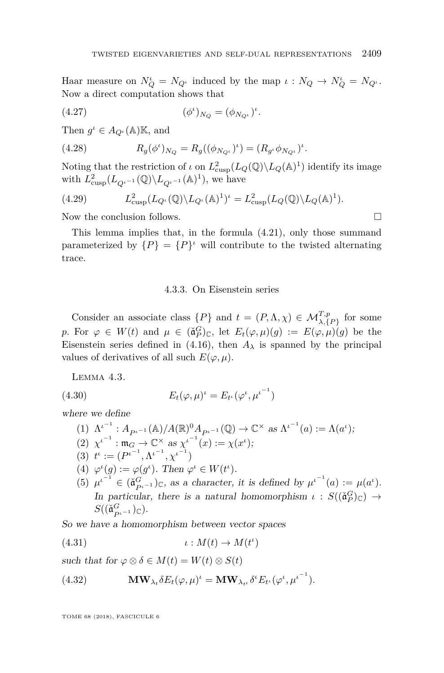Haar measure on  $N_Q^{\iota} = N_{Q^{\iota}}$  induced by the map  $\iota : N_Q \to N_Q^{\iota} = N_{Q^{\iota}}$ . Now a direct computation shows that

(4.27) 
$$
(\phi^{\iota})_{N_Q} = (\phi_{N_{Q^{\iota}}})^{\iota}.
$$

Then  $g^{\iota} \in A_{Q^{\iota}}(\mathbb{A})\mathbb{K}$ , and

(4.28) 
$$
R_g(\phi^{\iota})_{N_Q} = R_g((\phi_{N_{Q^{\iota}}})^{\iota}) = (R_{g^{\iota}}\phi_{N_{Q^{\iota}}})^{\iota}.
$$

Noting that the restriction of *ι* on  $L^2_{\text{cusp}}(L_Q(\mathbb{Q}) \backslash L_Q(\mathbb{A})^1)$  identify its image with  $L^2_{\text{cusp}}(L_{Q^{\iota^{-1}}}(\mathbb{Q})\backslash L_{Q^{\iota^{-1}}}(\mathbb{A})^1)$ , we have

(4.29) 
$$
L^2_{\text{cusp}}(L_{Q^{\iota}}(\mathbb{Q})\backslash L_{Q^{\iota}}(\mathbb{A})^1)^{\iota} = L^2_{\text{cusp}}(L_Q(\mathbb{Q})\backslash L_Q(\mathbb{A})^1).
$$

Now the conclusion follows.

This lemma implies that, in the formula [\(4.21\)](#page-27-0), only those summand parameterized by  $\{P\} = \{P\}^{\iota}$  will contribute to the twisted alternating trace.

#### 4.3.3. On Eisenstein series

Consider an associate class  $\{P\}$  and  $t = (P, \Lambda, \chi) \in \mathcal{M}_{\lambda, \{P\}}^{T, p}$  for some *p*. For  $\varphi \in W(t)$  and  $\mu \in (\check{\mathfrak{a}}_P^G)_{\mathbb{C}}$ , let  $E_t(\varphi, \mu)(g) := E(\varphi, \mu)(g)$  be the Eisenstein series defined in [\(4.16\)](#page-26-1), then  $A_{\lambda}$  is spanned by the principal values of derivatives of all such  $E(\varphi, \mu)$ .

<span id="page-29-0"></span>LEMMA 4.3.

(4.30) 
$$
E_t(\varphi, \mu)^t = E_{t^t}(\varphi^t, {\mu^t}^{-1})
$$

where we define

(1)  $\Lambda^{i^{-1}}$  :  $A_{P^{i^{-1}}}(\mathbb{A})/A(\mathbb{R})^0 A_{P^{i^{-1}}}(\mathbb{Q}) \to \mathbb{C}^\times$  as  $\Lambda^{i^{-1}}(a) := \Lambda(a^i);$ (2)  $\chi^{i^{-1}} : \mathfrak{m}_G \to \mathbb{C}^\times \text{ as } \chi^{i^{-1}}(x) := \chi(x^i);$ (3)  $t^{\iota} := (P^{\iota^{-1}}, \Lambda^{\iota^{-1}}, \chi^{\iota^{-1}})$ (4)  $\varphi^{\iota}(g) := \varphi(g^{\iota})$ . Then  $\varphi^{\iota} \in W(t^{\iota})$ . (5)  $\mu^{i-1} \in (\check{\mathfrak{a}}_{P^{i-1}}^G)_{\mathbb{C}}$ , as a character, it is defined by  $\mu^{i-1}(a) := \mu(a^i)$ . In particular, there is a natural homomorphism  $\iota$  :  $S((\check{\mathfrak{a}}_P^G)_\mathbb{C}) \to$  $S((\check{\mathfrak{a}}^G_{P}i-1})_{\mathbb{C}}).$ 

So we have a homomorphism between vector spaces

(4.31) *ι* : *M*(*t*) → *M*(*t ι* )

such that for  $\varphi \otimes \delta \in M(t) = W(t) \otimes S(t)$ 

<span id="page-29-1"></span>(4.32) 
$$
\mathbf{MW}_{\lambda_t} \delta E_t(\varphi, \mu)^t = \mathbf{MW}_{\lambda_{t^t}} \delta^t E_{t^t}(\varphi^t, {\mu^t}^{-1}).
$$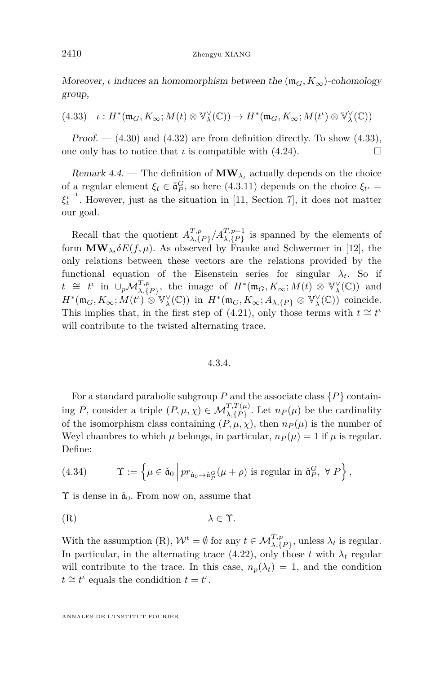Moreover, *ι* induces an homomorphism between the  $(\mathfrak{m}_G, K_\infty)$ -cohomology group,

<span id="page-30-0"></span> $(4.33)$   $\iota: H^*(\mathfrak{m}_G, K_\infty; M(t) \otimes \mathbb{V}_\lambda^\vee(\mathbb{C})) \to H^*(\mathfrak{m}_G, K_\infty; M(t^{\iota}) \otimes \mathbb{V}_\lambda^\vee(\mathbb{C}))$ 

Proof.  $-$  [\(4.30\)](#page-29-0) and [\(4.32\)](#page-29-1) are from definition directly. To show [\(4.33\)](#page-30-0), one only has to notice that  $\iota$  is compatible with [\(4.24\)](#page-28-0).

Remark 4.4. — The definition of  $\text{MW}_{\lambda_t}$  actually depends on the choice of a regular element  $\xi_t \in \mathfrak{d}_P^G$ , so here (4.3.11) depends on the choice  $\xi_{t'} =$  $\xi_t^{i^{-1}}$ . However, just as the situation in [\[11,](#page-63-3) Section 7], it does not matter our goal.

Recall that the quotient  $A^{T,p}_{\lambda}$  $\binom{T,p}{\lambda,\{P\}}$  *A*<sub> $\lambda,\{P\}$ </sub> is spanned by the elements of form  $\text{MW}_{\lambda_t} \delta E(f, \mu)$ . As observed by Franke and Schwermer in [\[12\]](#page-63-9), the only relations between these vectors are the relations provided by the functional equation of the Eisenstein series for singular  $\lambda_t$ . So if  $t \cong t^{\iota}$  in  $\cup_p \mathcal{M}_{\lambda, \{P\}}^{T, p}$ , the image of  $H^*(\mathfrak{m}_G, K_\infty; M(t) \otimes \mathbb{V}_{\lambda}^{\vee}(\mathbb{C}))$  and  $H^*(\mathfrak{m}_G, K_\infty; M(t^{\iota}) \otimes \mathbb{V}_\lambda^{\vee}(\mathbb{C}))$  in  $H^*(\mathfrak{m}_G, K_\infty; A_{\lambda, \{P\}} \otimes \mathbb{V}_\lambda^{\vee}(\mathbb{C}))$  coincide. This implies that, in the first step of [\(4.21\)](#page-27-0), only those terms with  $t \approx t^{\mu}$ will contribute to the twisted alternating trace.

#### 4.3.4.

For a standard parabolic subgroup *P* and the associate class {*P*} containing *P*, consider a triple  $(P, \mu, \chi) \in \mathcal{M}_{\lambda, \{P\}}^{T, T(\mu)}$ . Let  $n_P(\mu)$  be the cardinality of the isomorphism class containing  $(P, \mu, \chi)$ , then  $n_P(\mu)$  is the number of Weyl chambres to which  $\mu$  belongs, in particular,  $n_P(\mu) = 1$  if  $\mu$  is regular. Define:

(4.34) 
$$
\Upsilon := \left\{ \mu \in \check{\mathfrak{a}}_0 \, \middle| \, pr_{\check{\mathfrak{a}}_0 \to \check{\mathfrak{a}}_P^G}(\mu + \rho) \text{ is regular in } \check{\mathfrak{a}}_P^G, \ \forall P \right\},
$$

 $\Upsilon$  is dense in  $\check{a}_0$ . From now on, assume that

<span id="page-30-1"></span>
$$
(R) \t\t\t \lambda \in \Upsilon.
$$

With the assumption [\(R\)](#page-30-1),  $W^t = \emptyset$  for any  $t \in \mathcal{M}_{\lambda, \{P\}}^{T,p}$ , unless  $\lambda_t$  is regular. In particular, in the alternating trace [\(4.22\)](#page-27-1), only those *t* with  $\lambda_t$  regular will contribute to the trace. In this case,  $n_p(\lambda_t) = 1$ , and the condition  $t \cong t^{\iota}$  equals the condidtion  $t = t^{\iota}$ .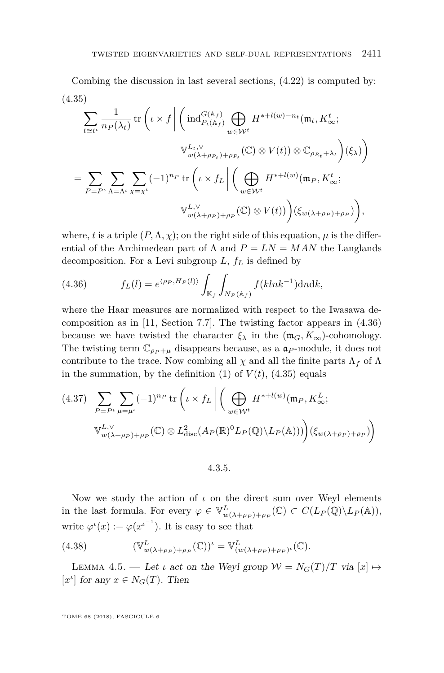<span id="page-31-1"></span>Combing the discussion in last several sections, [\(4.22\)](#page-27-1) is computed by: (4.35)

$$
\sum_{t \cong t^t} \frac{1}{n_P(\lambda_t)} \operatorname{tr} \left( \iota \times f \middle| \left( \operatorname{ind}_{P_t(\mathbb{A}_f)}^{G(\mathbb{A}_f)} \bigoplus_{w \in \mathcal{W}^t} H^{*+l(w)-n_t}(\mathfrak{m}_t, K^t_{\infty};
$$
\n
$$
\mathbb{V}_{w(\lambda+\rho_{P_t})+\rho_{P_t}}^{L_t, \vee}(\mathbb{C}) \otimes V(t) \otimes \mathbb{C}_{\rho_{R_t}+\lambda_t} \right) (\xi_{\lambda}) \right)
$$
\n
$$
= \sum_{P=P^t} \sum_{\Lambda = \Lambda^t} \sum_{\chi = \chi^t} (-1)^{n_P} \operatorname{tr} \left( \iota \times f_L \middle| \left( \bigoplus_{w \in \mathcal{W}^t} H^{*+l(w)}(\mathfrak{m}_P, K^t_{\infty};
$$
\n
$$
\mathbb{V}_{w(\lambda+\rho_P)+\rho_P}^{L, \vee}(\mathbb{C}) \otimes V(t) \right) \left( \xi_{w(\lambda+\rho_P)+\rho_P} \right) \right),
$$

where, *t* is a triple  $(P, \Lambda, \chi)$ ; on the right side of this equation,  $\mu$  is the differential of the Archimedean part of  $\Lambda$  and  $P = LN = MAN$  the Langlands decomposition. For a Levi subgroup *L*, *f<sup>L</sup>* is defined by

<span id="page-31-0"></span>(4.36) 
$$
f_L(l) = e^{\langle \rho_P, H_P(l) \rangle} \int_{\mathbb{K}_f} \int_{N_P(\mathbb{A}_f)} f(kln k^{-1}) \, \mathrm{d} n \mathrm{d} k,
$$

where the Haar measures are normalized with respect to the Iwasawa decomposition as in [\[11,](#page-63-3) Section 7.7]. The twisting factor appears in [\(4.36\)](#page-31-0) because we have twisted the character  $\xi_{\lambda}$  in the  $(\mathfrak{m}_G, K_{\infty})$ -cohomology. The twisting term  $\mathbb{C}_{\rho_P+\mu}$  disappears because, as a  $\mathfrak{a}_P$ -module, it does not contribute to the trace. Now combing all  $\chi$  and all the finite parts  $\Lambda_f$  of  $\Lambda$ in the summation, by the definition  $(1)$  of  $V(t)$ ,  $(4.35)$  equals

<span id="page-31-2"></span>
$$
(4.37) \sum_{P=P^{\iota}} \sum_{\mu=\mu^{\iota}} (-1)^{n_P} \operatorname{tr} \left( \iota \times f_L \middle| \left( \bigoplus_{w \in \mathcal{W}^{\iota}} H^{*+l(w)}(\mathfrak{m}_P, K^L_{\infty}; \right) \right)
$$

$$
\mathbb{V}_{w(\lambda+\rho_P)+\rho_P}^{L,\vee}(\mathbb{C}) \otimes L^2_{\operatorname{disc}}(A_P(\mathbb{R})^0 L_P(\mathbb{Q}) \backslash L_P(\mathbb{A}))) \Big) (\xi_{w(\lambda+\rho_P)+\rho_P})
$$

4.3.5.

Now we study the action of *ι* on the direct sum over Weyl elements in the last formula. For every  $\varphi \in \mathbb{V}_{w(\lambda+\rho_P)+\rho_P}^L(\mathbb{C}) \subset C(L_P(\mathbb{Q})\backslash L_P(\mathbb{A}))$ , write  $\varphi^{\iota}(x) := \varphi(x^{\iota^{-1}})$ . It is easy to see that

(4.38) 
$$
(\mathbb{V}_{w(\lambda+\rho_P)+\rho_P}^L(\mathbb{C}))^{\iota} = \mathbb{V}_{(w(\lambda+\rho_P)+\rho_P)^{\iota}}^L(\mathbb{C}).
$$

LEMMA 4.5. — Let *ι* act on the Weyl group  $W = N_G(T)/T$  via  $[x] \mapsto$  $[x^{\iota}]$  for any  $x \in N_G(T)$ . Then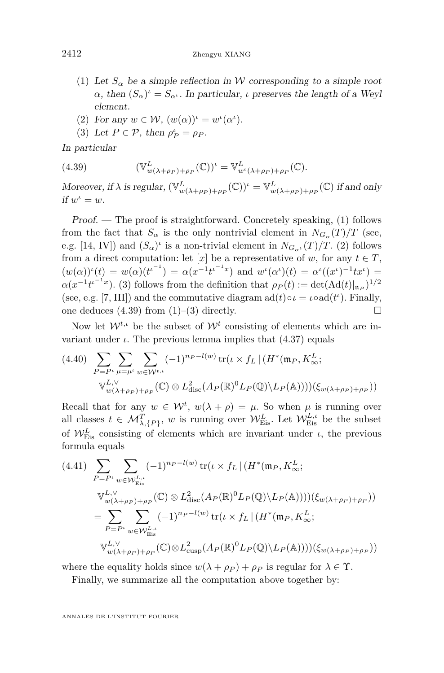- <span id="page-32-0"></span>(1) Let  $S_\alpha$  be a simple reflection in W corresponding to a simple root  $\alpha$ , then  $(S_{\alpha})^{\iota} = S_{\alpha^{\iota}}$ . In particular, *ι* preserves the length of a Weyl element.
- <span id="page-32-1"></span>(2) For any  $w \in \mathcal{W}$ ,  $(w(\alpha))^{\iota} = w^{\iota}(\alpha^{\iota})$ .
- <span id="page-32-3"></span><span id="page-32-2"></span>(3) Let  $P \in \mathcal{P}$ , then  $\rho_P^{\iota} = \rho_P$ .

In particular

(4.39) 
$$
(\mathbb{V}_{w(\lambda+\rho_P)+\rho_P}^L(\mathbb{C}))^{\iota} = \mathbb{V}_{w^{\iota}(\lambda+\rho_P)+\rho_P}^L(\mathbb{C}).
$$

Moreover, if  $\lambda$  is regular,  $(\mathbb{V}_{w(\lambda+\rho_P)+\rho_P}^L(\mathbb{C}))^{\iota} = \mathbb{V}_{w(\lambda+\rho_P)+\rho_P}^L(\mathbb{C})$  if and only *if*  $w^{\iota} = w$ .

Proof. — The proof is straightforward. Concretely speaking, [\(1\)](#page-32-0) follows from the fact that  $S_\alpha$  is the only nontrivial element in  $N_{G_\alpha}(T)/T$  (see, e.g. [\[14,](#page-64-5) IV]) and  $(S_{\alpha})^{\iota}$  is a non-trivial element in  $N_{G_{\alpha^{\iota}}} (T)/T$ . [\(2\)](#page-32-1) follows from a direct computation: let  $[x]$  be a representative of *w*, for any  $t \in T$ ,  $(w(\alpha))^{\nu}(t) = w(\alpha)(t^{\nu-1}) = \alpha(x^{-1}t^{\nu-1}x)$  and  $w^{\nu}(\alpha^{\nu})(t) = \alpha^{\nu}((x^{\nu})^{-1}tx^{\nu}) =$  $\alpha(x^{-1}t^{t^{-1}x})$ . [\(3\)](#page-32-2) follows from the definition that  $\rho_P(t) := \det(\text{Ad}(t)|_{\mathfrak{n}_P})^{1/2}$ (see, e.g. [\[7,](#page-63-10) III]) and the commutative diagram  $ad(t) \circ \iota = \iota \circ ad(t^{\iota})$ . Finally, one deduces  $(4.39)$  from  $(1)$ – $(3)$  directly.

Now let  $W^{t,\iota}$  be the subset of  $W^t$  consisting of elements which are invariant under  $\iota$ . The previous lemma implies that  $(4.37)$  equals

$$
(4.40) \sum_{P=P^{\iota}} \sum_{\mu=\mu^{\iota}} \sum_{w \in \mathcal{W}^{t,\iota}} (-1)^{n_P - l(w)} \operatorname{tr}(\iota \times f_L | (H^*(\mathfrak{m}_P, K^L_{\infty};
$$

$$
\mathbb{V}^{L,\vee}_{w(\lambda+\rho_P)+\rho_P}(\mathbb{C}) \otimes L^2_{\operatorname{disc}}(A_P(\mathbb{R})^0 L_P(\mathbb{Q}) \backslash L_P(\mathbb{A})))(\xi_{w(\lambda+\rho_P)+\rho_P}))
$$

Recall that for any  $w \in \mathcal{W}^t$ ,  $w(\lambda + \rho) = \mu$ . So when  $\mu$  is running over all classes  $t \in \mathcal{M}_{\lambda,\{P\}}^T$ , *w* is running over  $\mathcal{W}_{Eis}^L$ . Let  $\mathcal{W}_{Eis}^{L,\iota}$  be the subset of  $\mathcal{W}_{Eis}^L$  consisting of elements which are invariant under *ι*, the previous formula equals

$$
(4.41) \sum_{P=P^{\iota}} \sum_{w \in \mathcal{W}_{\text{Eis}}^{L,\iota}} (-1)^{n_P - l(w)} \operatorname{tr}(\iota \times f_L | (H^*(\mathfrak{m}_P, K^L_{\infty};
$$

$$
\mathbb{V}_{w(\lambda + \rho_P) + \rho_P}^{L,\vee}(\mathbb{C}) \otimes L^2_{\operatorname{disc}}(A_P(\mathbb{R})^0 L_P(\mathbb{Q}) \setminus L_P(\mathbb{A}))))(\xi_{w(\lambda + \rho_P) + \rho_P}))
$$

$$
= \sum_{P=P^{\iota}} \sum_{w \in \mathcal{W}_{\text{Eis}}^{L,\iota}} (-1)^{n_P - l(w)} \operatorname{tr}(\iota \times f_L | (H^*(\mathfrak{m}_P, K^L_{\infty};
$$

$$
\mathbb{V}_{w(\lambda + \rho_P) + \rho_P}^{L,\vee}(\mathbb{C}) \otimes L^2_{\operatorname{cusp}}(A_P(\mathbb{R})^0 L_P(\mathbb{Q}) \setminus L_P(\mathbb{A})))(\xi_{w(\lambda + \rho_P) + \rho_P}))
$$

where the equality holds since  $w(\lambda + \rho_P) + \rho_P$  is regular for  $\lambda \in \Upsilon$ .

Finally, we summarize all the computation above together by: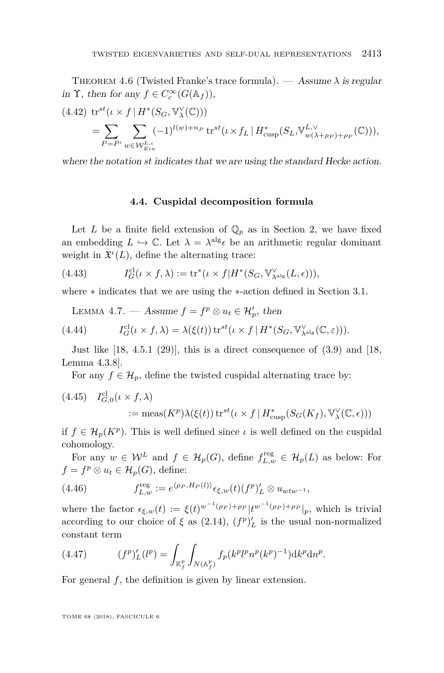THEOREM 4.6 (Twisted Franke's trace formula). — Assume  $\lambda$  is regular in  $\Upsilon$ , then for any  $f \in C_c^{\infty}(G(\mathbb{A}_f)),$ 

$$
(4.42) \operatorname{tr}^{st}(\iota \times f | H^*(S_G, \mathbb{V}^{\vee}_{\lambda}(\mathbb{C})))
$$
  
= 
$$
\sum_{P = P^{\iota}} \sum_{w \in \mathcal{W}^{L, \iota}_{Ein}} (-1)^{l(w) + n_P} \operatorname{tr}^{st}(\iota \times f_L | H^*_{\text{cusp}}(S_L, \mathbb{V}^{L, \vee}_{w(\lambda + \rho_P) + \rho_P}(\mathbb{C}))),
$$

where the notation *st* indicates that we are using the standard Hecke action.

#### **4.4. Cuspidal decomposition formula**

Let *L* be a finite field extension of  $\mathbb{Q}_p$  as in Section [2,](#page-5-1) we have fixed an embedding  $L \hookrightarrow \mathbb{C}$ . Let  $\lambda = \lambda^{\text{alg}} \epsilon$  be an arithmetic regular dominant weight in  $\mathfrak{X}^{\iota}(L)$ , define the alternating trace:

(4.43) 
$$
I_G^{\text{cl}}(\iota \times f, \lambda) := \text{tr}^*(\iota \times f | H^*(S_G, \mathbb{V}_{\lambda^{\text{alg}}}^{\vee}(L, \epsilon))),
$$

where ∗ indicates that we are using the ∗-action defined in Section [3.1.](#page-12-0)

<span id="page-33-0"></span>LEMMA 4.7. — Assume  $f = f^p \otimes u_t \in \mathcal{H}'_p$ , then

(4.44) 
$$
I_G^{\text{cl}}(\iota \times f, \lambda) = \lambda(\xi(t)) \operatorname{tr}^{st}(\iota \times f \mid H^*(S_G, \mathbb{V}_{\lambda^{\text{alg}}}^{\vee}(\mathbb{C}, \varepsilon))).
$$

Just like  $[18, 4.5.1 (29)]$  $[18, 4.5.1 (29)]$ , this is a direct consequence of  $(3.9)$  and  $[18, 10.5]$ Lemma 4.3.8].

For any  $f \in \mathcal{H}_p$ , define the twisted cuspidal alternating trace by:

(4.45) 
$$
I_{G,0}^{cl}(\iota \times f, \lambda)
$$
  
 := meas $(K^p)\lambda(\xi(t)) \operatorname{tr}^{st}(\iota \times f | H_{\text{cusp}}^*(S_G(K_f), \mathbb{V}_{\lambda}^{\vee}(\mathbb{C}, \epsilon)))$ 

if  $f \in \mathcal{H}_p(K^p)$ . This is well defined since  $\iota$  is well defined on the cuspidal cohomology.

For any  $w \in \mathcal{W}^L$  and  $f \in \mathcal{H}_p(G)$ , define  $f_{L,w}^{\text{reg}} \in \mathcal{H}_p(L)$  as below: For  $f = f^p \otimes u_t \in \mathcal{H}_p(G)$ , define:

(4.46) 
$$
f_{L,w}^{\text{reg}} := e^{\langle \rho_P, H_P(l) \rangle} \epsilon_{\xi,w}(t) (f^p)'_L \otimes u_{wtw^{-1}},
$$

where the factor  $\epsilon_{\xi,w}(t) := \xi(t)^{w^{-1}(\rho_P)+\rho_P} |t^{w^{-1}(\rho_P)+\rho_P}|_p$ , which is trivial according to our choice of  $\xi$  as [\(2.14\)](#page-7-1),  $(f^p)'_L$  is the usual non-normalized constant term

(4.47) 
$$
(f^p)'_L(l^p) = \int_{\mathbb{K}_f^p} \int_{N(\mathbb{A}_f^p)} f_p(k^p l^p n^p (k^p)^{-1}) \mathrm{d} k^p \mathrm{d} n^p.
$$

For general *f*, the definition is given by linear extension.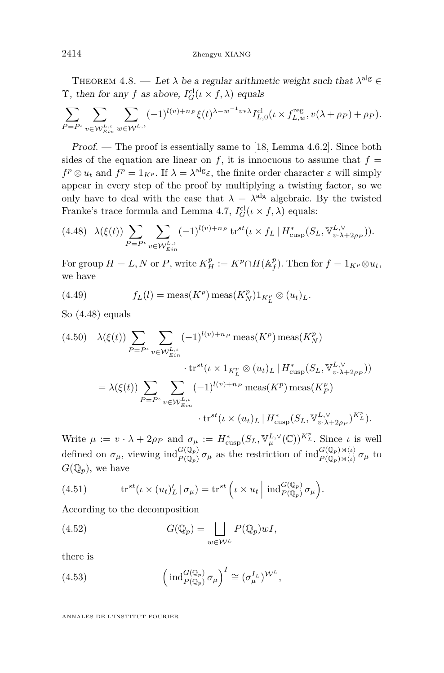<span id="page-34-1"></span>THEOREM 4.8. — Let  $\lambda$  be a regular arithmetic weight such that  $\lambda^{\text{alg}} \in$ T, then for any f as above,  $I_G^{\text{cl}}(\iota \times f, \lambda)$  equals

$$
\sum_{P=P^\iota}\sum_{v\in \mathcal W^{L,\iota}_{Ein}}\sum_{w\in \mathcal W^{L,\iota}_{\iota}}(-1)^{l(v)+n_P}\xi(t)^{\lambda-w^{-1}v*\lambda}I^{\mathrm{cl}}_{L,0}(\iota\times f^{\mathrm{reg}}_{L,w},v(\lambda+\rho_P)+\rho_P).
$$

Proof. — The proof is essentially same to [\[18,](#page-64-0) Lemma 4.6.2]. Since both sides of the equation are linear on  $f$ , it is innocuous to assume that  $f =$  $f^p \otimes u_t$  and  $f^p = 1_{K^p}$ . If  $\lambda = \lambda^{\text{alg}} \varepsilon$ , the finite order character  $\varepsilon$  will simply appear in every step of the proof by multiplying a twisting factor, so we only have to deal with the case that  $\lambda = \lambda^{\text{alg}}$  algebraic. By the twisted Franke's trace formula and Lemma [4.7,](#page-33-0)  $I_G^{\text{cl}}(\iota \times f, \lambda)$  equals:

<span id="page-34-0"></span>
$$
(4.48)\quad \lambda(\xi(t))\sum_{P=P^t}\sum_{v\in \mathcal{W}_{Ein}^{L,t}} (-1)^{l(v)+n_P} \operatorname{tr}^{st}(\iota \times f_L \mid H_{\text{cusp}}^*(S_L, \mathbb{V}_{v\cdot\lambda+2\rho_P}^{L,\vee})).
$$

For group  $H = L, N$  or  $P$ , write  $K_H^p := K^p \cap H(\mathbb{A}_f^p)$ . Then for  $f = 1_{K^p} \otimes u_t$ , we have

(4.49) 
$$
f_L(l) = \text{meas}(K^p) \text{meas}(K_N^p) 1_{K_L^p} \otimes (u_t)_L.
$$

So [\(4.48\)](#page-34-0) equals

$$
(4.50) \quad \lambda(\xi(t)) \sum_{P=P^L} \sum_{v \in \mathcal{W}_{Ein}^{L,t}} (-1)^{l(v)+n_P} \operatorname{meas}(K^p) \operatorname{meas}(K_N^p)
$$

$$
\cdot \operatorname{tr}^{st}(\iota \times 1_{K_L^p} \otimes (u_t)_L | H^*_{\operatorname{cusp}}(S_L, \mathbb{V}_{v \cdot \lambda + 2\rho_P}^{L, \vee}))
$$

$$
= \lambda(\xi(t)) \sum_{P=P^L} \sum_{v \in \mathcal{W}_{Ein}^{L,t}} (-1)^{l(v)+n_P} \operatorname{meas}(K^p) \operatorname{meas}(K_P^p)
$$

$$
\cdot \operatorname{tr}^{st}(\iota \times (u_t)_L | H^*_{\operatorname{cusp}}(S_L, \mathbb{V}_{v \cdot \lambda + 2\rho_P}^{L, \vee})^{K_L^p}).
$$

Write  $\mu := v \cdot \lambda + 2\rho_P$  and  $\sigma_\mu := H_{\text{cusp}}^*(S_L, \mathbb{V}_{\mu}^{L, \vee}(\mathbb{C}))^{K_L^p}$ . Since  $\iota$  is well defined on  $\sigma_{\mu}$ , viewing  $\text{ind}_{P(\mathbb{Q}_p)}^{G(\mathbb{Q}_p)} \sigma_{\mu}$  as the restriction of  $\text{ind}_{P(\mathbb{Q}_p)\rtimes \langle\iota\rangle}^{G(\mathbb{Q}_p)\rtimes \langle\iota\rangle} \sigma_{\mu}$  to  $G(\mathbb{Q}_p)$ , we have

(4.51) 
$$
\operatorname{tr}^{st}(\iota \times (u_t)'_L \,|\, \sigma_\mu) = \operatorname{tr}^{st}\left(\iota \times u_t \,\middle|\, \operatorname{ind}_{P(\mathbb{Q}_p)}^{G(\mathbb{Q}_p)} \sigma_\mu\right).
$$

According to the decomposition

(4.52) 
$$
G(\mathbb{Q}_p) = \bigsqcup_{w \in \mathcal{W}^L} P(\mathbb{Q}_p) wI,
$$

there is

(4.53) 
$$
\left(\operatorname{ind}_{P(\mathbb{Q}_p)}^{G(\mathbb{Q}_p)}\sigma_\mu\right)^I \cong (\sigma_\mu^{I_L})^{\mathcal{W}^L},
$$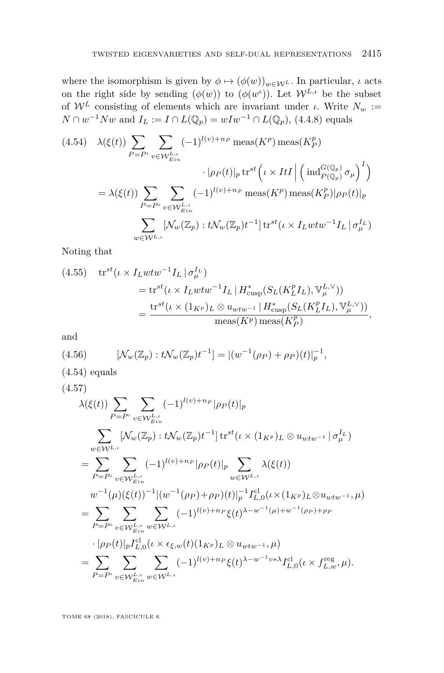where the isomorphism is given by  $\phi \mapsto (\phi(w))_{w \in \mathcal{W}^L}$ . In particular, *ι* acts on the right side by sending  $(\phi(w))$  to  $(\phi(w^i))$ . Let  $\mathcal{W}^{L,\iota}$  be the subset of  $W^L$  consisting of elements which are invariant under *ι*. Write  $N_w$  := *N* ∩  $w^{-1}Nw$  and  $I_L := I ∩ L(Q_p) = wIw^{-1} ∩ L(Q_p)$ , (4.4.8) equals

<span id="page-35-0"></span>
$$
(4.54) \quad \lambda(\xi(t)) \sum_{P=P^t} \sum_{v \in \mathcal{W}_{Ein}^{L,t}} (-1)^{l(v)+n_P} \operatorname{meas}(K^p) \operatorname{meas}(K_P^p)
$$

$$
\cdot |\rho_P(t)|_p \operatorname{tr}^{st} \left( \iota \times ItI \middle| \left( \operatorname{ind}_{P(\mathbb{Q}_p)}^{G(\mathbb{Q}_p)} \sigma_\mu \right)^I \right)
$$

$$
= \lambda(\xi(t)) \sum_{P=P^t} \sum_{v \in \mathcal{W}_{Ein}^{L,t}} (-1)^{l(v)+n_P} \operatorname{meas}(K^p) \operatorname{meas}(K_P^p) |\rho_P(t)|_p
$$

$$
\sum_{w \in \mathcal{W}^{L,t}} [\mathcal{N}_w(\mathbb{Z}_p) : t\mathcal{N}_w(\mathbb{Z}_p)t^{-1}] \operatorname{tr}^{st}(\iota \times I_L w t w^{-1} I_L \mid \sigma_\mu^{I_L})
$$

Noting that

(4.55) 
$$
\text{tr}^{st}(\iota \times I_L w t w^{-1} I_L | \sigma_{\mu}^{I_L})
$$
  
= 
$$
\text{tr}^{st}(\iota \times I_L w t w^{-1} I_L | H_{\text{cusp}}^*(S_L(K_L^p I_L), \mathbb{V}_{\mu}^{L, \vee}))
$$
  
= 
$$
\frac{\text{tr}^{st}(\iota \times (1_{K^p})_L \otimes u_{wt w^{-1}} | H_{\text{cusp}}^*(S_L(K_L^p I_L), \mathbb{V}_{\mu}^{L, \vee}))}{\text{meas}(K^p) \text{meas}(K^p)},
$$

and

(4.56) 
$$
[\mathcal{N}_w(\mathbb{Z}_p): t\mathcal{N}_w(\mathbb{Z}_p)t^{-1}] = |(w^{-1}(\rho_P) + \rho_P)(t)|_p^{-1},
$$

 $(4.54)$  equals

(4.57)

$$
\lambda(\xi(t)) \sum_{P=P^{\iota}} \sum_{v \in W_{Ein}^{L,\iota}} (-1)^{l(v)+n_{P}} |\rho_{P}(t)|_{p} \n\sum_{w \in W^{L,\iota}} [\mathcal{N}_{w}(\mathbb{Z}_{p}) : t\mathcal{N}_{w}(\mathbb{Z}_{p})t^{-1}] \operatorname{tr}^{st}(\iota \times (1_{K^{p}})_{L} \otimes u_{wtw^{-1}} | \sigma_{\mu}^{L}) \n= \sum_{P=P^{\iota}} \sum_{v \in W_{Ein}^{L,\iota}} (-1)^{l(v)+n_{P}} |\rho_{P}(t)|_{p} \sum_{w \in W^{L,\iota}} \lambda(\xi(t)) \nw^{-1}(\mu)(\xi(t))^{-1} |(w^{-1}(\rho_{P}) + \rho_{P})(t)|_{p}^{-1} I_{L,0}^{\mathrm{cl}}(\iota \times (1_{K^{p}})_{L} \otimes u_{wtw^{-1}}, \mu) \n= \sum_{P=P^{\iota}} \sum_{v \in W_{Ein}^{L,\iota}} (-1)^{l(v)+n_{P}} \xi(t)^{\lambda - w^{-1}(\mu) + w^{-1}(\rho_{P}) + \rho_{P}} \n\cdot |\rho_{P}(t)|_{p} I_{L,0}^{\mathrm{cl}}(\iota \times \epsilon_{\xi,w}(t)(1_{K^{p}})_{L} \otimes u_{wtw^{-1}}, \mu) \n= \sum_{P=P^{\iota}} \sum_{v \in W_{Ein}^{L,\iota}} \sum_{w \in W^{L,\iota}} (-1)^{l(v)+n_{P}} \xi(t)^{\lambda - w^{-1}v} \lambda I_{L,0}^{\mathrm{cl}}(\iota \times f_{L,w}^{\mathrm{reg}}, \mu).
$$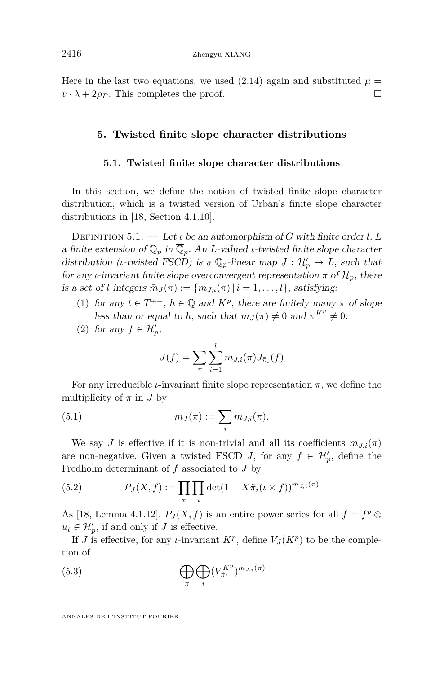Here in the last two equations, we used  $(2.14)$  again and substituted  $\mu =$  $v \cdot \lambda + 2\rho_P$ . This completes the proof.

#### <span id="page-36-0"></span>**5. Twisted finite slope character distributions**

#### **5.1. Twisted finite slope character distributions**

<span id="page-36-3"></span>In this section, we define the notion of twisted finite slope character distribution, which is a twisted version of Urban's finite slope character distributions in [\[18,](#page-64-0) Section 4.1.10].

<span id="page-36-1"></span>Definition 5.1. — Let *ι* be an automorphism of *G* with finite order *l*, *L* a finite extension of  $\mathbb{Q}_p$  in  $\overline{\mathbb{Q}}_p$ . An *L*-valued *ι*-twisted finite slope character distribution (*ι*-twisted FSCD) is a  $\mathbb{Q}_p$ -linear map  $J: \mathcal{H}'_p \to L$ , such that for any *ι*-invariant finite slope overconvergent representation  $\pi$  of  $\mathcal{H}_p$ , there is a set of *l* integers  $\overline{m}_J(\pi) := \{m_{J,i}(\pi) \mid i = 1, \ldots, l\}$ , satisfying:

- <span id="page-36-2"></span>(1) for any  $t \in T^{++}$ ,  $h \in \mathbb{Q}$  and  $K^p$ , there are finitely many  $\pi$  of slope less than or equal to *h*, such that  $\bar{m}_J(\pi) \neq 0$  and  $\pi^{K^p} \neq 0$ .
- (2) for any  $f \in \mathcal{H}'_p$ ,

$$
J(f) = \sum_{\pi} \sum_{i=1}^{l} m_{J,i}(\pi) J_{\tilde{\pi}_i}(f)
$$

For any irreducible *ι*-invariant finite slope representation  $\pi$ , we define the multiplicity of  $\pi$  in  $J$  by

(5.1) 
$$
m_J(\pi) := \sum_i m_{J,i}(\pi).
$$

We say *J* is effective if it is non-trivial and all its coefficients  $m_{J,i}(\pi)$ are non-negative. Given a twisted FSCD *J*, for any  $f \in \mathcal{H}'_p$ , define the Fredholm determinant of *f* associated to *J* by

(5.2) 
$$
P_J(X,f) := \prod_{\pi} \prod_i \det(1 - X \tilde{\pi}_i(\iota \times f))^{m_{J,i}(\pi)}
$$

As [\[18,](#page-64-0) Lemma 4.1.12],  $P_J(X, f)$  is an entire power series for all  $f = f^p \otimes$  $u_t \in \mathcal{H}'_p$ , if and only if *J* is effective.

If *J* is effective, for any *ι*-invariant  $K^p$ , define  $V_J(K^p)$  to be the completion of

(5.3) 
$$
\bigoplus_{\pi} \bigoplus_{i} (V_{\tilde{\pi}_{i}}^{K^{p}})^{m_{J,i}(\pi)}
$$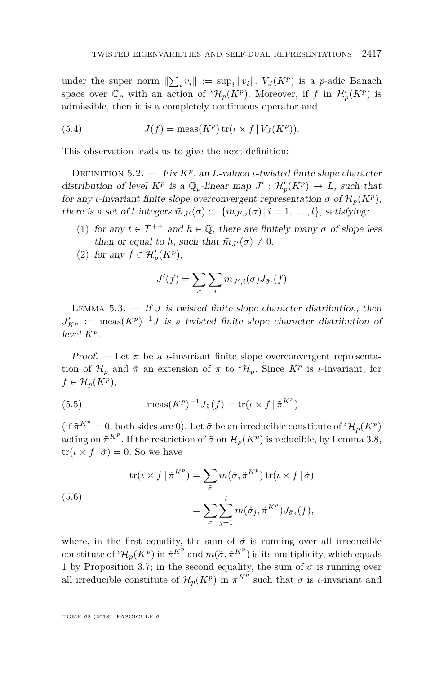under the super norm  $\sum_i v_i$  := sup<sub>i</sub> ||v<sub>i</sub>||.  $V_J(K^p)$  is a *p*-adic Banach space over  $\mathbb{C}_p$  with an action of  ${}^{\iota} \mathcal{H}_p(K^p)$ . Moreover, if f in  $\mathcal{H}'_p(K^p)$  is admissible, then it is a completely continuous operator and

(5.4) 
$$
J(f) = \operatorname{meas}(K^p) \operatorname{tr}(\iota \times f \mid V_J(K^p)).
$$

This observation leads us to give the next definition:

DEFINITION 5.2. — Fix  $K^p$ , an *L*-valued *ι*-twisted finite slope character distribution of level  $K^p$  is a  $\mathbb{Q}_p$ -linear map  $J' : \mathcal{H}'_p(K^p) \to L$ , such that for any *ι*-invariant finite slope overconvergent representation  $\sigma$  of  $\mathcal{H}_p(K^p)$ , there is a set of *l* integers  $\bar{m}_{J'}(\sigma) := \{m_{J',i}(\sigma) | i = 1, \ldots, l\}$ , satisfying:

- <span id="page-37-1"></span>(1) for any  $t \in T^{++}$  and  $h \in \mathbb{Q}$ , there are finitely many  $\sigma$  of slope less than or equal to *h*, such that  $\bar{m}_{J'}(\sigma) \neq 0$ .
- <span id="page-37-0"></span>(2) for any  $f \in \mathcal{H}'_p(K^p)$ ,

$$
J'(f) = \sum_{\sigma} \sum_{i} m_{J',i}(\sigma) J_{\tilde{\sigma}_i}(f)
$$

Lemma 5.3. — If *J* is twisted finite slope character distribution, then  $J'_{K^p}$  := meas $(K^p)^{-1}J$  is a twisted finite slope character distribution of level *K<sup>p</sup>* .

Proof. — Let  $\pi$  be a *ι*-invariant finite slope overconvergent representation of  $\mathcal{H}_p$  and  $\tilde{\pi}$  an extension of  $\pi$  to  ${}^{\iota}\mathcal{H}_p$ . Since  $K^p$  is *ι*-invariant, for  $f \in \mathcal{H}_p(K^p),$ 

(5.5) 
$$
\operatorname{meas}(K^p)^{-1} J_{\tilde{\pi}}(f) = \operatorname{tr}(\iota \times f | \tilde{\pi}^{K^p})
$$

(if  $\tilde{\pi}^{K^p} = 0$ , both sides are 0). Let  $\tilde{\sigma}$  be an irreducible constitute of  ${}^t\mathcal{H}_p(K^p)$ acting on  $\tilde{\pi}^{K^p}$ . If the restriction of  $\tilde{\sigma}$  on  $\mathcal{H}_p(K^p)$  is reducible, by Lemma [3.8,](#page-19-0)  $tr(\iota \times f | \tilde{\sigma}) = 0$ . So we have

(5.6)  

$$
\operatorname{tr}(\iota \times f | \tilde{\pi}^{K^p}) = \sum_{\tilde{\sigma}} m(\tilde{\sigma}, \tilde{\pi}^{K^p}) \operatorname{tr}(\iota \times f | \tilde{\sigma})
$$

$$
= \sum_{\sigma} \sum_{j=1}^{l} m(\tilde{\sigma}_j, \tilde{\pi}^{K^p}) J_{\tilde{\sigma}_j}(f),
$$

where, in the first equality, the sum of  $\tilde{\sigma}$  is running over all irreducible constitute of  ${}^{t}\mathcal{H}_{p}(K^{p})$  in  $\tilde{\pi}^{K^{p}}$  and  $m(\tilde{\sigma}, \tilde{\pi}^{K^{p}})$  is its multiplicity, which equals 1 by Proposition [3.7;](#page-18-0) in the second equality, the sum of  $\sigma$  is running over all irreducible constitute of  $\mathcal{H}_p(K^p)$  in  $\pi^{K^p}$  such that  $\sigma$  is *ι*-invariant and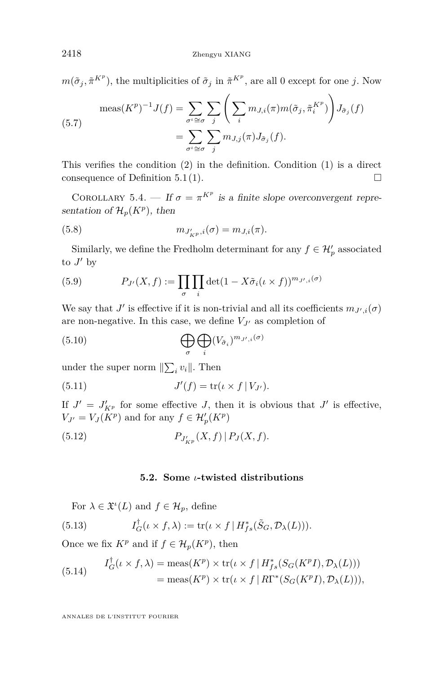$m(\tilde{\sigma}_j, \tilde{\pi}^{K^p})$ , the multiplicities of  $\tilde{\sigma}_j$  in  $\tilde{\pi}^{K^p}$ , are all 0 except for one *j*. Now

$$
\text{meas}(K^p)^{-1} J(f) = \sum_{\sigma^i \cong \sigma} \sum_j \left( \sum_i m_{J,i}(\pi) m(\tilde{\sigma}_j, \tilde{\pi}_i^{K^p}) \right) J_{\tilde{\sigma}_j}(f)
$$

$$
= \sum_{\sigma^i \cong \sigma} \sum_j m_{J,j}(\pi) J_{\tilde{\sigma}_j}(f).
$$

This verifies the condition [\(2\)](#page-37-0) in the definition. Condition [\(1\)](#page-37-1) is a direct consequence of Definition [5.1](#page-36-1)[\(1\)](#page-36-2).  $\Box$ 

COROLLARY 5.4. — If  $\sigma = \pi^{K^p}$  is a finite slope overconvergent representation of  $\mathcal{H}_p(K^p)$ , then

(5.8) 
$$
m_{J'_{KP},i}(\sigma) = m_{J,i}(\pi).
$$

Similarly, we define the Fredholm determinant for any  $f \in \mathcal{H}'_p$  associated to  $J'$  by

(5.9) 
$$
P_{J'}(X,f) := \prod_{\sigma} \prod_{i} \det(1 - X \tilde{\sigma}_i(\iota \times f))^{m_{J',i}(\sigma)}
$$

We say that  $J'$  is effective if it is non-trivial and all its coefficients  $m_{J',i}(\sigma)$ are non-negative. In this case, we define  $V_{J'}$  as completion of

(5.10) 
$$
\bigoplus_{\sigma} \bigoplus_{i} (V_{\tilde{\sigma}_i})^{m_{J',i}(\sigma)}
$$

under the super norm  $\|\sum_i v_i\|$ . Then

(5.11) 
$$
J'(f) = \text{tr}(\iota \times f | V_{J'}).
$$

If  $J' = J'_{K^p}$  for some effective *J*, then it is obvious that  $J'$  is effective,  $V_{J'} = V_J(K^p)$  and for any  $f \in \mathcal{H}'_p(K^p)$ 

(5.12) 
$$
P_{J'_{KP}}(X,f) | P_J(X,f).
$$

#### **5.2. Some** *ι***-twisted distributions**

<span id="page-38-0"></span>For  $\lambda \in \mathfrak{X}^{\iota}(L)$  and  $f \in \mathcal{H}_p$ , define

(5.13) 
$$
I_G^{\dagger}(\iota \times f, \lambda) := \text{tr}(\iota \times f \mid H_{fs}^*(\tilde{S}_G, \mathcal{D}_{\lambda}(L))).
$$

Once we fix  $K^p$  and if  $f \in \mathcal{H}_p(K^p)$ , then

(5.14) 
$$
I_G^{\dagger}(\iota \times f, \lambda) = \text{meas}(K^p) \times \text{tr}(\iota \times f | H_{fs}^*(S_G(K^p I), \mathcal{D}_{\lambda}(L)))
$$

$$
= \text{meas}(K^p) \times \text{tr}(\iota \times f | R\Gamma^*(S_G(K^p I), \mathcal{D}_{\lambda}(L))),
$$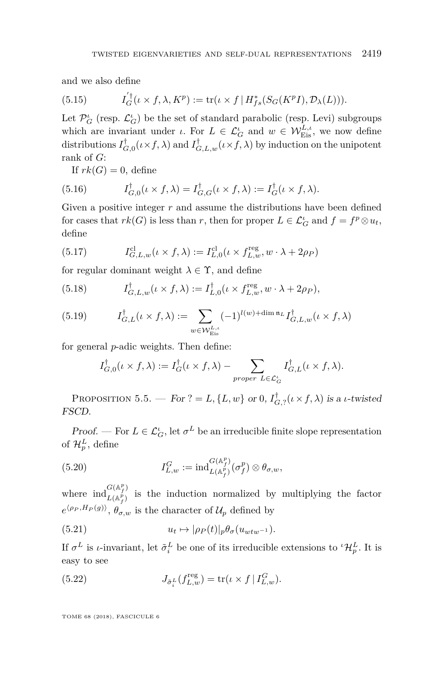and we also define

(5.15) 
$$
I_G^{'\dagger}(\iota \times f, \lambda, K^p) := \text{tr}(\iota \times f | H_{fs}^*(S_G(K^p I), \mathcal{D}_{\lambda}(L))).
$$

Let  $\mathcal{P}^\iota_G$  (resp.  $\mathcal{L}^\iota_G$ ) be the set of standard parabolic (resp. Levi) subgroups which are invariant under *ι*. For  $L \in \mathcal{L}_G^{\iota}$  and  $w \in \mathcal{W}_{Eis}^{L,\iota}$ , we now define distributions  $I_{G,0}^{\dagger}(\iota \times f, \lambda)$  and  $I_{G,L,w}^{\dagger}(\iota \times f, \lambda)$  by induction on the unipotent rank of *G*:

If  $rk(G) = 0$ , define

(5.16) 
$$
I_{G,0}^{\dagger}(\iota \times f, \lambda) = I_{G,G}^{\dagger}(\iota \times f, \lambda) := I_G^{\dagger}(\iota \times f, \lambda).
$$

Given a positive integer r and assume the distributions have been defined for cases that  $rk(G)$  is less than *r*, then for proper  $L \in \mathcal{L}_G^{\iota}$  and  $f = f^p \otimes u_t$ , define

(5.17) 
$$
I_{G,L,w}^{\text{cl}}(\iota \times f, \lambda) := I_{L,0}^{\text{cl}}(\iota \times f_{L,w}^{\text{reg}}, w \cdot \lambda + 2\rho_P)
$$

for regular dominant weight  $\lambda \in \Upsilon$ , and define

(5.18) 
$$
I_{G,L,w}^{\dagger}(\iota \times f,\lambda) := I_{L,0}^{\dagger}(\iota \times f_{L,w}^{\text{reg}}, w \cdot \lambda + 2\rho_P),
$$

(5.19) 
$$
I_{G,L}^{\dagger}(\iota \times f, \lambda) := \sum_{w \in \mathcal{W}_{\text{Eis}}^{L,\iota}} (-1)^{l(w) + \dim \mathfrak{n}_L} I_{G,L,w}^{\dagger}(\iota \times f, \lambda)
$$

for general *p*-adic weights. Then define:

$$
I_{G,0}^{\dagger}(\iota \times f, \lambda) := I_G^{\dagger}(\iota \times f, \lambda) - \sum_{proper \ L \in \mathcal{L}_G^{\iota}} I_{G,L}^{\dagger}(\iota \times f, \lambda).
$$

<span id="page-39-1"></span>PROPOSITION 5.5. — For ? =  $L$ , { $L$ ,  $w$ } or 0,  $I_{G, ?}^{\dagger}(\iota \times f, \lambda)$  is a *ι*-twisted FSCD.

Proof. — For  $L \in \mathcal{L}_G^{\iota}$ , let  $\sigma^L$  be an irreducible finite slope representation of  $\mathcal{H}_{p}^{L}$ , define

(5.20) 
$$
I_{L,w}^G := \mathrm{ind}_{L(\mathbb{A}_f^p)}^{G(\mathbb{A}_f^p)}(\sigma_f^p) \otimes \theta_{\sigma,w},
$$

where  $\operatorname{ind}_{L(\mathbb{A}^p)}^{G(\mathbb{A}^p)}$  $L(\mathbb{A}_f^p)$  is the induction normalized by multiplying the factor  $e^{\langle \rho_P, H_P(g) \rangle}, \theta_{\sigma,w}$  is the character of  $\mathcal{U}_p$  defined by

(5.21) 
$$
u_t \mapsto |\rho_P(t)|_p \theta_\sigma(u_{wtw^{-1}}).
$$

If  $\sigma^L$  is *ι*-invariant, let  $\tilde{\sigma}^L_i$  be one of its irreducible extensions to  ${}^{\iota}H_p^L$ . It is easy to see

<span id="page-39-0"></span>(5.22) 
$$
J_{\tilde{\sigma}_i^L}(f_{L,w}^{\text{reg}}) = \text{tr}(\iota \times f | I_{L,w}^G).
$$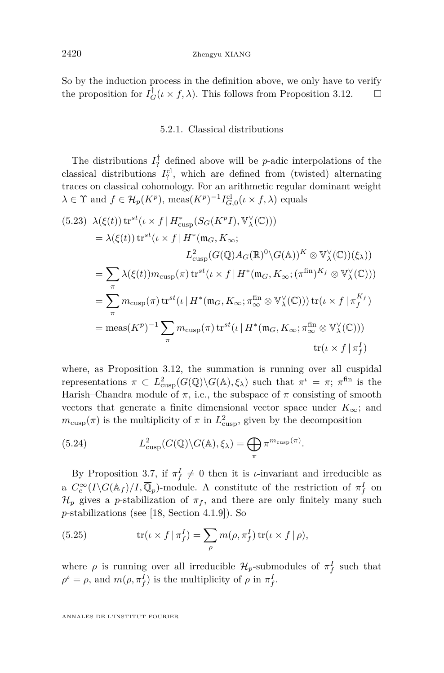So by the induction process in the definition above, we only have to verify the proposition for  $I_G^{\dagger}(\iota \times f, \lambda)$ . This follows from Proposition [3.12.](#page-21-0)  $\Box$ 

#### 5.2.1. Classical distributions

The distributions  $I_7^{\dagger}$  defined above will be *p*-adic interpolations of the classical distributions  $I_7<sup>cl</sup>$ , which are defined from (twisted) alternating traces on classical cohomology. For an arithmetic regular dominant weight  $\lambda \in \Upsilon$  and  $f \in \mathcal{H}_p(K^p)$ , meas $(K^p)^{-1} I_{G,0}^{\text{cl}}(\iota \times f, \lambda)$  equals

<span id="page-40-0"></span>(5.23) 
$$
\lambda(\xi(t)) \operatorname{tr}^{st}(\iota \times f | H_{\text{cusp}}^{*}(S_{G}(K^{p}I), \mathbb{V}_{\lambda}^{\vee}(\mathbb{C})))
$$
  
\n
$$
= \lambda(\xi(t)) \operatorname{tr}^{st}(\iota \times f | H^{*}(\mathfrak{m}_{G}, K_{\infty};
$$
  
\n
$$
L_{\text{cusp}}^{2}(G(\mathbb{Q})A_{G}(\mathbb{R})^{0} \setminus G(\mathbb{A}))^{K} \otimes \mathbb{V}_{\lambda}^{\vee}(\mathbb{C}))(\xi_{\lambda}))
$$
  
\n
$$
= \sum_{\pi} \lambda(\xi(t)) m_{\text{cusp}}(\pi) \operatorname{tr}^{st}(\iota \times f | H^{*}(\mathfrak{m}_{G}, K_{\infty}; (\pi^{\text{fin}})^{K_{f}} \otimes \mathbb{V}_{\lambda}^{\vee}(\mathbb{C})))
$$
  
\n
$$
= \sum_{\pi} m_{\text{cusp}}(\pi) \operatorname{tr}^{st}(\iota | H^{*}(\mathfrak{m}_{G}, K_{\infty}; \pi_{\infty}^{\text{fin}} \otimes \mathbb{V}_{\lambda}^{\vee}(\mathbb{C}))) \operatorname{tr}(\iota \times f | \pi_{f}^{K_{f}})
$$
  
\n
$$
= \operatorname{meas}(K^{p})^{-1} \sum_{\pi} m_{\text{cusp}}(\pi) \operatorname{tr}^{st}(\iota | H^{*}(\mathfrak{m}_{G}, K_{\infty}; \pi_{\infty}^{\text{fin}} \otimes \mathbb{V}_{\lambda}^{\vee}(\mathbb{C})))
$$
  
\n
$$
\operatorname{tr}(\iota \times f | \pi_{f}^{I})
$$

where, as Proposition [3.12,](#page-21-0) the summation is running over all cuspidal representations  $\pi \subset L^2_{\text{cusp}}(G(\mathbb{Q})\backslash G(\mathbb{A}),\xi_\lambda)$  such that  $\pi^\iota = \pi$ ;  $\pi^{\text{fin}}$  is the Harish–Chandra module of  $\pi$ , i.e., the subspace of  $\pi$  consisting of smooth vectors that generate a finite dimensional vector space under  $K_{\infty}$ ; and  $m_{\text{cusp}}(\pi)$  is the multiplicity of  $\pi$  in  $L^2_{\text{cusp}}$ , given by the decomposition

*.*

(5.24) 
$$
L^2_{\text{cusp}}(G(\mathbb{Q}) \backslash G(\mathbb{A}), \xi_{\lambda}) = \bigoplus_{\pi} \pi^{m_{\text{cusp}}(\pi)}
$$

By Proposition [3.7,](#page-18-0) if  $\pi_f^I \neq 0$  then it is *ι*-invariant and irreducible as a  $C_c^{\infty}(I\backslash G(\mathbb{A}_f)/I,\overline{\mathbb{Q}}_p)$ -module. A constitute of the restriction of  $\pi_f^I$  on  $\mathcal{H}_p$  gives a *p*-stabilization of  $\pi_f$ , and there are only finitely many such *p*-stabilizations (see [\[18,](#page-64-0) Section 4.1.9]). So

(5.25) 
$$
\operatorname{tr}(\iota \times f \mid \pi_f^I) = \sum_{\rho} m(\rho, \pi_f^I) \operatorname{tr}(\iota \times f \mid \rho),
$$

where  $\rho$  is running over all irreducible  $\mathcal{H}_p$ -submodules of  $\pi_f^I$  such that  $\rho^{\iota} = \rho$ , and  $m(\rho, \pi_f^I)$  is the multiplicity of  $\rho$  in  $\pi_f^I$ .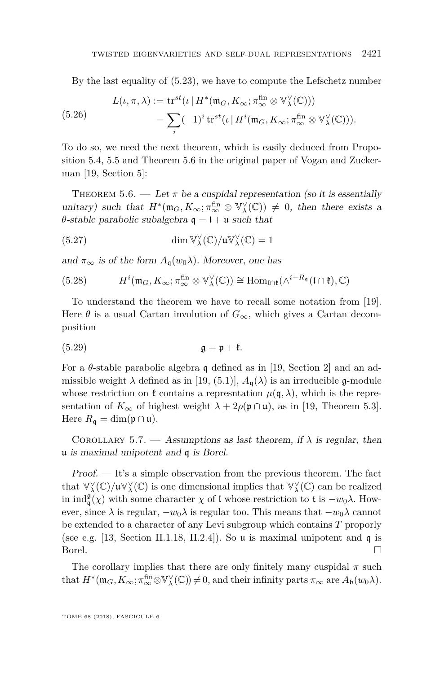By the last equality of [\(5.23\)](#page-40-0), we have to compute the Lefschetz number

(5.26) 
$$
L(\iota, \pi, \lambda) := \operatorname{tr}^{st}(\iota \mid H^*(\mathfrak{m}_G, K_\infty; \pi_\infty^{\text{fin}} \otimes \mathbb{V}_\lambda^{\vee}(\mathbb{C})))
$$

$$
= \sum_i (-1)^i \operatorname{tr}^{st}(\iota \mid H^i(\mathfrak{m}_G, K_\infty; \pi_\infty^{\text{fin}} \otimes \mathbb{V}_\lambda^{\vee}(\mathbb{C}))).
$$

To do so, we need the next theorem, which is easily deduced from Proposition 5.4, 5.5 and Theorem 5.6 in the original paper of Vogan and Zuckerman [\[19,](#page-64-6) Section 5]:

THEOREM 5.6. — Let  $\pi$  be a cuspidal representation (so it is essentially unitary) such that  $H^*(\mathfrak{m}_G, K_\infty; \pi_\infty^{\text{fin}} \otimes \mathbb{V}_\lambda^{\vee}(\mathbb{C})) \neq 0$ , then there exists a *θ*-stable parabolic subalgebra  $q = 1 + u$  such that

(5.27) 
$$
\dim \mathbb{V}_{\lambda}^{\vee}(\mathbb{C})/\mathfrak{u}\mathbb{V}_{\lambda}^{\vee}(\mathbb{C}) = 1
$$

and  $\pi_{\infty}$  is of the form  $A_{\mathfrak{a}}(w_0\lambda)$ . Moreover, one has

(5.28) 
$$
H^{i}(\mathfrak{m}_{G}, K_{\infty}; \pi_{\infty}^{\text{fin}} \otimes V_{\lambda}^{\vee}(\mathbb{C})) \cong \text{Hom}_{\text{In}^{i}}(\wedge^{i-R_{\mathfrak{q}}}(I \cap \mathfrak{k}), \mathbb{C})
$$

To understand the theorem we have to recall some notation from [\[19\]](#page-64-6). Here  $\theta$  is a usual Cartan involution of  $G_{\infty}$ , which gives a Cartan decomposition

(5.29) g = p + k*.*

For a *θ*-stable parabolic algebra q defined as in [\[19,](#page-64-6) Section 2] and an admissible weight  $\lambda$  defined as in [\[19,](#page-64-6) (5.1)],  $A_{\mathfrak{a}}(\lambda)$  is an irreducible g-module whose restriction on  $\mathfrak{k}$  contains a represntation  $\mu(\mathfrak{q},\lambda)$ , which is the representation of  $K_{\infty}$  of highest weight  $\lambda + 2\rho(\mathfrak{p} \cap \mathfrak{u})$ , as in [\[19,](#page-64-6) Theorem 5.3]. Here  $R_{\mathfrak{q}} = \dim(\mathfrak{p} \cap \mathfrak{u}).$ 

COROLLARY 5.7. — Assumptions as last theorem, if  $\lambda$  is regular, then u is maximal unipotent and q is Borel.

Proof. — It's a simple observation from the previous theorem. The fact that  $\mathbb{V}^\vee_\lambda(\mathbb{C})/\mathfrak{u}\mathbb{V}^\vee_\lambda(\mathbb{C})$  is one dimensional implies that  $\mathbb{V}^\vee_\lambda(\mathbb{C})$  can be realized in  $\text{ind}_{\mathfrak{q}}^{\mathfrak{g}}(\chi)$  with some character  $\chi$  of l whose restriction to t is  $-w_0\lambda$ . However, since  $\lambda$  is regular,  $-w_0\lambda$  is regular too. This means that  $-w_0\lambda$  cannot be extended to a character of any Levi subgroup which contains *T* proporly (see e.g. [\[13,](#page-63-11) Section II.1.18, II.2.4]). So **u** is maximal unipotent and **q** is Borel.  $\Box$ 

The corollary implies that there are only finitely many cuspidal  $\pi$  such that  $H^*(\mathfrak{m}_G, K_\infty; \pi_{\infty}^{\text{fin}} \otimes \mathbb{V}_{\lambda}^{\vee}(\mathbb{C})) \neq 0$ , and their infinity parts  $\pi_{\infty}$  are  $A_{\mathfrak{b}}(w_0\lambda)$ .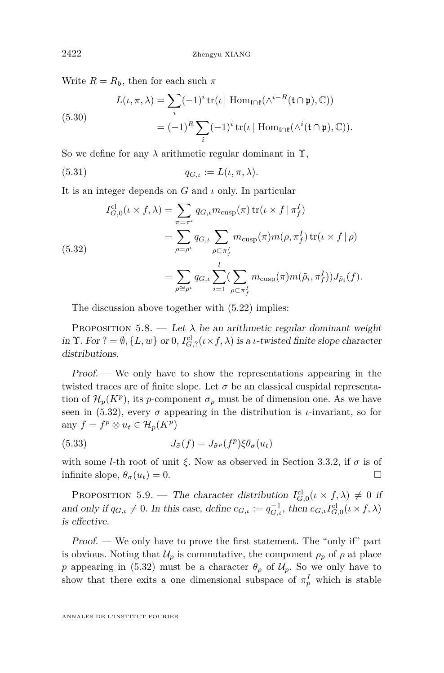Write  $R = R_{\mathfrak{b}}$ , then for each such  $\pi$ 

(5.30)  

$$
L(\iota, \pi, \lambda) = \sum_{i} (-1)^{i} \operatorname{tr}(\iota \mid \operatorname{Hom}_{\mathfrak{l} \cap \mathfrak{k}}(\wedge^{i-R} (\mathfrak{t} \cap \mathfrak{p}), \mathbb{C}))
$$

$$
= (-1)^{R} \sum_{i} (-1)^{i} \operatorname{tr}(\iota \mid \operatorname{Hom}_{\mathfrak{l} \cap \mathfrak{k}}(\wedge^{i} (\mathfrak{t} \cap \mathfrak{p}), \mathbb{C})).
$$

So we define for any  $\lambda$  arithmetic regular dominant in  $\Upsilon$ ,

(5.31)  $q_{G,\iota} := L(\iota, \pi, \lambda).$ 

It is an integer depends on *G* and *ι* only. In particular

<span id="page-42-0"></span>(5.32)  
\n
$$
I_{G,0}^{cl}(\iota \times f, \lambda) = \sum_{\pi = \pi^{\iota}} q_{G,\iota} m_{\text{cusp}}(\pi) \operatorname{tr}(\iota \times f | \pi_f^I)
$$
\n
$$
= \sum_{\rho = \rho^{\iota}} q_{G,\iota} \sum_{\rho \subset \pi_f^I} m_{\text{cusp}}(\pi) m(\rho, \pi_f^I) \operatorname{tr}(\iota \times f | \rho)
$$
\n
$$
= \sum_{\rho \cong \rho^{\iota}} q_{G,\iota} \sum_{i=1}^l (\sum_{\rho \subset \pi_f^I} m_{\text{cusp}}(\pi) m(\tilde{\rho}_i, \pi_f^I)) J_{\tilde{\rho}_i}(f).
$$

The discussion above together with [\(5.22\)](#page-39-0) implies:

PROPOSITION 5.8. — Let  $\lambda$  be an arithmetic regular dominant weight in  $\Upsilon$ . For  $? = \emptyset$ ,  $\{L, w\}$  or 0,  $I_{G, ?}^{\text{cl}}(\iota \times f, \lambda)$  is a *ι*-twisted finite slope character distributions.

Proof. — We only have to show the representations appearing in the twisted traces are of finite slope. Let  $\sigma$  be an classical cuspidal representation of  $\mathcal{H}_p(K^p)$ , its *p*-component  $\sigma_p$  must be of dimension one. As we have seen in [\(5.32\)](#page-42-0), every  $\sigma$  appearing in the distribution is *ι*-invariant, so for any  $f = f^p \otimes u_t \in \mathcal{H}_p(K^p)$ 

(5.33) 
$$
J_{\tilde{\sigma}}(f) = J_{\tilde{\sigma}^p}(f^p) \xi \theta_{\sigma}(u_t)
$$

with some *l*-th root of unit  $\xi$ . Now as observed in Section [3.3.2,](#page-19-1) if  $\sigma$  is of infinite slope,  $\theta_{\sigma}(u_t) = 0$ .

<span id="page-42-1"></span>PROPOSITION 5.9. — The character distribution  $I_{G,0}^{cl}(\iota \times f, \lambda) \neq 0$  if and only if  $q_{G,\iota} \neq 0$ . In this case, define  $e_{G,\iota} := q_{G,\iota}^{-1}$ , then  $e_{G,\iota} I_{G,0}^{\text{cl}}(\iota \times f, \lambda)$ is effective.

Proof. — We only have to prove the first statement. The "only if" part is obvious. Noting that  $\mathcal{U}_p$  is commutative, the component  $\rho_p$  of  $\rho$  at place *p* appearing in [\(5.32\)](#page-42-0) must be a character  $\theta$ <sup>*ρ*</sup> of  $\mathcal{U}_p$ . So we only have to show that there exits a one dimensional subspace of  $\pi_p^I$  which is stable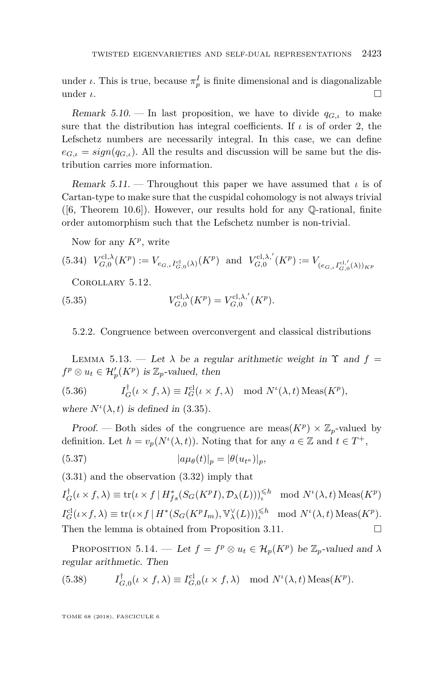under *ι*. This is true, because  $\pi_p^I$  is finite dimensional and is diagonalizable under  $\iota$ .  $\square$ 

<span id="page-43-3"></span>Remark 5.10. — In last proposition, we have to divide  $q_{G,\iota}$  to make sure that the distribution has integral coefficients. If  $\iota$  is of order 2, the Lefschetz numbers are necessarily integral. In this case, we can define  $e_{G_{i,k}} = sign(q_{G_{i,k}})$ . All the results and discussion will be same but the distribution carries more information.

Remark 5.11. — Throughout this paper we have assumed that *ι* is of Cartan-type to make sure that the cuspidal cohomology is not always trivial  $([6, Theorem 10.6])$  $([6, Theorem 10.6])$  $([6, Theorem 10.6])$ . However, our results hold for any  $\mathbb{Q}\text{-rational}$ , finite order automorphism such that the Lefschetz number is non-trivial.

<span id="page-43-2"></span>Now for any *K<sup>p</sup>* , write

$$
(5.34) V_{G,0}^{\text{cl},\lambda}(K^p) := V_{e_{G,\iota}I_{G,0}^{\text{cl}}(\lambda)}(K^p) \text{ and } V_{G,0}^{\text{cl},\lambda'}(K^p) := V_{(e_{G,\iota}I_{G,0}^{\text{cl},\prime}(\lambda))_{KP}}
$$

Corollary 5.12.

(5.35) 
$$
V_{G,0}^{\text{cl},\lambda}(K^p) = V_{G,0}^{\text{cl},\lambda'}(K^p).
$$

5.2.2. Congruence between overconvergent and classical distributions

<span id="page-43-0"></span>LEMMA 5.13. — Let  $\lambda$  be a regular arithmetic weight in  $\Upsilon$  and  $f =$  $f^p \otimes u_t \in \mathcal{H}'_p(K^p)$  is  $\mathbb{Z}_p$ -valued, then

(5.36) 
$$
I_G^{\dagger}(\iota \times f, \lambda) \equiv I_G^{\text{cl}}(\iota \times f, \lambda) \mod N^{\iota}(\lambda, t) \operatorname{Meas}(K^p),
$$

where  $N^{\iota}(\lambda, t)$  is defined in [\(3.35\)](#page-20-0).

Proof. — Both sides of the congruence are meas( $K^p$ )  $\times \mathbb{Z}_p$ -valued by definition. Let  $h = v_p(N^{\iota}(\lambda, t))$ . Noting that for any  $a \in \mathbb{Z}$  and  $t \in T^+$ ,

$$
(5.37) \t\t\t |a\mu_{\theta}(t)|_p = |\theta(u_{t^a})|_p,
$$

[\(3.31\)](#page-20-1) and the observation [\(3.32\)](#page-20-2) imply that

 $I_G^{\dagger}(\iota \times f, \lambda) \equiv \text{tr}(\iota \times f \mid H_{fs}^*(S_G(K^p I), \mathcal{D}_{\lambda}(L)))^{\leq h} \mod N^{\iota}(\lambda, t) \text{ Meas}(K^p)$  $I_G^{\text{cl}}(\iota \times f, \lambda) \equiv \text{tr}(\iota \times f \mid H^*(S_G(K^p I_m), \mathbb{V}^\vee_\lambda(L)))^{\leq h}_\iota \mod N^{\iota}(\lambda, t) \operatorname{Meas}(K^p).$ Then the lemma is obtained from Proposition [3.11.](#page-21-1)  $\Box$ 

<span id="page-43-1"></span>PROPOSITION 5.14. — Let  $f = f^p \otimes u_t \in \mathcal{H}_p(K^p)$  be  $\mathbb{Z}_p$ -valued and  $\lambda$ regular arithmetic. Then

(5.38) 
$$
I_{G,0}^{\dagger}(\iota \times f, \lambda) \equiv I_{G,0}^{\text{cl}}(\iota \times f, \lambda) \mod N^{\iota}(\lambda, t) \operatorname{Meas}(K^p).
$$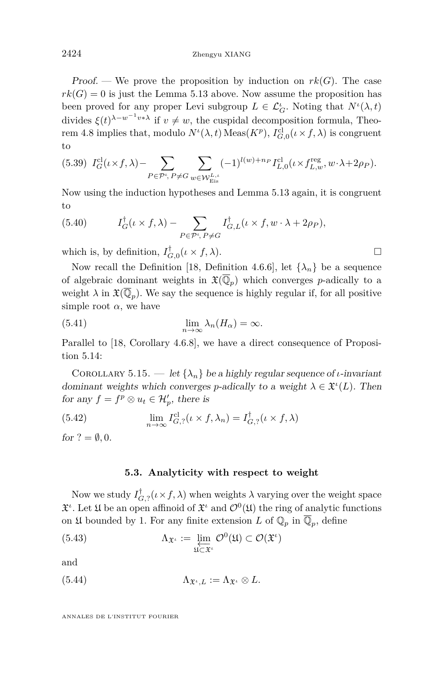Proof. — We prove the proposition by induction on  $rk(G)$ . The case  $rk(G) = 0$  is just the Lemma [5.13](#page-43-0) above. Now assume the proposition has been proved for any proper Levi subgroup  $L \in \mathcal{L}_G^{\iota}$ . Noting that  $N^{\iota}(\lambda, t)$ divides  $\xi(t)^{\lambda - w^{-1} v * \lambda}$  if  $v \neq w$ , the cuspidal decomposition formula, Theo-rem [4.8](#page-34-1) implies that, modulo  $N^{\iota}(\lambda, t)$  Meas $(K^p)$ ,  $I_{G,0}^{\text{cl}}(\iota \times f, \lambda)$  is congruent to

$$
(5.39)\ \ I^{\mathrm{cl}}_G(\iota\times f,\lambda)-\sum_{P\in\mathcal{P}',\,P\neq G}\sum_{w\in \mathcal{W}^{L,\iota}_{\mathrm{Eis}}}(-1)^{l(w)+n_P}I^{\mathrm{cl}}_{L,0}(\iota\times f^{\mathrm{reg}}_{L,w},w\cdot\lambda+2\rho_P).
$$

Now using the induction hypotheses and Lemma [5.13](#page-43-0) again, it is congruent to

(5.40) 
$$
I_G^{\dagger}(\iota \times f, \lambda) - \sum_{P \in \mathcal{P}^{\iota}, P \neq G} I_{G,L}^{\dagger}(\iota \times f, w \cdot \lambda + 2\rho_P),
$$

which is, by definition,  $I_{G,0}^{\dagger}(\iota \times f, \lambda)$ .

Now recall the Definition [\[18,](#page-64-0) Definition 4.6.6], let  $\{\lambda_n\}$  be a sequence of algebraic dominant weights in  $\mathfrak{X}(\overline{\mathbb{Q}}_p)$  which converges *p*-adically to a weight  $\lambda$  in  $\mathfrak{X}(\overline{\mathbb{Q}}_p)$ . We say the sequence is highly regular if, for all positive simple root  $\alpha$ , we have

(5.41) 
$$
\lim_{n \to \infty} \lambda_n(H_\alpha) = \infty.
$$

Parallel to [\[18,](#page-64-0) Corollary 4.6.8], we have a direct consequence of Proposition [5.14:](#page-43-1)

<span id="page-44-0"></span>COROLLARY 5.15. — let  $\{\lambda_n\}$  be a highly regular sequence of *ι*-invariant dominant weights which converges *p*-adically to a weight  $\lambda \in \mathfrak{X}^{i}(L)$ . Then for any  $f = f^p \otimes u_t \in \mathcal{H}'_p$ , there is

(5.42) 
$$
\lim_{n \to \infty} I_{G,?}^{\text{cl}}(\iota \times f, \lambda_n) = I_{G,?}^{\dagger}(\iota \times f, \lambda)
$$

for  $? = \emptyset, 0$ .

#### **5.3. Analyticity with respect to weight**

Now we study  $I_{G,?}^{\dagger}(\iota \times f, \lambda)$  when weights  $\lambda$  varying over the weight space  $\mathfrak{X}^i$ . Let  $\mathfrak{U}$  be an open affinoid of  $\mathfrak{X}^i$  and  $\mathcal{O}^0(\mathfrak{U})$  the ring of analytic functions on  $\mathfrak U$  bounded by 1. For any finite extension *L* of  $\mathbb Q_p$  in  $\overline{\mathbb Q}_p$ , define

(5.43) 
$$
\Lambda_{\mathfrak{X}^{\iota}} := \varprojlim_{\mathfrak{U} \subset \mathfrak{X}^{\iota}} \mathcal{O}^0(\mathfrak{U}) \subset \mathcal{O}(\mathfrak{X}^{\iota})
$$

and

(5.44) 
$$
\Lambda_{\mathfrak{X}^{\iota},L} := \Lambda_{\mathfrak{X}^{\iota}} \otimes L.
$$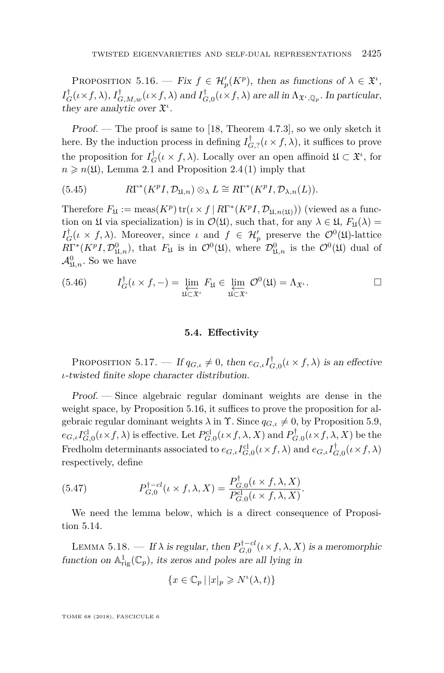<span id="page-45-0"></span>PROPOSITION 5.16. — Fix  $f \in \mathcal{H}'_p(K^p)$ , then as functions of  $\lambda \in \mathfrak{X}^i$ ,  $I_G^{\dagger}(\iota \times f, \lambda), I_{G,M,w}^{\dagger}(\iota \times f, \lambda)$  and  $I_{G,0}^{\dagger}(\iota \times f, \lambda)$  are all in  $\Lambda_{\mathfrak{X}^{\iota},\mathbb{Q}_p}.$  In particular, they are analytic over  $\mathfrak{X}^i$ .

Proof. — The proof is same to [\[18,](#page-64-0) Theorem 4.7.3], so we only sketch it here. By the induction process in defining  $I_{G,7}^{\dagger}(\iota \times f, \lambda)$ , it suffices to prove the proposition for  $I_G^{\dagger}(\iota \times f, \lambda)$ . Locally over an open affinoid  $\mathfrak{U} \subset \mathfrak{X}^{\iota}$ , for  $n \geq n(\mathfrak{U})$ , Lemma [2.1](#page-9-2) and Proposition [2.4](#page-11-0)[\(1\)](#page-11-1) imply that

(5.45) 
$$
R\Gamma^*(K^pI, \mathcal{D}_{\mathfrak{U},n}) \otimes_{\lambda} L \cong R\Gamma^*(K^pI, \mathcal{D}_{\lambda,n}(L)).
$$

Therefore  $F_{\mathfrak{U}} := \text{meas}(K^p) \text{ tr}(\iota \times f \mid R\Gamma^*(K^p I, \mathcal{D}_{\mathfrak{U},n(\mathfrak{U})}))$  (viewed as a function on  $\mathfrak U$  via specialization) is in  $\mathcal O(\mathfrak U)$ , such that, for any  $\lambda \in \mathfrak U$ ,  $F_{\mathfrak U}(\lambda)$  = *I*<sup>†</sup><sub>*G*</sub>(*ι* × *f*, *λ*). Moreover, since *ι* and *f* ∈ *H*<sup>*t*</sup><sub>*p*</sub> preserve the  $\mathcal{O}^0(\mathfrak{U})$ -lattice  $R\Gamma^{*}(K^{p}I, \mathcal{D}^{0}_{\mathfrak{U},n})$ , that  $F_{\mathfrak{U}}$  is in  $\mathcal{O}^{0}(\mathfrak{U})$ , where  $\mathcal{D}^{0}_{\mathfrak{U},n}$  is the  $\mathcal{O}^{0}(\mathfrak{U})$  dual of  $\mathcal{A}^0_{\mathfrak{U},n}$ . So we have

(5.46) 
$$
I_G^{\dagger}(\iota \times f, -) = \varprojlim_{\mathfrak{U} \subset \mathfrak{X}^{\iota}} F_{\mathfrak{U}} \in \varprojlim_{\mathfrak{U} \subset \mathfrak{X}^{\iota}} \mathcal{O}^0(\mathfrak{U}) = \Lambda_{\mathfrak{X}^{\iota}}.
$$

#### **5.4. Effectivity**

<span id="page-45-2"></span>PROPOSITION 5.17. — If  $q_{G,\iota} \neq 0$ , then  $e_{G,\iota} I_{G,0}^{\dagger}(\iota \times f, \lambda)$  is an effective *ι*-twisted finite slope character distribution.

Proof. — Since algebraic regular dominant weights are dense in the weight space, by Proposition [5.16,](#page-45-0) it suffices to prove the proposition for algebraic regular dominant weights  $\lambda$  in  $\Upsilon$ . Since  $q_{G,\iota} \neq 0$ , by Proposition [5.9,](#page-42-1)  $e_{G,\iota}I_{G,0}^{\text{cl}}(\iota \times f, \lambda)$  is effective. Let  $P_{G,0}^{\text{cl}}(\iota \times f, \lambda, X)$  and  $P_{G,0}^{\dagger}(\iota \times f, \lambda, X)$  be the Fredholm determinants associated to  $e_{G,\iota} I_{G,0}^{\text{cl}}(\iota \times f, \lambda)$  and  $e_{G,\iota} I_{G,0}^{\dagger}(\iota \times f, \lambda)$ respectively, define

(5.47) 
$$
P_{G,0}^{\dagger - cl}(\iota \times f, \lambda, X) = \frac{P_{G,0}^{\dagger}(\iota \times f, \lambda, X)}{P_{G,0}^{\text{cl}}(\iota \times f, \lambda, X)}.
$$

We need the lemma below, which is a direct consequence of Proposition [5.14.](#page-43-1)

<span id="page-45-1"></span>LEMMA 5.18. — If  $\lambda$  is regular, then  $P_{G,0}^{\dagger-cl}(\iota \times f, \lambda, X)$  is a meromorphic function on  $\mathbb{A}^1_{\text{rig}}(\mathbb{C}_p)$ , its zeros and poles are all lying in

$$
\{x\in\mathbb{C}_p\,|\,|x|_p\geqslant N^{\iota}(\lambda,t)\}
$$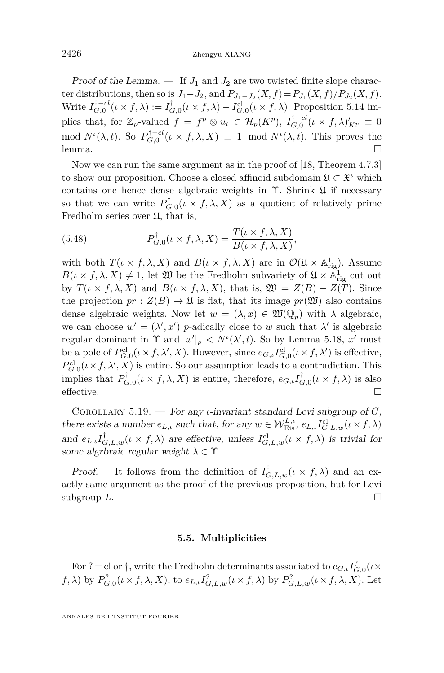Proof of the Lemma.  $\frac{1}{I}$  If  $J_1$  and  $J_2$  are two twisted finite slope character distributions, then so is  $J_1 - J_2$ , and  $P_{J_1 - J_2}(X, f) = P_{J_1}(X, f)/P_{J_2}(X, f)$ . Write  $I_{G,0}^{\dagger -cl}(\iota \times f, \lambda) := I_{G,0}^{\dagger}(\iota \times f, \lambda) - I_{G,0}^{\text{cl}}(\iota \times f, \lambda)$ . Proposition [5.14](#page-43-1) implies that, for  $\mathbb{Z}_p$ -valued  $f = f^p \otimes u_t \in \mathcal{H}_p(K^p)$ ,  $I_{G,0}^{\dagger -cl}(l \times f, \lambda)_{K^p}^{\prime} \equiv 0$ mod  $N^{\iota}(\lambda, t)$ . So  $P_{G,0}^{\dagger - cl}(\iota \times f, \lambda, X) \equiv 1 \mod N^{\iota}(\lambda, t)$ . This proves the lemma. □

Now we can run the same argument as in the proof of [\[18,](#page-64-0) Theorem 4.7.3] to show our proposition. Choose a closed affinoid subdomain  $\mathfrak{U} \subset \mathfrak{X}^i$  which contains one hence dense algebraic weights in Υ. Shrink U if necessary so that we can write  $P_{G,0}^{\dagger}(\iota \times f, \lambda, X)$  as a quotient of relatively prime Fredholm series over  $\mathfrak{U}$ , that is,

(5.48) 
$$
P_{G,0}^{\dagger}(\iota \times f, \lambda, X) = \frac{T(\iota \times f, \lambda, X)}{B(\iota \times f, \lambda, X)},
$$

with both  $T(\iota \times f, \lambda, X)$  and  $B(\iota \times f, \lambda, X)$  are in  $\mathcal{O}(\mathfrak{U} \times \mathbb{A}^1_{\text{rig}})$ . Assume  $B(\iota \times f, \lambda, X) \neq 1$ , let  $\mathfrak{W}$  be the Fredholm subvariety of  $\mathfrak{U} \times \mathbb{A}^1_{\text{rig}}$  cut out by  $T(\iota \times f, \lambda, X)$  and  $B(\iota \times f, \lambda, X)$ , that is,  $\mathfrak{W} = Z(B) - Z(T)$ . Since the projection  $pr: Z(B) \to \mathfrak{U}$  is flat, that its image  $pr(\mathfrak{W})$  also contains dense algebraic weights. Now let  $w = (\lambda, x) \in \mathfrak{W}(\overline{\mathbb{Q}}_p)$  with  $\lambda$  algebraic, we can choose  $w' = (\lambda', x')$  *p*-adically close to *w* such that  $\lambda'$  is algebraic regular dominant in  $\Upsilon$  and  $|x'|_p < N(\lambda', t)$ . So by Lemma [5.18,](#page-45-1) *x'* must be a pole of  $P_{G,0}^{\text{cl}}(\iota \times f, \lambda', X)$ . However, since  $e_{G,\iota}I_{G,0}^{\text{cl}}(\iota \times f, \lambda')$  is effective,  $P_{G,0}^{\text{cl}}(\iota \times f, \lambda', X)$  is entire. So our assumption leads to a contradiction. This implies that  $P_{G,0}^{\dagger}(\iota \times f, \lambda, X)$  is entire, therefore,  $e_{G,\iota}I_{G,0}^{\dagger}(\iota \times f, \lambda)$  is also effective.  $\Box$ 

Corollary 5.19. — For any *ι*-invariant standard Levi subgroup of *G*, there exists a number  $e_{L,\iota}$  such that, for any  $w \in \mathcal{W}_{Eis}^{L,\iota}, e_{L,\iota} I_{G,L,w}^{cl}(\iota \times f, \lambda)$ and  $e_{L,\iota} I_{G,L,w}^{\dagger}(\iota \times f, \lambda)$  are effective, unless  $I_{G,L,w}^{\text{cl}}(\iota \times f, \lambda)$  is trivial for some algrbraic regular weight  $\lambda \in \Upsilon$ 

Proof. — It follows from the definition of  $I_{G,L,w}^{\dagger}(\iota \times f, \lambda)$  and an exactly same argument as the proof of the previous proposition, but for Levi subgroup  $L$ .

#### **5.5. Multiplicities**

<span id="page-46-0"></span>For  $? =$  cl or  $\dagger$ , write the Fredholm determinants associated to  $e_{G,\iota} I_{G,0}^?(\iota \times \mathbb{R}^d)$ *f*,  $\lambda$ ) by  $P_{G,0}^?(\iota \times f, \lambda, X)$ , to  $e_{L,\iota} I_{G,L,w}^?(\iota \times f, \lambda)$  by  $P_{G,L,w}^?(\iota \times f, \lambda, X)$ . Let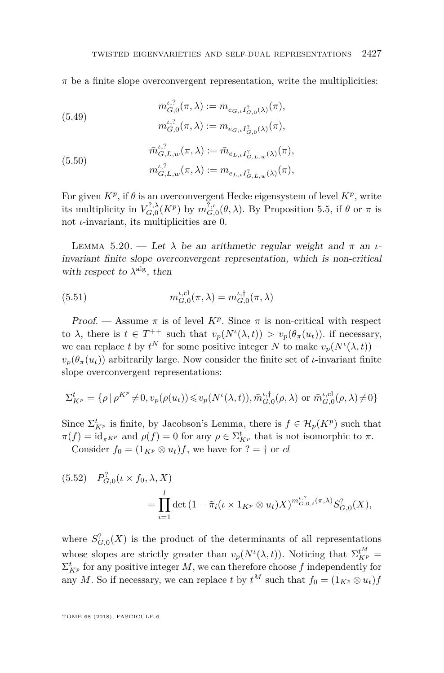$\pi$  be a finite slope overconvergent representation, write the multiplicities:

(5.49) 
$$
\bar{m}_{G,0}^{\iota,?}(\pi,\lambda) := \bar{m}_{e_{G,\iota}I_{G,0}^{\gamma}(\lambda)}(\pi),
$$

$$
m_{G,0}^{\iota,?}(\pi,\lambda) := m_{e_{G,\iota}I_{G,0}^{\gamma}(\lambda)}(\pi),
$$

(5.50) 
$$
\begin{aligned}\n\bar{m}_{G,L,w}^{\iota,?}(\pi,\lambda) &:= \bar{m}_{e_{L,\iota}I_{G,L,w}^{\gamma}(\lambda)}(\pi), \\
m_{G,L,w}^{\iota,?}(\pi,\lambda) &:= m_{e_{L,\iota}I_{G,L,w}^{\gamma}(\lambda)}(\pi),\n\end{aligned}
$$

For given  $K^p$ , if  $\theta$  is an overconvergent Hecke eigensystem of level  $K^p$ , write its multiplicity in  $V_{G,0}^{?,\lambda}(K^p)$  by  $m_{G,0}^{?,\iota}(\theta,\lambda)$ . By Proposition [5.5,](#page-39-1) if  $\theta$  or  $\pi$  is not *ι*-invariant, its multiplicities are 0.

<span id="page-47-1"></span>LEMMA 5.20. — Let  $\lambda$  be an arithmetic regular weight and  $\pi$  an *ι*invariant finite slope overconvergent representation, which is non-critical with respect to  $\lambda^{\text{alg}}$ , then

<span id="page-47-0"></span>(5.51) 
$$
m_{G,0}^{t,\text{cl}}(\pi,\lambda) = m_{G,0}^{t,\dagger}(\pi,\lambda)
$$

Proof. — Assume  $\pi$  is of level  $K^p$ . Since  $\pi$  is non-critical with respect to  $\lambda$ , there is  $t \in T^{++}$  such that  $v_p(N^{\iota}(\lambda, t)) > v_p(\theta_{\pi}(u_t))$ . if necessary, we can replace *t* by  $t^N$  for some positive integer *N* to make  $v_p(N^{\iota}(\lambda, t))$  –  $v_p(\theta_\pi(u_t))$  arbitrarily large. Now consider the finite set of *ι*-invariant finite slope overconvergent representations:

$$
\Sigma_{K^p}^t = \{ \rho \, | \, \rho^{K^p} \neq 0, v_p(\rho(u_t)) \leq v_p(N^t(\lambda, t)), \bar{m}_{G,0}^{t,\dagger}(\rho, \lambda) \text{ or } \bar{m}_{G,0}^{t,\text{cl}}(\rho, \lambda) \neq 0 \}
$$

Since  $\Sigma^t_{K^p}$  is finite, by Jacobson's Lemma, there is  $f \in \mathcal{H}_p(K^p)$  such that  $\pi(f) = id_{\pi^{KP}}$  and  $\rho(f) = 0$  for any  $\rho \in \Sigma^t_{K^p}$  that is not isomorphic to  $\pi$ . Consider  $f_0 = (1_{K^p} \otimes u_t) f$ , we have for  $? = \dagger$  or *cl* 

$$
(5.52) \quad P_{G,0}^2(\iota \times f_0, \lambda, X) = \prod_{i=1}^l \det \left( 1 - \tilde{\pi}_i(\iota \times 1_{K^p} \otimes u_t) X \right)^{m_{G,0,i}^{i,?}(\pi, \lambda)} S_{G,0}^2(X),
$$

where  $S_{G,0}^? (X)$  is the product of the determinants of all representations whose slopes are strictly greater than  $v_p(N^{\iota}(\lambda, t))$ . Noticing that  $\Sigma_{K^p}^{\iota^M}$  =  $\Sigma^t_{K^p}$  for any positive integer *M*, we can therefore choose *f* independently for any *M*. So if necessary, we can replace *t* by  $t^M$  such that  $f_0 = (1_{K^p} \otimes u_t)f$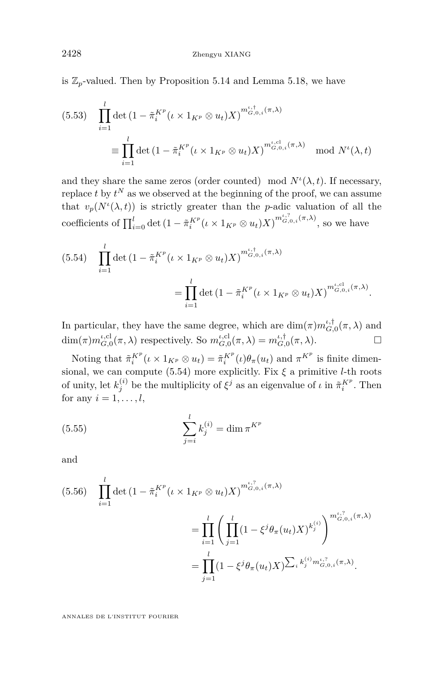is  $\mathbb{Z}_p$ -valued. Then by Proposition [5.14](#page-43-1) and Lemma [5.18,](#page-45-1) we have

$$
(5.53) \quad \prod_{i=1}^{l} \det \left( 1 - \tilde{\pi}_i^{K^p} (\iota \times 1_{K^p} \otimes u_t) X \right)^{m_{G,0,i}^{i,\dagger}(\pi,\lambda)}
$$
\n
$$
\equiv \prod_{i=1}^{l} \det \left( 1 - \tilde{\pi}_i^{K^p} (\iota \times 1_{K^p} \otimes u_t) X \right)^{m_{G,0,i}^{i,\mathrm{cl}}(\pi,\lambda)} \mod N^{\iota}(\lambda, t)
$$

and they share the same zeros (order counted) mod  $N^{\iota}(\lambda, t)$ . If necessary, replace  $t$  by  $t^N$  as we observed at the beginning of the proof, we can assume that  $v_p(N^{\iota}(\lambda, t))$  is strictly greater than the *p*-adic valuation of all the coefficients of  $\prod_{i=0}^{l} \det (1 - \tilde{\pi}_i^{K^p} (\iota \times 1_{K^p} \otimes u_t) X)^{m_{G,0,i}^{i,7}(\pi,\lambda)},$  so we have

<span id="page-48-0"></span>
$$
(5.54) \quad \prod_{i=1}^{l} \det \left( 1 - \tilde{\pi}_i^{K^p} (\iota \times 1_{K^p} \otimes u_t) X \right)^{m_{G,0,i}^{i,\dagger}(\pi,\lambda)}
$$

$$
= \prod_{i=1}^{l} \det \left( 1 - \tilde{\pi}_i^{K^p} (\iota \times 1_{K^p} \otimes u_t) X \right)^{m_{G,0,i}^{i,\dagger}(\pi,\lambda)}.
$$

In particular, they have the same degree, which are  $\dim(\pi) m_{G,0}^{\iota,\dagger}(\pi,\lambda)$  and  $\dim(\pi) m_{G,0}^{\iota,\mathrm{cl}}(\pi,\lambda)$  respectively. So  $m_{G,0}^{\iota,\mathrm{cl}}(\pi,\lambda) = m_{G,0}^{\iota,\dagger}(\pi,\lambda)$ .

Noting that  $\tilde{\pi}_i^{K^p}(\iota \times 1_{K^p} \otimes u_t) = \tilde{\pi}_i^{K^p}(\iota)\theta_{\pi}(u_t)$  and  $\pi^{K^p}$  is finite dimen-sional, we can compute [\(5.54\)](#page-48-0) more explicitly. Fix  $\xi$  a primitive *l*-th roots of unity, let  $k_j^{(i)}$  be the multiplicity of  $\xi^j$  as an eigenvalue of  $\iota$  in  $\tilde{\pi}_i^{K^p}$ . Then for any  $i = 1, \ldots, l$ ,

(5.55) 
$$
\sum_{j=i}^{l} k_j^{(i)} = \dim \pi^{K^p}
$$

and

$$
(5.56) \quad \prod_{i=1}^{l} \det \left( 1 - \tilde{\pi}_i^{K^p} (\iota \times 1_{K^p} \otimes u_t) X \right)^{m_{G,0,i}^{t,?}(\pi,\lambda)}
$$
\n
$$
= \prod_{i=1}^{l} \left( \prod_{j=1}^{l} (1 - \xi^j \theta_{\pi}(u_t) X)^{k_j^{(i)}} \right)^{m_{G,0,i}^{t,?}(\pi,\lambda)}
$$
\n
$$
= \prod_{j=1}^{l} (1 - \xi^j \theta_{\pi}(u_t) X) \sum_{i} k_j^{(i)} m_{G,0,i}^{t,?}(\pi,\lambda).
$$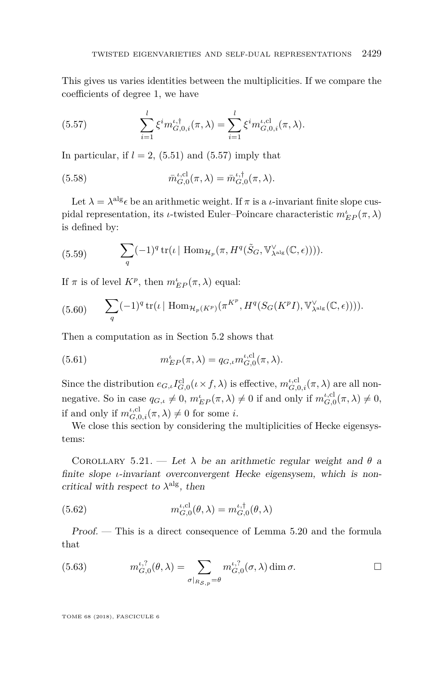This gives us varies identities between the multiplicities. If we compare the coefficients of degree 1, we have

<span id="page-49-0"></span>(5.57) 
$$
\sum_{i=1}^{l} \xi^{i} m_{G,0,i}^{\iota,\dagger}(\pi,\lambda) = \sum_{i=1}^{l} \xi^{i} m_{G,0,i}^{\iota,\mathrm{cl}}(\pi,\lambda).
$$

In particular, if  $l = 2$ , [\(5.51\)](#page-47-0) and [\(5.57\)](#page-49-0) imply that

(5.58) 
$$
\bar{m}_{G,0}^{\iota,\mathrm{cl}}(\pi,\lambda) = \bar{m}_{G,0}^{\iota,\dagger}(\pi,\lambda).
$$

Let  $\lambda = \lambda^{\text{alg}} \epsilon$  be an arithmetic weight. If  $\pi$  is a *ι*-invariant finite slope cuspidal representation, its *ι*-twisted Euler–Poincare characteristic  $m_{EP}^{\iota}(\pi, \lambda)$ is defined by:

<span id="page-49-2"></span>(5.59) 
$$
\sum_{q} (-1)^{q} tr(\iota \mid \text{Hom}_{\mathcal{H}_{p}}(\pi, H^{q}(\tilde{S}_{G}, \mathbb{V}_{\lambda^{\text{alg}}}^{\vee}(\mathbb{C}, \epsilon))))
$$

If  $\pi$  is of level  $K^p$ , then  $m_{EP}^{\iota}(\pi, \lambda)$  equal:

(5.60) 
$$
\sum_{q} (-1)^q \operatorname{tr}(\iota \mid \operatorname{Hom}_{\mathcal{H}_p(K^p)}(\pi^{K^p}, H^q(S_G(K^p I), \mathbb{V}_{\lambda^{\operatorname{alg}}}^{\vee}(\mathbb{C}, \epsilon))))
$$

Then a computation as in Section [5.2](#page-38-0) shows that

<span id="page-49-3"></span>(5.61) 
$$
m_{EP}^{\iota}(\pi,\lambda) = q_{G,\iota} m_{G,0}^{\iota,\mathrm{cl}}(\pi,\lambda).
$$

Since the distribution  $e_{G,\iota}I_{G,0}^{cl}(\iota \times f, \lambda)$  is effective,  $m_{G,0,i}^{\iota,cl}(\pi, \lambda)$  are all nonnegative. So in case  $q_{G,\iota} \neq 0$ ,  $m_{EP}^{\iota}(\pi, \lambda) \neq 0$  if and only if  $m_{G,0}^{\iota, \mathrm{cl}}(\pi, \lambda) \neq 0$ , if and only if  $m_{G,0,i}^{\iota,\text{cl}}(\pi,\lambda) \neq 0$  for some *i*.

We close this section by considering the multiplicities of Hecke eigensystems:

<span id="page-49-4"></span>COROLLARY 5.21. — Let  $\lambda$  be an arithmetic regular weight and  $\theta$  a finite slope *ι*-invariant overconvergent Hecke eigensysem, which is noncritical with respect to  $\lambda^{\text{alg}}$ , then

(5.62) 
$$
m_{G,0}^{\iota,\mathrm{cl}}(\theta,\lambda) = m_{G,0}^{\iota,\dagger}(\theta,\lambda)
$$

Proof. — This is a direct consequence of Lemma [5.20](#page-47-1) and the formula that

<span id="page-49-1"></span>(5.63) 
$$
m_{G,0}^{\iota,?}(\theta,\lambda) = \sum_{\sigma|_{R_{\mathcal{S},p}}=\theta} m_{G,0}^{\iota,?}(\sigma,\lambda) \dim \sigma.
$$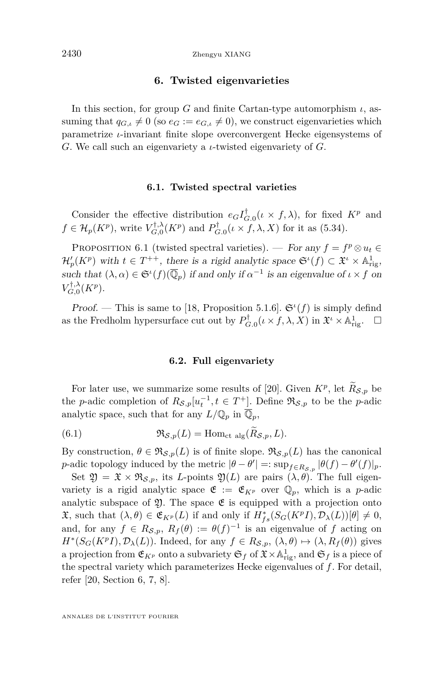#### **6. Twisted eigenvarieties**

<span id="page-50-0"></span>In this section, for group *G* and finite Cartan-type automorphism  $\iota$ , assuming that  $q_{G,\iota} \neq 0$  (so  $e_G := e_{G,\iota} \neq 0$ ), we construct eigenvarieties which parametrize *ι*-invariant finite slope overconvergent Hecke eigensystems of *G*. We call such an eigenvariety a *ι*-twisted eigenvariety of *G*.

#### **6.1. Twisted spectral varieties**

Consider the effective distribution  $e_G I_{G,0}^{\dagger}(\iota \times f, \lambda)$ , for fixed  $K^p$  and  $f \in \mathcal{H}_p(K^p)$ , write  $V_{G,0}^{\dagger,\lambda}(K^p)$  and  $P_{G,0}^{\dagger}(\iota \times f, \lambda, X)$  for it as [\(5.34\)](#page-43-2).

PROPOSITION 6.1 (twisted spectral varieties). — For any  $f = f^p \otimes u_t \in$  $\mathcal{H}'_p(K^p)$  with  $t \in T^{++}$ , there is a rigid analytic space  $\mathfrak{S}^{\iota}(f) \subset \mathfrak{X}^{\iota} \times \mathbb{A}^1_{\text{rig}},$ such that  $(\lambda, \alpha) \in \mathfrak{S}^{\iota}(f)(\overline{\mathbb{Q}}_p)$  if and only if  $\alpha^{-1}$  is an eigenvalue of  $\iota \times f$  on  $V_{G,0}^{\dagger,\lambda}(K^p).$ 

Proof. — This is same to [\[18,](#page-64-0) Proposition 5.1.6].  $\mathfrak{S}^{\iota}(f)$  is simply defind as the Fredholm hypersurface cut out by  $P_{G,0}^{\dagger}(\iota \times f, \lambda, X)$  in  $\mathfrak{X}^{\iota} \times \mathbb{A}_{\text{rig}}^{1}$ .  $\square$ 

#### **6.2. Full eigenvariety**

For later use, we summarize some results of [\[20\]](#page-64-1). Given  $K^p$ , let  $\hat{R}_{\mathcal{S},p}$  be the *p*-adic completion of  $R_{\mathcal{S},p}[u_t^{-1}, t \in T^+]$ . Define  $\mathfrak{R}_{\mathcal{S},p}$  to be the *p*-adic analytic space, such that for any  $L/\mathbb{Q}_p$  in  $\overline{\mathbb{Q}}_p$ ,

(6.1) 
$$
\mathfrak{R}_{\mathcal{S},p}(L) = \text{Hom}_{\text{ct alg}}(\widetilde{R}_{\mathcal{S},p},L).
$$

By construction,  $\theta \in \mathfrak{R}_{\mathcal{S},p}(L)$  is of finite slope.  $\mathfrak{R}_{\mathcal{S},p}(L)$  has the canonical *p*-adic topology induced by the metric  $|\theta - \theta'| =: \sup_{f \in R_{\mathcal{S},p}} |\theta(f) - \theta'(f)|_p$ .

Set  $\mathfrak{Y} = \mathfrak{X} \times \mathfrak{R}_{\mathcal{S},p}$ , its *L*-points  $\mathfrak{Y}(L)$  are pairs  $(\lambda, \theta)$ . The full eigenvariety is a rigid analytic space  $\mathfrak{E} := \mathfrak{E}_{K^p}$  over  $\mathbb{Q}_p$ , which is a *p*-adic analytic subspace of  $\mathfrak{D}$ . The space  $\mathfrak{E}$  is equipped with a projection onto  $\mathfrak{X},$  such that  $(\lambda, \theta) \in \mathfrak{E}_{K^p}(L)$  if and only if  $H^*_{fs}(S_G(K^pI), \mathcal{D}_\lambda(L))[\theta] \neq 0$ , and, for any  $f \in R_{\mathcal{S},p}$ ,  $R_f(\theta) := \theta(f)^{-1}$  is an eigenvalue of *f* acting on  $H^*(S_G(K^pI), \mathcal{D}_\lambda(L))$ . Indeed, for any  $f \in R_{\mathcal{S},p}$ ,  $(\lambda, \theta) \mapsto (\lambda, R_f(\theta))$  gives a projection from  $\mathfrak{E}_{K^p}$  onto a subvariety  $\mathfrak{S}_f$  of  $\mathfrak{X} \times \mathbb{A}^1_{\text{rig}}$ , and  $\mathfrak{S}_f$  is a piece of the spectral variety which parameterizes Hecke eigenvalues of *f*. For detail, refer [\[20,](#page-64-1) Section 6, 7, 8].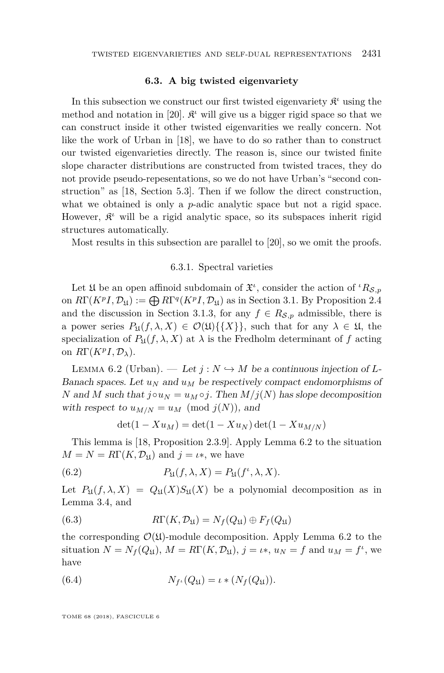#### **6.3. A big twisted eigenvariety**

<span id="page-51-0"></span>In this subsection we construct our first twisted eigenvariety  $\mathfrak{K}^{\iota}$  using the method and notation in [\[20\]](#page-64-1).  $\mathcal{R}^i$  will give us a bigger rigid space so that we can construct inside it other twisted eigenvarities we really concern. Not like the work of Urban in [\[18\]](#page-64-0), we have to do so rather than to construct our twisted eigenvarieties directly. The reason is, since our twisted finite slope character distributions are constructed from twisted traces, they do not provide pseudo-repesentations, so we do not have Urban's "second construction" as [\[18,](#page-64-0) Section 5.3]. Then if we follow the direct construction, what we obtained is only a *p*-adic analytic space but not a rigid space. However,  $\mathfrak{K}^{\iota}$  will be a rigid analytic space, so its subspaces inherit rigid structures automatically.

Most results in this subsection are parallel to [\[20\]](#page-64-1), so we omit the proofs.

#### 6.3.1. Spectral varieties

<span id="page-51-2"></span>Let  $\mathfrak U$  be an open affinoid subdomain of  $\mathfrak X^i$ , consider the action of  $\iota_{R_{\mathcal S,p}}$ on  $R\Gamma(K^pI, \mathcal{D}_{\mathfrak{U}}) := \bigoplus R\Gamma^q(K^pI, \mathcal{D}_{\mathfrak{U}})$  as in Section [3.1.](#page-12-0) By Proposition [2.4](#page-11-0) and the discussion in Section [3.1.3,](#page-14-0) for any  $f \in R_{\mathcal{S},p}$  admissible, there is a power series  $P_{\mathfrak{U}}(f, \lambda, X) \in \mathcal{O}(\mathfrak{U})\{\{X\}\}\,$ , such that for any  $\lambda \in \mathfrak{U}$ , the specialization of  $P_{\mathfrak{U}}(f, \lambda, X)$  at  $\lambda$  is the Fredholm determinant of f acting on  $R\Gamma(K^pI, \mathcal{D}_\lambda)$ .

<span id="page-51-1"></span>LEMMA 6.2 (Urban). — Let  $j : N \hookrightarrow M$  be a continuous injection of L-Banach spaces. Let  $u_N$  and  $u_M$  be respectively compact endomorphisms of *N* and *M* such that  $j \circ u_N = u_M \circ j$ . Then  $M/j(N)$  has slope decomposition with respect to  $u_{M/N} = u_M \pmod{j(N)}$ , and

$$
\det(1 - Xu_M) = \det(1 - Xu_N) \det(1 - Xu_{M/N})
$$

This lemma is [\[18,](#page-64-0) Proposition 2.3.9]. Apply Lemma [6.2](#page-51-1) to the situation  $M = N = R\Gamma(K, \mathcal{D}_{\mathfrak{U}})$  and  $j = \iota$ <sup>\*</sup>, we have

(6.2) 
$$
P_{\mathfrak{U}}(f,\lambda,X) = P_{\mathfrak{U}}(f^{\iota},\lambda,X).
$$

Let  $P_{\mathfrak{U}}(f, \lambda, X) = Q_{\mathfrak{U}}(X)S_{\mathfrak{U}}(X)$  be a polynomial decomposition as in Lemma [3.4,](#page-15-1) and

(6.3) 
$$
R\Gamma(K, \mathcal{D}_{\mathfrak{U}}) = N_f(Q_{\mathfrak{U}}) \oplus F_f(Q_{\mathfrak{U}})
$$

the corresponding  $\mathcal{O}(\mathfrak{U})$ -module decomposition. Apply Lemma [6.2](#page-51-1) to the situation  $N = N_f(Q_\mathfrak{U}), M = R\Gamma(K, \mathcal{D}_\mathfrak{U}), j = \iota*, u_N = f$  and  $u_M = f^{\iota}, w$ have

(6.4) 
$$
N_{f^{\iota}}(Q_{\mathfrak{U}}) = \iota \ast (N_f(Q_{\mathfrak{U}})).
$$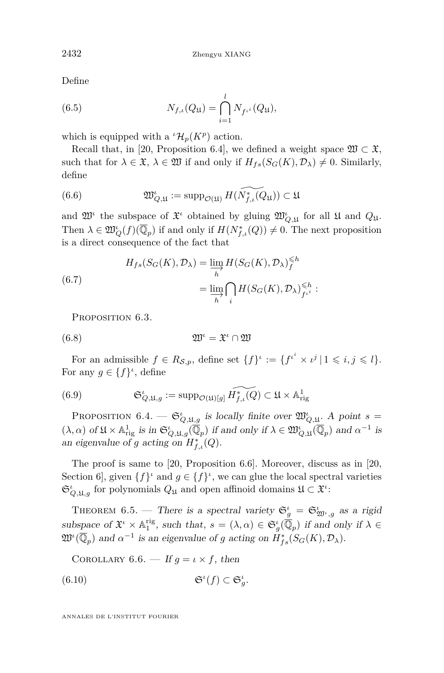Define

(6.5) 
$$
N_{f,\iota}(Q_{\mathfrak{U}}) = \bigcap_{i=1}^{l} N_{f^{\iota^i}}(Q_{\mathfrak{U}}),
$$

which is equipped with a  ${}^{t}\mathcal{H}_{p}(K^{p})$  action.

Recall that, in [\[20,](#page-64-1) Proposition 6.4], we defined a weight space  $\mathfrak{W} \subset \mathfrak{X}$ , such that for  $\lambda \in \mathfrak{X}, \lambda \in \mathfrak{W}$  if and only if  $H_{fs}(S_G(K), \mathcal{D}_\lambda) \neq 0$ . Similarly, define

(6.6) 
$$
\mathfrak{W}^{\iota}_{Q,\mathfrak{U}} := \mathrm{supp}_{\mathcal{O}(\mathfrak{U})} H(\widetilde{N_{f,\iota}^{*}(Q_{\mathfrak{U}})}) \subset \mathfrak{U}
$$

and  $\mathfrak{W}^{\iota}$  the subspace of  $\mathfrak{X}^{\iota}$  obtained by gluing  $\mathfrak{W}_{Q,\mathfrak{U}}^{\iota}$  for all  $\mathfrak{U}$  and  $Q_{\mathfrak{U}}$ . Then  $\lambda \in \mathfrak{W}^{\iota}_{Q}(f)(\overline{\mathbb{Q}}_{p})$  if and only if  $H(N^{*}_{f,\iota}(Q)) \neq 0$ . The next proposition is a direct consequence of the fact that

(6.7) 
$$
H_{fs}(S_G(K), \mathcal{D}_\lambda) = \lim_{h} H(S_G(K), \mathcal{D}_\lambda)_f^{\leq h}
$$

$$
= \lim_{h} \bigcap_{i} H(S_G(K), \mathcal{D}_\lambda)_{f^{ii}}^{\leq h}:
$$

PROPOSITION 6.3.

$$
(6.8) \t\t\t \mathfrak{W}^{\iota} = \mathfrak{X}^{\iota} \cap \mathfrak{W}
$$

For an admissible  $f \in R_{\mathcal{S},p}$ , define set  $\{f\}^{\iota} := \{f^{\iota^i} \times \iota^j \mid 1 \leqslant i,j \leqslant l\}.$ For any  $g \in \{f\}^{\iota}$ , define

(6.9) 
$$
\mathfrak{S}_{Q,\mathfrak{U},g}^{\iota} := \mathrm{supp}_{\mathcal{O}(\mathfrak{U})[g]} \widetilde{H_{f,\iota}^*(Q)} \subset \mathfrak{U} \times \mathbb{A}^1_{\mathrm{rig}}
$$

PROPOSITION 6.4.  $-\mathfrak{S}_{Q,\mathfrak{U},g}^{\iota}$  is locally finite over  $\mathfrak{W}_{Q,\mathfrak{U}}^{\iota}$ . A point  $s=$  $(\lambda, \alpha)$  of  $\mathfrak{U} \times \mathbb{A}^1_{\text{rig}}$  is in  $\mathfrak{S}_{Q, \mathfrak{U}, g}^{\iota}(\overline{\mathbb{Q}}_p)$  if and only if  $\lambda \in \mathfrak{W}_{Q, \mathfrak{U}}^{\iota}(\overline{\mathbb{Q}}_p)$  and  $\alpha^{-1}$  is an eigenvalue of *g* acting on  $H^*_{f,\iota}(Q)$ .

The proof is same to [\[20,](#page-64-1) Proposition 6.6]. Moreover, discuss as in [\[20,](#page-64-1) Section 6, given  $\{f\}$ <sup>*ι*</sup> and  $g \in \{f\}$ <sup>*ι*</sup>, we can glue the local spectral varieties  $\mathfrak{S}_{Q,\mathfrak{U},g}^{\iota}$  for polynomials  $Q_{\mathfrak{U}}$  and open affinoid domains  $\mathfrak{U} \subset \mathfrak{X}^{\iota}$ :

THEOREM 6.5. — There is a spectral variety  $\mathfrak{S}_{g}^{\iota} = \mathfrak{S}_{\mathfrak{W}^{\iota},g}^{\iota}$  as a rigid subspace of  $\mathfrak{X}^i \times \mathbb{A}_1^{\text{rig}}$ , such that,  $s = (\lambda, \alpha) \in \mathfrak{S}_g^i(\overline{\mathbb{Q}}_p)$  if and only if  $\lambda \in$  $\mathfrak{W}^{\iota}(\overline{\mathbb{Q}}_p)$  and  $\alpha^{-1}$  is an eigenvalue of *g* acting on  $H^*_{fs}(S_G(K), \mathcal{D}_\lambda)$ .

<span id="page-52-0"></span>COROLLARY 6.6. — If  $g = \iota \times f$ , then

$$
(6.10)\t\t \t\t\t\mathfrak{S}^{\iota}(f) \subset \mathfrak{S}_{g}^{\iota}.
$$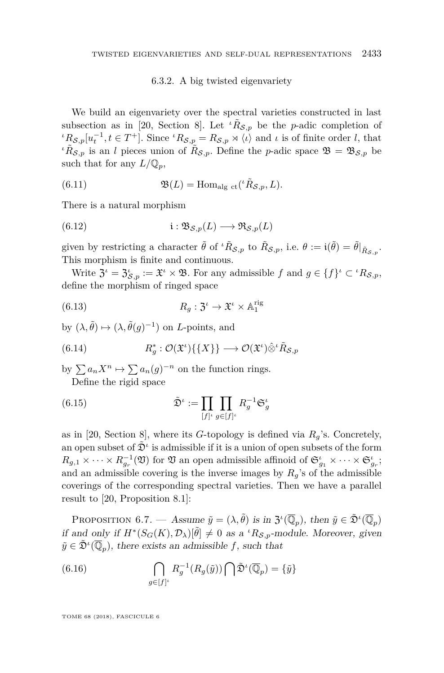#### 6.3.2. A big twisted eigenvariety

We build an eigenvariety over the spectral varieties constructed in last subsection as in [\[20,](#page-64-1) Section 8]. Let  $\iota \tilde{R}_{\mathcal{S},p}$  be the *p*-adic completion of  $\iota^{\iota}R_{\mathcal{S},p}[u_t^{-1}, t \in T^+]$ . Since  $\iota^{\iota}R_{\mathcal{S},p} = R_{\mathcal{S},p} \rtimes \langle \iota \rangle$  and  $\iota$  is of finite order *l*, that *ι* $\tilde{R}_{\mathcal{S},p}$  is an *l* pieces union of  $\tilde{R}_{\mathcal{S},p}$ . Define the *p*-adic space  $\mathfrak{B} = \mathfrak{B}_{\mathcal{S},p}$  be such that for any  $L/\mathbb{Q}_p$ ,

(6.11) 
$$
\mathfrak{B}(L) = \text{Hom}_{\text{alg ct}}(^{\iota} \tilde{R}_{\mathcal{S},p}, L).
$$

There is a natural morphism

<span id="page-53-1"></span>(6.12) 
$$
\mathfrak{i}: \mathfrak{B}_{\mathcal{S},p}(L) \longrightarrow \mathfrak{R}_{\mathcal{S},p}(L)
$$

given by restricting a character  $\tilde{\theta}$  of  ${}^{\iota} \tilde{R}_{\mathcal{S},p}$  to  $\tilde{R}_{\mathcal{S},p}$ , i.e.  $\theta := \mathrm{i}(\tilde{\theta}) = \tilde{\theta}|_{\tilde{R}_{\mathcal{S},p}}$ . This morphism is finite and continuous.

Write  $\mathfrak{Z}^i = \mathfrak{Z}^i_{\mathcal{S},p} := \mathfrak{X}^i \times \mathfrak{B}$ . For any admissible  $f$  and  $g \in \{f\}^i \subset {}^{\iota}R_{\mathcal{S},p}$ , define the morphism of ringed space

(6.13) 
$$
R_g: \mathfrak{Z}^{\iota} \to \mathfrak{X}^{\iota} \times \mathbb{A}_1^{\text{rig}}
$$

by  $(\lambda, \tilde{\theta}) \mapsto (\lambda, \tilde{\theta}(g)^{-1})$  on *L*-points, and

(6.14) 
$$
R_g^* : \mathcal{O}(\mathfrak{X}^{\iota})\{\{X\}\} \longrightarrow \mathcal{O}(\mathfrak{X}^{\iota})\hat{\otimes}^{\iota} \tilde{R}_{\mathcal{S},p}
$$

by  $\sum a_n X^n \mapsto \sum a_n (g)^{-n}$  on the function rings. Define the rigid space

(6.15) 
$$
\tilde{\mathfrak{D}}^{\iota} := \prod_{[f]^{\iota}} \prod_{g \in [f]^{\iota}} R_g^{-1} \mathfrak{S}_g^{\iota}
$$

as in [\[20,](#page-64-1) Section 8], where its *G*-topology is defined via *Rg*'s. Concretely, an open subset of  $\tilde{\mathfrak{D}}^{\iota}$  is admissible if it is a union of open subsets of the form  $R_{g,1} \times \cdots \times R_{g_r}^{-1}(\mathfrak{V})$  for  $\mathfrak{V}$  an open admissible affinoid of  $\mathfrak{S}_{g_1}^{\iota} \times \cdots \times \mathfrak{S}_{g_r}^{\iota}$ ; and an admissible covering is the inverse images by  $R_q$ 's of the admissible coverings of the corresponding spectral varieties. Then we have a parallel result to [\[20,](#page-64-1) Proposition 8.1]:

<span id="page-53-0"></span>PROPOSITION 6.7. — Assume  $\tilde{y} = (\lambda, \tilde{\theta})$  is in  $\mathfrak{Z}^{\iota}(\overline{\mathbb{Q}}_p)$ , then  $\tilde{y} \in \tilde{\mathfrak{D}}^{\iota}(\overline{\mathbb{Q}}_p)$ if and only if  $H^*(S_G(K), \mathcal{D}_\lambda)[\tilde{\theta}] \neq 0$  as a *<sup><i>ι*</sup>R<sub>S</sub>,p-module. Moreover, given  $\tilde{y} \in \tilde{\mathfrak{D}}^i(\overline{\mathbb{Q}}_p)$ , there exists an admissible *f*, such that

(6.16) 
$$
\bigcap_{g \in [f]^{\iota}} R_g^{-1}(R_g(\tilde{y})) \bigcap \tilde{\mathfrak{D}}^{\iota}(\overline{\mathbb{Q}}_p) = \{\tilde{y}\}
$$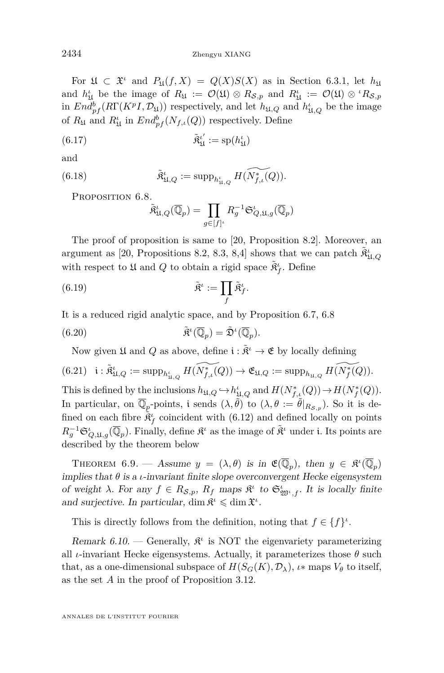For  $\mathfrak{U} \subset \mathfrak{X}^{\iota}$  and  $P_{\mathfrak{U}}(f, X) = Q(X)S(X)$  as in Section [6.3.1,](#page-51-2) let  $h_{\mathfrak{U}}$ and  $h'_{\mathfrak{U}}$  be the image of  $R_{\mathfrak{U}} := \mathcal{O}(\mathfrak{U}) \otimes R_{\mathcal{S},p}$  and  $R'_{\mathfrak{U}} := \mathcal{O}(\mathfrak{U}) \otimes {}^{i}R_{\mathcal{S},p}$ in  $End_{pf}^b(R\Gamma(KPI, \mathcal{D}_\mathfrak{U}))$  respectively, and let  $h_{\mathfrak{U},Q}$  and  $h_{\mathfrak{U},Q}^t$  be the image of  $R_{\mathfrak{U}}$  and  $R_{\mathfrak{U}}^{\iota}$  in  $End_{pf}^{b}(N_{f,\iota}(Q))$  respectively. Define

(6.17) 
$$
\tilde{\mathfrak{K}}_{\mathfrak{U}}^{\iota'} := sp(h_{\mathfrak{U}}^{\iota})
$$

and

(6.18) 
$$
\tilde{\mathfrak{K}}^{\iota}_{\mathfrak{U},Q} := \mathrm{supp}_{h_{\mathfrak{U},Q}^{\iota}} H(\widetilde{N_{f,\iota}^{\ast}(Q)}).
$$

<span id="page-54-0"></span>PROPOSITION 6.8.

$$
\tilde{\mathfrak{K}}^{\iota}_{\mathfrak{U},Q}(\overline{\mathbb{Q}}_p)=\prod_{g\in[f]^{\iota}}R_g^{-1}\mathfrak{S}^{\iota}_{Q,\mathfrak{U},g}(\overline{\mathbb{Q}}_p)
$$

The proof of proposition is same to [\[20,](#page-64-1) Proposition 8.2]. Moreover, an argument as [\[20,](#page-64-1) Propositions 8.2, 8.3, 8,4] shows that we can patch  $\tilde{R}^{\iota}_{\mathfrak{U},Q}$ with respect to  $\frak{U}$  and  $Q$  to obtain a rigid space  $\tilde{\mathfrak{K}}_f^\iota.$  Define

*.*

(6.19) 
$$
\tilde{\mathfrak{K}}^{\iota} := \prod_{f} \tilde{\mathfrak{K}}^{\iota}_{f}
$$

It is a reduced rigid analytic space, and by Proposition [6.7,](#page-53-0) [6.8](#page-54-0)

(6.20) 
$$
\tilde{\mathfrak{R}}^{\iota}(\overline{\mathbb{Q}}_p) = \tilde{\mathfrak{D}}^{\iota}(\overline{\mathbb{Q}}_p).
$$

Now given  $\frak{U}$  and  $Q$  as above, define  $\frak{i}: \tilde{\mathfrak{K}}^\iota \to \frak{E}$  by locally defining

$$
(6.21)\quad \mathfrak{i}: \widetilde{\mathfrak{R}}^{\iota}_{\mathfrak{U},Q} := \mathrm{supp}_{h_{\mathfrak{U},Q}^{\iota}} H(\widetilde{N_{f,\iota}^{\ast}(Q)}) \to \mathfrak{E}_{\mathfrak{U},Q} := \mathrm{supp}_{h_{\mathfrak{U},Q}} H(\widetilde{N_{f}^{\ast}(Q)}).
$$

This is defined by the inclusions  $h_{\mathfrak{U},Q} \hookrightarrow h_{\mathfrak{U},Q}^{\iota}$  and  $H(N_{f,\iota}^{*}(Q)) \rightarrow H(N_{f}^{*}(Q)).$ In particular, on  $\overline{\mathbb{Q}}_p$ -points, i sends  $(\lambda, \tilde{\theta})$  to  $(\lambda, \theta) := \tilde{\theta}|_{R_{\mathcal{S},p}}$ ). So it is defined on each fibre  $\tilde{\mathfrak{K}}_f^{\iota}$  coincident with [\(6.12\)](#page-53-1) and defined locally on points  $R_g^{-1} \mathfrak{S}_{Q,\mathfrak{U},g}^{\iota}(\overline{\mathbb{Q}}_p)$ . Finally, define  $\mathfrak{K}^{\iota}$  as the image of  $\tilde{\mathfrak{K}}^{\iota}$  under i. Its points are described by the theorem below

<span id="page-54-1"></span>THEOREM 6.9. — Assume  $y = (\lambda, \theta)$  is in  $\mathfrak{E}(\overline{\mathbb{Q}}_p)$ , then  $y \in \mathfrak{K}^{\iota}(\overline{\mathbb{Q}}_p)$ implies that  $\theta$  is a *ι*-invariant finite slope overconvergent Hecke eigensystem of weight  $\lambda$ . For any  $f \in R_{\mathcal{S},p}$ ,  $R_f$  maps  $\mathfrak{K}^{\iota}$  to  $\mathfrak{S}^{\iota}_{\mathfrak{W}^{\iota},f}$ . It is locally finite and surjective. In particular,  $\dim \mathfrak{K}^{\iota} \leqslant \dim \mathfrak{X}^{\iota}$ .

This is directly follows from the definition, noting that  $f \in \{f\}^{\iota}$ .

<span id="page-54-2"></span>Remark  $6.10$ . — Generally,  $\mathfrak{K}^{\iota}$  is NOT the eigenvariety parameterizing all *ι*-invariant Hecke eigensystems. Actually, it parameterizes those  $\theta$  such that, as a one-dimensional subspace of  $H(S_G(K), \mathcal{D}_\lambda)$ ,  $\iota$ <sup>\*</sup> maps  $V_\theta$  to itself, as the set *A* in the proof of Proposition [3.12.](#page-21-0)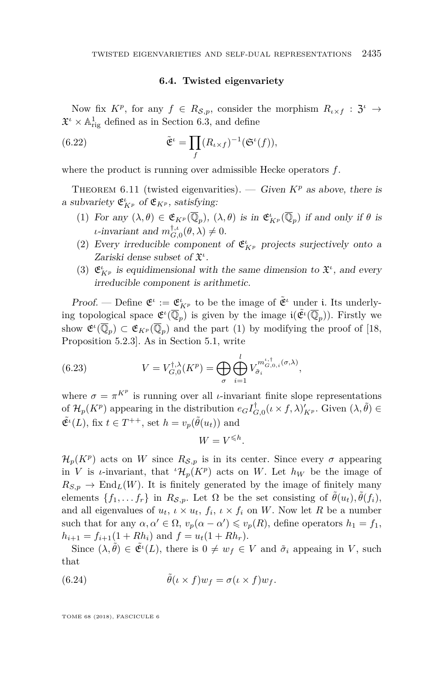#### **6.4. Twisted eigenvariety**

Now fix  $K^p$ , for any  $f \in R_{\mathcal{S},p}$ , consider the morphism  $R_{\iota \times f} : \mathfrak{Z}^{\iota} \to$  $\mathfrak{X}^{\iota} \times \mathbb{A}^1_{\text{rig}}$  defined as in Section [6.3,](#page-51-0) and define

(6.22) 
$$
\tilde{\mathfrak{E}}^{\iota} = \prod_{f} (R_{\iota \times f})^{-1} (\mathfrak{S}^{\iota}(f)),
$$

where the product is running over admissible Hecke operators *f*.

<span id="page-55-4"></span>THEOREM 6.11 (twisted eigenvarities). — Given  $K^p$  as above, there is a subvariety  $\mathfrak{E}_{K^p}^{\iota}$  of  $\mathfrak{E}_{K^p}$ , satisfying:

- <span id="page-55-0"></span>(1) For any  $(\lambda, \theta) \in \mathfrak{E}_{K^p}(\overline{\mathbb{Q}}_p)$ ,  $(\lambda, \theta)$  is in  $\mathfrak{E}_{K^p}^{\iota}(\overline{\mathbb{Q}}_p)$  if and only if  $\theta$  is *ι*-invariant and  $m_{G,0}^{\dagger,\iota}(\theta,\lambda) \neq 0$ .
- <span id="page-55-2"></span>(2) Every irreducible component of  $\mathfrak{E}_{K^p}^{\iota}$  projects surjectively onto a Zariski dense subset of X *ι* .
- <span id="page-55-3"></span>(3)  $\mathfrak{E}_{K^p}^{\iota}$  is equidimensional with the same dimension to  $\mathfrak{X}^{\iota}$ , and every irreducible component is arithmetic.

Proof. — Define  $\mathfrak{E}^i := \mathfrak{E}_{K^p}^i$  to be the image of  $\tilde{\mathfrak{E}}^i$  under i. Its underlying topological space  $\mathfrak{E}^{\iota}(\overline{\mathbb{Q}}_p)$  is given by the image  $\mathfrak{i}(\tilde{\mathfrak{E}}^{\iota}(\overline{\mathbb{Q}}_p))$ . Firstly we show  $\mathfrak{E}^{\iota}(\overline{\mathbb{Q}}_p) \subset \mathfrak{E}_{K^p}(\overline{\mathbb{Q}}_p)$  and the part [\(1\)](#page-55-0) by modifying the proof of [\[18,](#page-64-0) Proposition 5.2.3]. As in Section [5.1,](#page-36-3) write

<span id="page-55-1"></span>(6.23) 
$$
V = V_{G,0}^{\dagger,\lambda}(K^p) = \bigoplus_{\sigma} \bigoplus_{i=1}^{l} V_{\tilde{\sigma}_i}^{m_{G,0,i}^{\iota,\dagger}(\sigma,\lambda)},
$$

where  $\sigma = \pi^{K^p}$  is running over all *ι*-invariant finite slope representations of  $\mathcal{H}_p(K^p)$  appearing in the distribution  $e_G I_{G,0}^{\dagger}(\iota \times f, \lambda)_{K^p}'$ . Given  $(\lambda, \tilde{\theta}) \in$  $\tilde{\mathfrak{E}}^i(L)$ , fix  $t \in T^{++}$ , set  $h = v_p(\tilde{\theta}(u_t))$  and

$$
W = V^{\leqslant h}.
$$

 $\mathcal{H}_p(K^p)$  acts on *W* since  $R_{\mathcal{S},p}$  is in its center. Since every  $\sigma$  appearing in *V* is *ι*-invariant, that  ${}^{t}\mathcal{H}_{p}(K^{p})$  acts on *W*. Let  $h_{W}$  be the image of  $R_{S,p} \to \text{End}_L(W)$ . It is finitely generated by the image of finitely many elements  $\{f_1, \ldots, f_r\}$  in  $R_{\mathcal{S},p}$ . Let  $\Omega$  be the set consisting of  $\tilde{\theta}(u_t), \tilde{\theta}(f_i)$ , and all eigenvalues of  $u_t$ ,  $\iota \times u_t$ ,  $f_i$ ,  $\iota \times f_i$  on *W*. Now let *R* be a number such that for any  $\alpha, \alpha' \in \Omega$ ,  $v_p(\alpha - \alpha') \leq v_p(R)$ , define operators  $h_1 = f_1$ ,  $h_{i+1} = f_{i+1}(1 + Rh_i)$  and  $f = u_t(1 + Rh_r)$ .

Since  $(\lambda, \tilde{\theta}) \in \tilde{\mathfrak{E}}^{\iota}(L)$ , there is  $0 \neq w_f \in V$  and  $\tilde{\sigma}_i$  appeaing in *V*, such that

(6.24) 
$$
\tilde{\theta}(\iota \times f)w_f = \sigma(\iota \times f)w_f.
$$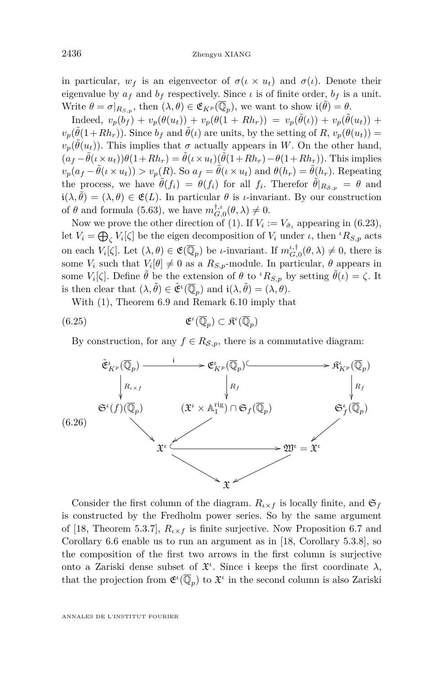in particular,  $w_f$  is an eigenvector of  $\sigma(\iota \times u_t)$  and  $\sigma(\iota)$ . Denote their eigenvalue by  $a_f$  and  $b_f$  respectively. Since  $\iota$  is of finite order,  $b_f$  is a unit. Write  $\theta = \sigma|_{R_{S,p}}$ , then  $(\lambda, \theta) \in \mathfrak{E}_{K^p}(\overline{\mathbb{Q}}_p)$ , we want to show  $\mathfrak{i}(\tilde{\theta}) = \theta$ .

Indeed,  $v_p(b_f) + v_p(\theta(u_t)) + v_p(\theta(1 + Rh_r)) = v_p(\tilde{\theta}(t)) + v_p(\tilde{\theta}(u_t)) + v_p(\theta(u_t))$  $v_p(\tilde{\theta}(1+Rh_r))$ . Since  $b_f$  and  $\tilde{\theta}(\iota)$  are units, by the setting of  $R$ ,  $v_p(\theta(u_t)) =$  $v_p(\tilde{\theta}(u_t))$ . This implies that  $\sigma$  actually appears in *W*. On the other hand,  $(a_f - \tilde{\theta}(\iota \times u_t))\theta(1+Rh_r) = \tilde{\theta}(\iota \times u_t)(\tilde{\theta}(1+Rh_r) - \theta(1+Rh_r)).$  This implies  $v_p(a_f - \tilde{\theta}(\iota \times u_t)) > v_p(R)$ . So  $a_f = \tilde{\theta}(\iota \times u_t)$  and  $\theta(h_r) = \tilde{\theta}(h_r)$ . Repeating the process, we have  $\tilde{\theta}(f_i) = \theta(f_i)$  for all  $f_i$ . Therefor  $\tilde{\theta}|_{R_{\mathcal{S},p}} = \theta$  and  $i(\lambda, \tilde{\theta}) = (\lambda, \theta) \in \mathfrak{E}(L)$ . In particular  $\theta$  is *ι*-invariant. By our construction of  $\theta$  and formula [\(5.63\)](#page-49-1), we have  $m_{G,0}^{\dagger,\iota}(\theta,\lambda) \neq 0$ .

Now we prove the other direction of [\(1\)](#page-55-0). If  $V_i := V_{\tilde{\sigma}_i}$  appearing in [\(6.23\)](#page-55-1), let  $V_i = \bigoplus_{\zeta} V_i[\zeta]$  be the eigen decomposition of  $V_i$  under  $\iota$ , then  ${}^{\iota}R_{S,p}$  acts on each  $V_i[\zeta]$ . Let  $(\lambda, \theta) \in \mathfrak{E}(\overline{\mathbb{Q}}_p)$  be *ι*-invariant. If  $m_{G,0}^{\iota,\dagger}(\theta, \lambda) \neq 0$ , there is some  $V_i$  such that  $V_i[\theta] \neq 0$  as a  $R_{S,p}$ -module. In particular,  $\theta$  appears in some  $V_i[\zeta]$ . Define  $\tilde{\theta}$  be the extension of  $\theta$  to  ${}^{\iota}R_{S,p}$  by setting  $\tilde{\theta}(\iota) = \zeta$ . It is then clear that  $(\lambda, \tilde{\theta}) \in \tilde{\mathfrak{E}}^{\iota}(\overline{\mathbb{Q}}_p)$  and  $\mathfrak{i}(\lambda, \tilde{\theta}) = (\lambda, \theta)$ .

<span id="page-56-0"></span>With [\(1\)](#page-55-0), Theorem [6.9](#page-54-1) and Remark [6.10](#page-54-2) imply that

(6.25) 
$$
\mathfrak{E}^{\iota}(\overline{\mathbb{Q}}_p) \subset \mathfrak{K}^{\iota}(\overline{\mathbb{Q}}_p)
$$

By construction, for any  $f \in R_{\mathcal{S},p}$ , there is a commutative diagram:



Consider the first column of the diagram.  $R_{\iota \times f}$  is locally finite, and  $\mathfrak{S}_f$ is constructed by the Fredholm power series. So by the same argument of [\[18,](#page-64-0) Theorem 5.3.7],  $R_{\iota \times f}$  is finite surjective. Now Proposition [6.7](#page-53-0) and Corollary [6.6](#page-52-0) enable us to run an argument as in [\[18,](#page-64-0) Corollary 5.3.8], so the composition of the first two arrows in the first column is surjective onto a Zariski dense subset of  $\mathfrak{X}^i$ . Since i keeps the first coordinate  $\lambda$ , that the projection from  $\mathfrak{E}^{\iota}(\overline{\mathbb{Q}}_p)$  to  $\mathfrak{X}^{\iota}$  in the second column is also Zariski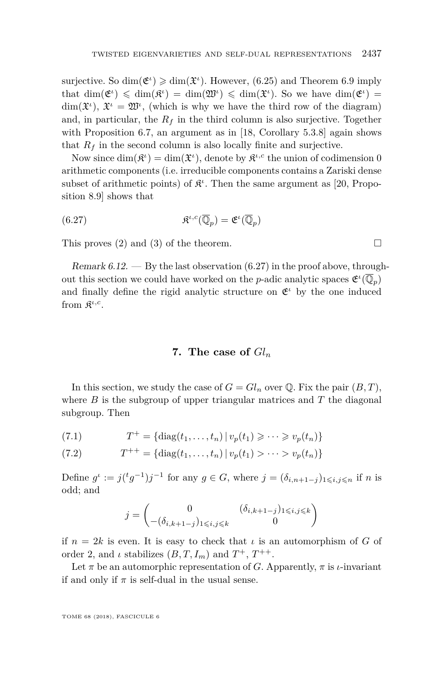surjective. So  $\dim(\mathfrak{E}^i) \geq \dim(\mathfrak{X}^i)$ . However, [\(6.25\)](#page-56-0) and Theorem [6.9](#page-54-1) imply that  $\dim(\mathfrak{E}^{\iota}) \leq \dim(\mathfrak{K}^{\iota}) = \dim(\mathfrak{W}^{\iota}) \leq \dim(\mathfrak{X}^{\iota})$ . So we have  $\dim(\mathfrak{E}^{\iota}) =$  $\dim(\mathfrak{X}^{\iota}), \mathfrak{X}^{\iota} = \mathfrak{W}^{\iota},$  (which is why we have the third row of the diagram) and, in particular, the  $R_f$  in the third column is also surjective. Together with Proposition [6.7,](#page-53-0) an argument as in [\[18,](#page-64-0) Corollary 5.3.8] again shows that  $R_f$  in the second column is also locally finite and surjective.

Now since  $\dim(\mathfrak{K}^{\iota}) = \dim(\mathfrak{X}^{\iota})$ , denote by  $\mathfrak{K}^{\iota,c}$  the union of codimension 0 arithmetic components (i.e. irreducible components contains a Zariski dense subset of arithmetic points) of  $\mathfrak{K}^{\iota}$ . Then the same argument as [\[20,](#page-64-1) Proposition 8.9] shows that

<span id="page-57-1"></span>(6.27) 
$$
\mathfrak{K}^{\iota,c}(\overline{\mathbb{Q}}_p) = \mathfrak{E}^{\iota}(\overline{\mathbb{Q}}_p)
$$

This proves [\(2\)](#page-55-2) and [\(3\)](#page-55-3) of the theorem.  $\Box$ 

Remark  $6.12.$  — By the last observation  $(6.27)$  in the proof above, throughout this section we could have worked on the *p*-adic analytic spaces  $\mathfrak{E}^{\iota}(\overline{\mathbb{Q}}_p)$ and finally define the rigid analytic structure on  $\mathfrak{E}^i$  by the one induced from  $\mathfrak{K}^{\iota,c}$ .

#### **7. The case of** *Gl<sup>n</sup>*

<span id="page-57-0"></span>In this section, we study the case of  $G = Gl_n$  over Q. Fix the pair  $(B, T)$ , where  $B$  is the subgroup of upper triangular matrices and  $T$  the diagonal subgroup. Then

(7.1) 
$$
T^{+} = \{ \text{diag}(t_1, ..., t_n) \, | \, v_p(t_1) \geqslant \cdots \geqslant v_p(t_n) \}
$$

(7.2) 
$$
T^{++} = \{ \text{diag}(t_1, \dots, t_n) \mid v_p(t_1) > \dots > v_p(t_n) \}
$$

Define  $g^{\iota} := j({}^t g^{-1})j^{-1}$  for any  $g \in G$ , where  $j = (\delta_{i,n+1-j})_{1 \leqslant i,j \leqslant n}$  if *n* is odd; and

$$
j = \begin{pmatrix} 0 & (\delta_{i,k+1-j})_{1 \leq i,j \leq k} \\ -(\delta_{i,k+1-j})_{1 \leq i,j \leq k} & 0 \end{pmatrix}
$$

if  $n = 2k$  is even. It is easy to check that  $\iota$  is an automorphism of *G* of order 2, and  $\iota$  stabilizes  $(B, T, I_m)$  and  $T^+$ ,  $T^{++}$ .

Let  $\pi$  be an automorphic representation of *G*. Apparently,  $\pi$  is *ι*-invariant if and only if  $\pi$  is self-dual in the usual sense.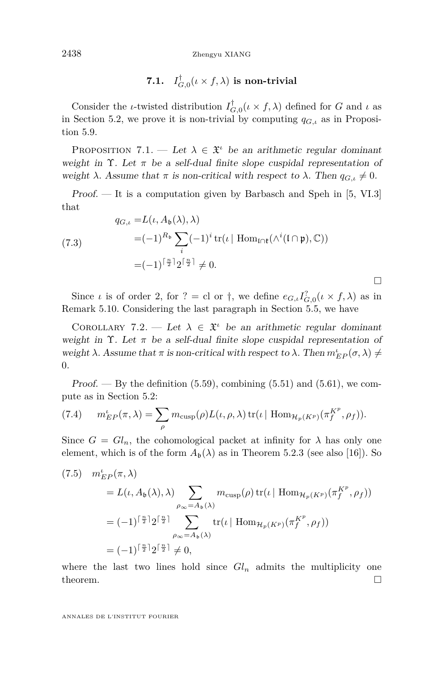2438 Zhengyu XIANG

7.1. 
$$
I_{G,0}^{\dagger}(\iota \times f, \lambda)
$$
 is non-trivial

Consider the *ι*-twisted distribution  $I_{G,0}^{\dagger}(\iota \times f, \lambda)$  defined for *G* and *ι* as in Section [5.2,](#page-38-0) we prove it is non-trivial by computing  $q_{G,\iota}$  as in Proposition [5.9.](#page-42-1)

PROPOSITION 7.1. — Let  $\lambda \in \mathfrak{X}^i$  be an arithmetic regular dominant weight in  $\Upsilon$ . Let  $\pi$  be a self-dual finite slope cuspidal representation of weight  $\lambda$ . Assume that  $\pi$  is non-critical with respect to  $\lambda$ . Then  $q_{G,\iota} \neq 0$ .

 $Proof.$  — It is a computation given by Barbasch and Speh in [\[5,](#page-63-12) VI.3] that

(7.3)  
\n
$$
q_{G,\iota} = L(\iota, A_{\mathfrak{b}}(\lambda), \lambda)
$$
\n
$$
= (-1)^{R_{\mathfrak{b}}} \sum_{i} (-1)^{i} tr(\iota \mid \text{Hom}_{\mathfrak{l} \cap \mathfrak{k}}(\wedge^{i}(\mathfrak{l} \cap \mathfrak{p}), \mathbb{C}))
$$
\n
$$
= (-1)^{\lceil \frac{n}{2} \rceil} 2^{\lceil \frac{n}{2} \rceil} \neq 0.
$$

Since *ι* is of order 2, for ? = cl or  $\dagger$ , we define  $e_{G,\iota} I_{G,0}^?(\iota \times f, \lambda)$  as in Remark [5.10.](#page-43-3) Considering the last paragraph in Section [5.5,](#page-46-0) we have

П

<span id="page-58-0"></span>COROLLARY 7.2. — Let  $\lambda \in \mathfrak{X}^{\iota}$  be an arithmetic regular dominant weight in  $\Upsilon$ . Let  $\pi$  be a self-dual finite slope cuspidal representation of weight *λ*. Assume that *π* is non-critical with respect to *λ*. Then  $m_{EP}^{\iota}(\sigma, \lambda) \neq$ 0.

Proof.  $-$  By the definition  $(5.59)$ , combining  $(5.51)$  and  $(5.61)$ , we compute as in Section [5.2:](#page-38-0)

(7.4) 
$$
m_{EP}^{\iota}(\pi,\lambda) = \sum_{\rho} m_{\text{cusp}}(\rho) L(\iota,\rho,\lambda) \operatorname{tr}(\iota \mid \text{Hom}_{\mathcal{H}_p(K^p)}(\pi_f^{K^p},\rho_f)).
$$

Since  $G = Gl_n$ , the cohomological packet at infinity for  $\lambda$  has only one element, which is of the form  $A_{\mathfrak{b}}(\lambda)$  as in Theorem 5.2.3 (see also [\[16\]](#page-64-7)). So

(7.5) 
$$
m_{EP}^{\iota}(\pi, \lambda)
$$
  
\n
$$
= L(\iota, A_{\mathfrak{b}}(\lambda), \lambda) \sum_{\rho_{\infty} = A_{\mathfrak{b}}(\lambda)} m_{\text{cusp}}(\rho) \operatorname{tr}(\iota \mid \text{Hom}_{\mathcal{H}_p(K^p)}(\pi_f^{K^p}, \rho_f))
$$
  
\n
$$
= (-1)^{\lceil \frac{n}{2} \rceil} 2^{\lceil \frac{n}{2} \rceil} \sum_{\rho_{\infty} = A_{\mathfrak{b}}(\lambda)} \operatorname{tr}(\iota \mid \text{Hom}_{\mathcal{H}_p(K^p)}(\pi_f^{K^p}, \rho_f))
$$
  
\n
$$
= (-1)^{\lceil \frac{n}{2} \rceil} 2^{\lceil \frac{n}{2} \rceil} \neq 0,
$$

where the last two lines hold since  $Gl_n$  admits the multiplicity one theorem.  $\Box$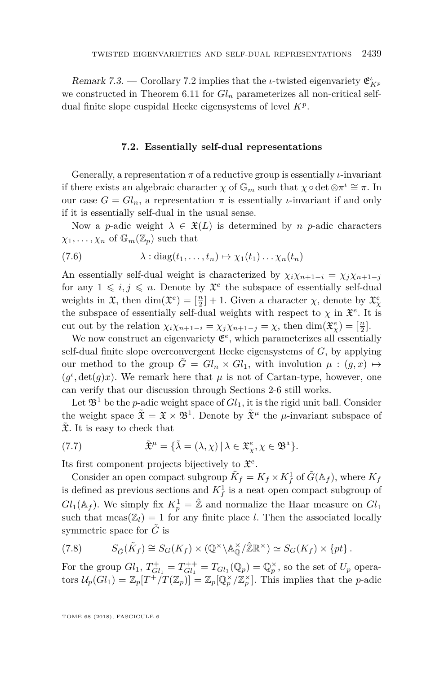Remark 7.3. — Corollary [7.2](#page-58-0) implies that the *ι*-twisted eigenvariety  $\mathfrak{E}_{K^p}^{\iota}$ we constructed in Theorem [6.11](#page-55-4) for  $Gl_n$  parameterizes all non-critical selfdual finite slope cuspidal Hecke eigensystems of level *K<sup>p</sup>* .

#### **7.2. Essentially self-dual representations**

Generally, a representation  $\pi$  of a reductive group is essentially *ι*-invariant if there exists an algebraic character  $\chi$  of  $\mathbb{G}_m$  such that  $\chi \circ \det \otimes \pi^i \cong \pi$ . In our case  $G = Gl_n$ , a representation  $\pi$  is essentially *ι*-invariant if and only if it is essentially self-dual in the usual sense.

Now a *p*-adic weight  $\lambda \in \mathfrak{X}(L)$  is determined by *n p*-adic characters  $\chi_1, \ldots, \chi_n$  of  $\mathbb{G}_m(\mathbb{Z}_p)$  such that

(7.6) 
$$
\lambda : diag(t_1, ..., t_n) \mapsto \chi_1(t_1) ... \chi_n(t_n)
$$

An essentially self-dual weight is characterized by  $\chi_i \chi_{n+1-i} = \chi_j \chi_{n+1-j}$ for any  $1 \leq i, j \leq n$ . Denote by  $\mathfrak{X}^e$  the subspace of essentially self-dual weights in  $\mathfrak{X}$ , then  $\dim(\mathfrak{X}^e) = \lbrack \frac{n}{2} \rbrack + 1$ . Given a character  $\chi$ , denote by  $\mathfrak{X}^e_\chi$ the subspace of essentially self-dual weights with respect to  $\chi$  in  $\mathfrak{X}^e$ . It is cut out by the relation  $\chi_i \chi_{n+1-i} = \chi_j \chi_{n+1-j} = \chi$ , then  $\dim(\mathfrak{X}_{\chi}^e) = \lbrack \frac{n}{2} \rbrack$ .

We now construct an eigenvariety  $\mathfrak{E}^e$ , which parameterizes all essentially self-dual finite slope overconvergent Hecke eigensystems of *G*, by applying our method to the group  $\tilde{G} = Gl_n \times Gl_1$ , with involution  $\mu : (g, x) \mapsto$  $(g^{\iota}, \det(g)x)$ . We remark here that  $\mu$  is not of Cartan-type, however, one can verify that our discussion through Sections [2-](#page-5-1)[6](#page-50-0) still works.

Let  $\mathfrak{B}^1$  be the *p*-adic weight space of  $Gl_1$ , it is the rigid unit ball. Consider the weight space  $\tilde{\mathfrak{X}} = \mathfrak{X} \times \mathfrak{B}^1$ . Denote by  $\tilde{\mathfrak{X}}^{\mu}$  the  $\mu$ -invariant subspace of  $\tilde{\mathfrak{X}}$ . It is easy to check that

(7.7) 
$$
\tilde{\mathfrak{X}}^{\mu} = {\tilde{\lambda} = (\lambda, \chi) | \lambda \in \mathfrak{X}_{\chi}^{e}, \chi \in \mathfrak{B}^{1}}.
$$

Its first component projects bijectively to X *e* .

Consider an open compact subgroup  $\tilde{K}_f = K_f \times K_f^1$  of  $\tilde{G}(\mathbb{A}_f)$ , where  $K_f$ is defined as previous sections and  $K_f^1$  is a neat open compact subgroup of  $Gl_1(\mathbb{A}_f)$ . We simply fix  $K_p^1 = \hat{\mathbb{Z}}$  and normalize the Haar measure on  $Gl_1$ such that meas( $\mathbb{Z}_l$ ) = 1 for any finite place *l*. Then the associated locally symmetric space for  $\tilde{G}$  is

(7.8) 
$$
S_{\tilde{G}}(\tilde{K}_f) \cong S_G(K_f) \times (\mathbb{Q}^{\times} \backslash \mathbb{A}_{\mathbb{Q}}^{\times}/\mathbb{Z}\mathbb{R}^{\times}) \simeq S_G(K_f) \times \{pt\}.
$$

For the group  $Gl_1$ ,  $T_{Gl_1}^+ = T_{Gl_1}^{++} = T_{Gl_1}(\mathbb{Q}_p) = \mathbb{Q}_p^{\times}$ , so the set of  $U_p$  operators  $\mathcal{U}_p(Gl_1) = \mathbb{Z}_p[T^+/T(\mathbb{Z}_p)] = \mathbb{Z}_p[\mathbb{Q}_p^{\times}/\mathbb{Z}_p^{\times}].$  This implies that the *p*-adic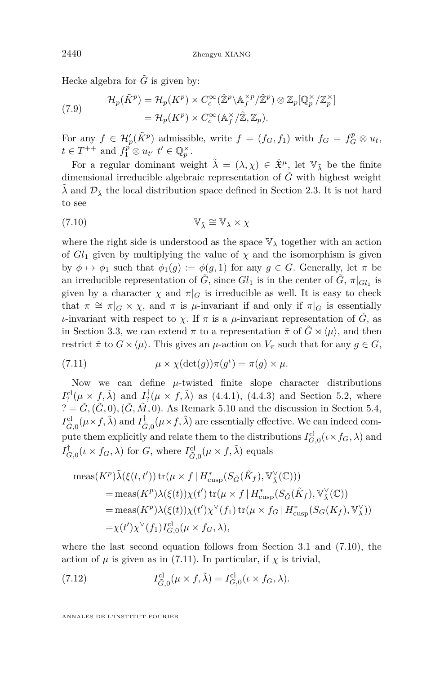Hecke algebra for  $\tilde{G}$  is given by:

(7.9) 
$$
\mathcal{H}_p(\tilde{K}^p) = \mathcal{H}_p(K^p) \times C_c^{\infty}(\hat{\mathbb{Z}}^p \backslash \mathbb{A}_f^{\times p}/\hat{\mathbb{Z}}^p) \otimes \mathbb{Z}_p[\mathbb{Q}_p^{\times}/\mathbb{Z}_p^{\times}]
$$

$$
= \mathcal{H}_p(K^p) \times C_c^{\infty}(\mathbb{A}_f^{\times}/\hat{\mathbb{Z}}, \mathbb{Z}_p).
$$

For any  $f \in \mathcal{H}'_p(\tilde{K}^p)$  admissible, write  $f = (f_G, f_1)$  with  $f_G = f_G^p \otimes u_t$ ,  $t \in T^{++}$  and  $f_1^p \otimes u_{t'}$   $t' \in \mathbb{Q}_p^{\times}$ .

For a regular dominant weight  $\tilde{\lambda} = (\lambda, \chi) \in \tilde{\mathfrak{X}}^{\mu}$ , let  $\mathbb{V}_{\tilde{\lambda}}$  be the finite dimensional irreducible algebraic representation of  $\tilde{G}$  with highest weight  $\lambda$  and  $\mathcal{D}_{\lambda}$  the local distribution space defined in Section [2.3.](#page-9-0) It is not hard to see

<span id="page-60-0"></span>(7.10) 
$$
\mathbb{V}_{\tilde{\lambda}} \cong \mathbb{V}_{\lambda} \times \chi
$$

where the right side is understood as the space  $\mathbb{V}_{\lambda}$  together with an action of  $Gl_1$  given by multiplying the value of  $\chi$  and the isomorphism is given by  $\phi \mapsto \phi_1$  such that  $\phi_1(q) := \phi(q, 1)$  for any  $q \in G$ . Generally, let  $\pi$  be an irreducible representation of  $\tilde{G}$ , since  $Gl_1$  is in the center of  $\tilde{G}$ ,  $\pi|_{Gl_1}$  is given by a character  $\chi$  and  $\pi|_G$  is irreducible as well. It is easy to check that  $\pi \cong \pi|_G \times \chi$ , and  $\pi$  is *µ*-invariant if and only if  $\pi|_G$  is essentially *ι*-invariant with respect to *χ*. If  $\pi$  is a *μ*-invariant representation of  $\tilde{G}$ , as in Section [3.3,](#page-17-1) we can extend  $\pi$  to a representation  $\tilde{\pi}$  of  $\tilde{G} \rtimes \langle \mu \rangle$ , and then restrict  $\tilde{\pi}$  to  $G \rtimes \langle \mu \rangle$ . This gives an  $\mu$ -action on  $V_{\pi}$  such that for any  $g \in G$ ,

<span id="page-60-1"></span>(7.11) 
$$
\mu \times \chi(\det(g))\pi(g^{\iota}) = \pi(g) \times \mu.
$$

Now we can define *µ*-twisted finite slope character distributions  $I_?^{\text{cl}}(\mu \times f, \tilde{\lambda})$  and  $I_?^{\dagger}(\mu \times f, \tilde{\lambda})$  as (4.4.1), (4.4.3) and Section [5.2,](#page-38-0) where  $\hat{G} = \tilde{G}, (\tilde{G}, 0), (\tilde{G}, \tilde{M}, 0)$ . As Remark [5.10](#page-43-3) and the discussion in Section [5.4,](#page-45-2)  $I_{\tilde{G},0}^{\text{cl}}(\mu \times f, \tilde{\lambda})$  and  $I_{\tilde{G},0}^{\dagger}(\mu \times f, \tilde{\lambda})$  are essentially effective. We can indeed compute them explicitly and relate them to the distributions  $I_{G,0}^{cl}(\iota \times f_G, \lambda)$  and  $I_{G,0}^{\dagger}(\iota \times f_G, \lambda)$  for *G*, where  $I_{\tilde{G},0}^{\text{cl}}(\mu \times f, \tilde{\lambda})$  equals

$$
\begin{split} \operatorname{meas}(K^{p})\tilde{\lambda}(\xi(t,t')) \operatorname{tr}(\mu \times f \mid H_{\text{cusp}}^{*}(S_{\tilde{G}}(\tilde{K}_{f}), \mathbb{V}_{\tilde{\lambda}}^{\vee}(\mathbb{C}))) \\ &= \operatorname{meas}(K^{p})\lambda(\xi(t))\chi(t') \operatorname{tr}(\mu \times f \mid H_{\text{cusp}}^{*}(S_{\tilde{G}}(\tilde{K}_{f}), \mathbb{V}_{\tilde{\lambda}}^{\vee}(\mathbb{C})) \\ &= \operatorname{meas}(K^{p})\lambda(\xi(t))\chi(t')\chi^{\vee}(f_{1}) \operatorname{tr}(\mu \times f_{G} \mid H_{\text{cusp}}^{*}(S_{G}(K_{f}), \mathbb{V}_{\lambda}^{\vee})) \\ &= \chi(t')\chi^{\vee}(f_{1})I_{G,0}^{cl}(\mu \times f_{G}, \lambda), \end{split}
$$

where the last second equation follows from Section [3.1](#page-12-0) and [\(7.10\)](#page-60-0), the action of  $\mu$  is given as in [\(7.11\)](#page-60-1). In particular, if  $\chi$  is trivial,

(7.12) 
$$
I_{\tilde{G},0}^{\text{cl}}(\mu \times f, \tilde{\lambda}) = I_{G,0}^{\text{cl}}(\iota \times f_G, \lambda).
$$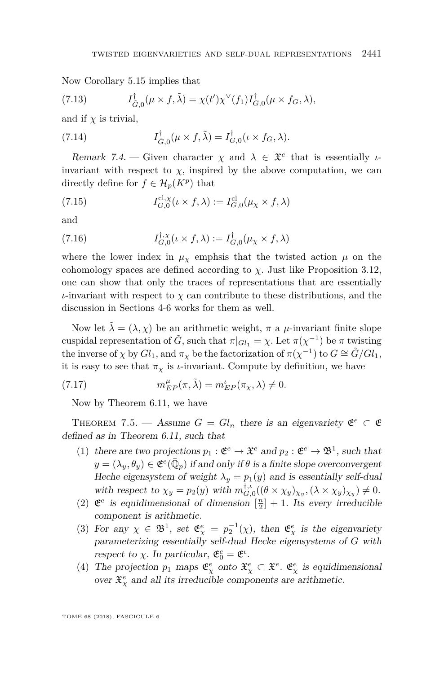Now Corollary [5.15](#page-44-0) implies that

(7.13) 
$$
I_{\tilde{G},0}^{\dagger}(\mu \times f, \tilde{\lambda}) = \chi(t')\chi^{\vee}(f_1)I_{G,0}^{\dagger}(\mu \times f_G, \lambda),
$$

and if  $\chi$  is trivial,

(7.14) 
$$
I_{\tilde{G},0}^{\dagger}(\mu \times f, \tilde{\lambda}) = I_{G,0}^{\dagger}(\iota \times f_G, \lambda).
$$

Remark 7.4. – Given character  $\chi$  and  $\lambda \in \mathfrak{X}^e$  that is essentially *ι*invariant with respect to  $\chi$ , inspired by the above computation, we can directly define for  $f \in \mathcal{H}_p(K^p)$  that

(7.15) 
$$
I_{G,0}^{\text{cl},\chi}(\iota \times f,\lambda) := I_{G,0}^{\text{cl}}(\mu_{\chi} \times f,\lambda)
$$

and

(7.16) 
$$
I_{G,0}^{\dagger,\chi}(\iota \times f,\lambda) := I_{G,0}^{\dagger}(\mu_{\chi} \times f,\lambda)
$$

where the lower index in  $\mu_{\chi}$  emphsis that the twisted action  $\mu$  on the cohomology spaces are defined according to  $\chi$ . Just like Proposition [3.12,](#page-21-0) one can show that only the traces of representations that are essentially *ι*-invariant with respect to  $\chi$  can contribute to these distributions, and the discussion in Sections [4-](#page-22-0)[6](#page-50-0) works for them as well.

Now let  $\tilde{\lambda} = (\lambda, \chi)$  be an arithmetic weight,  $\pi$  a  $\mu$ -invariant finite slope cuspidal representation of  $\tilde{G}$ , such that  $\pi|_{Gl_1} = \chi$ . Let  $\pi(\chi^{-1})$  be  $\pi$  twisting the inverse of  $\chi$  by  $Gl_1$ , and  $\pi_\chi$  be the factorization of  $\pi(\chi^{-1})$  to  $G \cong \tilde{G}/Gl_1$ , it is easy to see that  $\pi_{\chi}$  is *ι*-invariant. Compute by definition, we have

(7.17) 
$$
m_{EP}^{\mu}(\pi,\tilde{\lambda}) = m_{EP}^{\iota}(\pi_{\chi},\lambda) \neq 0.
$$

Now by Theorem [6.11,](#page-55-4) we have

<span id="page-61-0"></span>THEOREM 7.5. — Assume  $G = Gl_n$  there is an eigenvariety  $\mathfrak{E}^e \subset \mathfrak{E}$ defined as in Theorem [6.11,](#page-55-4) such that

- (1) there are two projections  $p_1 : \mathfrak{E}^e \to \mathfrak{X}^e$  and  $p_2 : \mathfrak{E}^e \to \mathfrak{B}^1$ , such that  $y = (\lambda_y, \theta_y) \in \mathfrak{E}^e(\bar{\mathbb{Q}}_p)$  if and only if  $\theta$  is a finite slope overconvergent Heche eigensystem of weight  $\lambda_y = p_1(y)$  and is essentially self-dual with respect to  $\chi_y = p_2(y)$  with  $m_{G,0}^{\dagger,\iota}((\theta \times \chi_y)_{\chi_y}, (\lambda \times \chi_y)_{\chi_y}) \neq 0$ .
- (2)  $\mathfrak{E}^e$  is equidimensional of dimension  $\left[\frac{n}{2}\right] + 1$ . Its every irreducible component is arithmetic.
- (3) For any  $\chi \in \mathfrak{B}^1$ , set  $\mathfrak{E}^e_\chi = p_2^{-1}(\chi)$ , then  $\mathfrak{E}^e_\chi$  is the eigenvariety parameterizing essentially self-dual Hecke eigensystems of *G* with respect to  $\chi$ . In particular,  $\mathfrak{E}_0^e = \mathfrak{E}^i$ .
- (4) The projection  $p_1$  maps  $\mathfrak{E}^e_\chi$  onto  $\mathfrak{X}^e_\chi \subset \mathfrak{X}^e$ .  $\mathfrak{E}^e_\chi$  is equidimensional over  $\mathfrak{X}_{\chi}^e$  and all its irreducible components are arithmetic.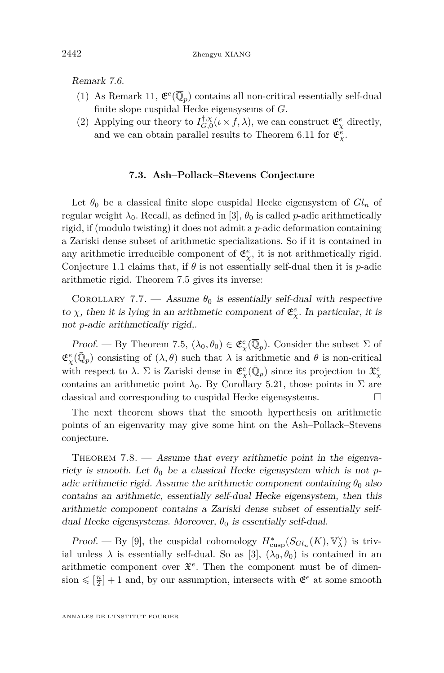Remark 7.6.

- (1) As Remark 11,  $\mathfrak{E}^e(\overline{\mathbb{Q}}_p)$  contains all non-critical essentially self-dual finite slope cuspidal Hecke eigensysems of *G*.
- (2) Applying our theory to  $I_{G,0}^{\dagger,\chi}(\iota \times f,\lambda)$ , we can construct  $\mathfrak{E}_{\chi}^e$  directly, and we can obtain parallel results to Theorem [6.11](#page-55-4) for  $\mathfrak{E}^e_\chi$ .

#### **7.3. Ash–Pollack–Stevens Conjecture**

<span id="page-62-0"></span>Let  $\theta_0$  be a classical finite slope cuspidal Hecke eigensystem of  $Gl_n$  of regular weight  $\lambda_0$ . Recall, as defined in [\[3\]](#page-63-1),  $\theta_0$  is called *p*-adic arithmetically rigid, if (modulo twisting) it does not admit a *p*-adic deformation containing a Zariski dense subset of arithmetic specializations. So if it is contained in any arithmetic irreducible component of  $\mathfrak{E}^e_\chi$ , it is not arithmetically rigid. Conjecture [1.1](#page-3-0) claims that, if  $\theta$  is not essentially self-dual then it is *p*-adic arithmetic rigid. Theorem [7.5](#page-61-0) gives its inverse:

COROLLARY 7.7. — Assume  $\theta_0$  is essentially self-dual with respective to  $\chi$ , then it is lying in an arithmetic component of  $\mathfrak{E}_{\chi}^e$ . In particular, it is not *p*-adic arithmetically rigid,.

Proof. — By Theorem [7.5,](#page-61-0)  $(\lambda_0, \theta_0) \in \mathfrak{E}^e_\chi(\overline{\mathbb{Q}}_p)$ . Consider the subset  $\Sigma$  of  $\mathfrak{E}^e_\chi(\bar{\mathbb{Q}}_p)$  consisting of  $(\lambda, \theta)$  such that  $\lambda$  is arithmetic and  $\theta$  is non-critical with respect to  $\lambda$ .  $\Sigma$  is Zariski dense in  $\mathfrak{E}^e_\chi(\bar{\mathbb{Q}}_p)$  since its projection to  $\mathfrak{X}^e_\chi$ contains an arithmetic point  $\lambda_0$ . By Corollary [5.21,](#page-49-4) those points in  $\Sigma$  are classical and corresponding to cuspidal Hecke eigensystems.

The next theorem shows that the smooth hyperthesis on arithmetic points of an eigenvarity may give some hint on the Ash–Pollack–Stevens conjecture.

<span id="page-62-1"></span>THEOREM  $7.8.$  — Assume that every arithmetic point in the eigenvariety is smooth. Let  $\theta_0$  be a classical Hecke eigensystem which is not *p*adic arithmetic rigid. Assume the arithmetic component containing  $\theta_0$  also contains an arithmetic, essentially self-dual Hecke eigensystem, then this arithmetic component contains a Zariski dense subset of essentially selfdual Hecke eigensystems. Moreover,  $\theta_0$  is essentially self-dual.

Proof. — By [\[9\]](#page-63-13), the cuspidal cohomology  $H^*_{\text{cusp}}(S_{Gl_n}(K), \mathbb{V}^\vee_\lambda)$  is trivial unless  $\lambda$  is essentially self-dual. So as [\[3\]](#page-63-1),  $(\lambda_0, \theta_0)$  is contained in an arithmetic component over  $\mathfrak{X}^e$ . Then the component must be of dimen- $\sin \leq \left[\frac{n}{2}\right] + 1$  and, by our assumption, intersects with  $\mathfrak{E}^e$  at some smooth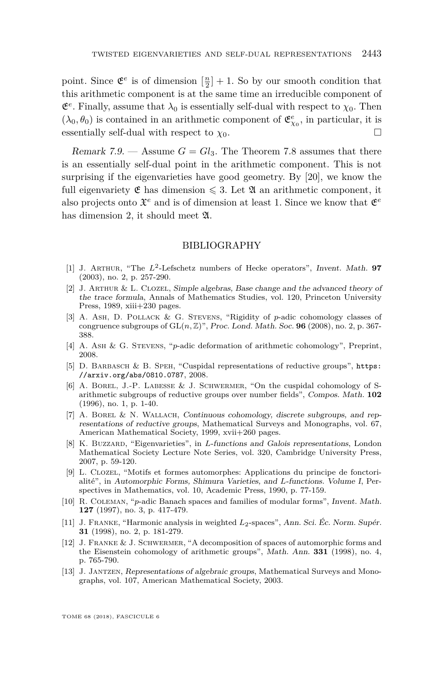point. Since  $\mathfrak{E}^e$  is of dimension  $\left[\frac{n}{2}\right] + 1$ . So by our smooth condition that this arithmetic component is at the same time an irreducible component of  $\mathfrak{E}^e$ . Finally, assume that  $\lambda_0$  is essentially self-dual with respect to  $\chi_0$ . Then  $(\lambda_0, \theta_0)$  is contained in an arithmetic component of  $\mathfrak{E}^e_{\chi_0}$ , in particular, it is essentially self-dual with respect to  $\chi_0$ .

<span id="page-63-2"></span>Remark 7.9. — Assume  $G = Gl_3$ . The Theorem [7.8](#page-62-1) assumes that there is an essentially self-dual point in the arithmetic component. This is not surprising if the eigenvarieties have good geometry. By [\[20\]](#page-64-1), we know the full eigenvariety  $\mathfrak{E}$  has dimension  $\leq 3$ . Let  $\mathfrak{A}$  an arithmetic component, it also projects onto  $\mathfrak{X}^e$  and is of dimension at least 1. Since we know that  $\mathfrak{E}^e$ has dimension 2, it should meet  $\mathfrak{A}$ .

#### BIBLIOGRAPHY

- <span id="page-63-4"></span>[1] J. Arthur, "The *L*<sup>2</sup> -Lefschetz numbers of Hecke operators", Invent. Math. **97** (2003), no. 2, p. 257-290.
- <span id="page-63-5"></span>[2] J. ARTHUR & L. CLOZEL, Simple algebras, Base change and the advanced theory of the trace formula, Annals of Mathematics Studies, vol. 120, Princeton University Press, 1989, xiii+230 pages.
- <span id="page-63-1"></span>[3] A. Ash, D. Pollack & G. Stevens, "Rigidity of *p*-adic cohomology classes of congruence subgroups of  $GL(n, \mathbb{Z})$ ", Proc. Lond. Math. Soc. **96** (2008), no. 2, p. 367-388.
- <span id="page-63-0"></span>[4] A. Ash & G. Stevens, "*p*-adic deformation of arithmetic cohomology", Preprint, 2008.
- <span id="page-63-12"></span>[5] D. Barbasch & B. Speh, "Cuspidal representations of reductive groups", [https:](https://arxiv.org/abs/0810.0787) [//arxiv.org/abs/0810.0787](https://arxiv.org/abs/0810.0787), 2008.
- <span id="page-63-8"></span>[6] A. Borel, J.-P. Labesse & J. Schwermer, "On the cuspidal cohomology of Sarithmetic subgroups of reductive groups over number fields", Compos. Math. **102** (1996), no. 1, p. 1-40.
- <span id="page-63-10"></span>[7] A. Borel & N. Wallach, Continuous cohomology, discrete subgroups, and representations of reductive groups, Mathematical Surveys and Monographs, vol. 67, American Mathematical Society, 1999, xvii+260 pages.
- <span id="page-63-7"></span>[8] K. BUZZARD, "Eigenvarieties", in *L*-functions and Galois representations, London Mathematical Society Lecture Note Series, vol. 320, Cambridge University Press, 2007, p. 59-120.
- <span id="page-63-13"></span>[9] L. Clozel, "Motifs et formes automorphes: Applications du principe de fonctorialité", in Automorphic Forms, Shimura Varieties, and *L*-functions. Volume I, Perspectives in Mathematics, vol. 10, Academic Press, 1990, p. 77-159.
- <span id="page-63-6"></span>[10] R. Coleman, "*p*-adic Banach spaces and families of modular forms", Invent. Math. **127** (1997), no. 3, p. 417-479.
- <span id="page-63-3"></span>[11] J. Franke, "Harmonic analysis in weighted *L*2-spaces", Ann. Sci. Éc. Norm. Supér. **31** (1998), no. 2, p. 181-279.
- <span id="page-63-9"></span>[12] J. Franke & J. Schwermer, "A decomposition of spaces of automorphic forms and the Eisenstein cohomology of arithmetic groups", Math. Ann. **331** (1998), no. 4, p. 765-790.
- <span id="page-63-11"></span>[13] J. Jantzen, Representations of algebraic groups, Mathematical Surveys and Monographs, vol. 107, American Mathematical Society, 2003.